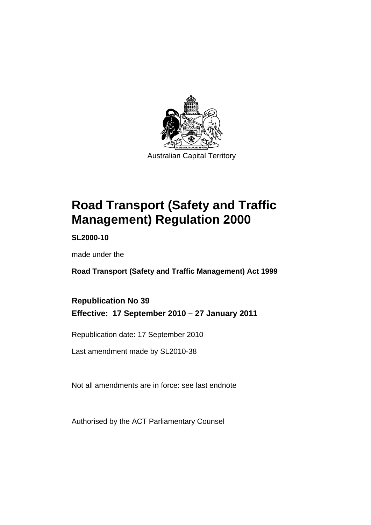

# **[Road Transport \(Safety and Traffic](#page-10-0)  [Management\) Regulation 2000](#page-10-0)**

**SL2000-10** 

made under the

**[Road Transport \(Safety and Traffic Management\) Act 1999](#page-10-0)** 

### **Republication No 39 Effective: 17 September 2010 – 27 January 2011**

Republication date: 17 September 2010

Last amendment made by SL2010-38

Not all amendments are in force: see last endnote

Authorised by the ACT Parliamentary Counsel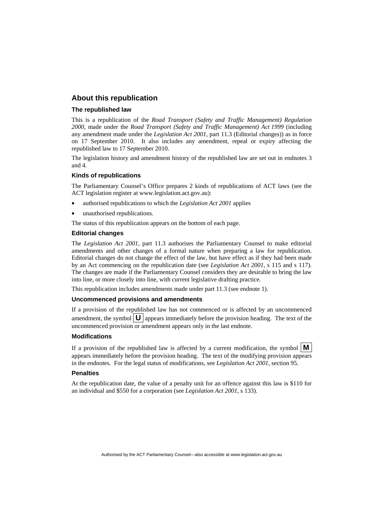#### **About this republication**

#### **The republished law**

This is a republication of the *Road Transport (Safety and Traffic Management) Regulation 2000*, made under the *[Road Transport \(Safety and Traffic Management\) Act 1999](#page-10-0)* (including any amendment made under the *Legislation Act 2001*, part 11.3 (Editorial changes)) as in force on 17 September 2010*.* It also includes any amendment, repeal or expiry affecting the republished law to 17 September 2010.

The legislation history and amendment history of the republished law are set out in endnotes 3 and 4.

#### **Kinds of republications**

The Parliamentary Counsel's Office prepares 2 kinds of republications of ACT laws (see the ACT legislation register at www.legislation.act.gov.au):

- authorised republications to which the *Legislation Act 2001* applies
- unauthorised republications.

The status of this republication appears on the bottom of each page.

#### **Editorial changes**

The *Legislation Act 2001*, part 11.3 authorises the Parliamentary Counsel to make editorial amendments and other changes of a formal nature when preparing a law for republication. Editorial changes do not change the effect of the law, but have effect as if they had been made by an Act commencing on the republication date (see *Legislation Act 2001*, s 115 and s 117). The changes are made if the Parliamentary Counsel considers they are desirable to bring the law into line, or more closely into line, with current legislative drafting practice.

This republication includes amendments made under part 11.3 (see endnote 1).

#### **Uncommenced provisions and amendments**

If a provision of the republished law has not commenced or is affected by an uncommenced amendment, the symbol  $\mathbf{U}$  appears immediately before the provision heading. The text of the uncommenced provision or amendment appears only in the last endnote.

#### **Modifications**

If a provision of the republished law is affected by a current modification, the symbol  $\vert \mathbf{M} \vert$ appears immediately before the provision heading. The text of the modifying provision appears in the endnotes. For the legal status of modifications, see *Legislation Act 2001*, section 95.

#### **Penalties**

At the republication date, the value of a penalty unit for an offence against this law is \$110 for an individual and \$550 for a corporation (see *Legislation Act 2001*, s 133).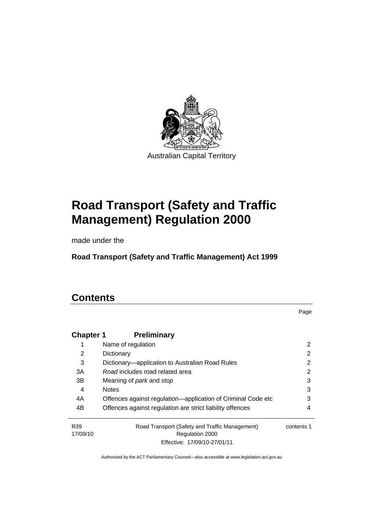

# **[Road Transport \(Safety and Traffic](#page-10-0)  [Management\) Regulation 2000](#page-10-0)**

made under the

**[Road Transport \(Safety and Traffic Management\) Act 1999](#page-10-0)** 

## **Contents**

Page

| <b>Chapter 1</b>            | <b>Preliminary</b>                                                |            |
|-----------------------------|-------------------------------------------------------------------|------------|
|                             | Name of regulation                                                | 2          |
| 2                           | Dictionary                                                        | 2          |
| 3                           | Dictionary—application to Australian Road Rules                   | 2          |
| 3A                          | Road includes road related area                                   | 2          |
| 3B                          | Meaning of <i>park</i> and <i>stop</i>                            | 3          |
| 4                           | <b>Notes</b>                                                      | 3          |
| 4A                          | Offences against regulation-application of Criminal Code etc      | 3          |
| 4B                          | Offences against regulation are strict liability offences         | 4          |
| R <sub>39</sub><br>17/09/10 | Road Transport (Safety and Traffic Management)<br>Regulation 2000 | contents 1 |
|                             | Effective: 17/09/10-27/01/11                                      |            |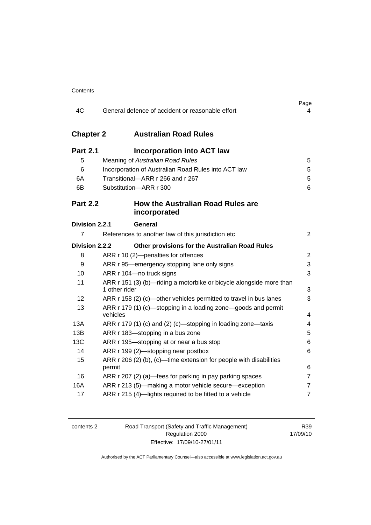| 4C                                    | General defence of accident or reasonable effort                                                                                                                                           | Page<br>4        |
|---------------------------------------|--------------------------------------------------------------------------------------------------------------------------------------------------------------------------------------------|------------------|
| <b>Chapter 2</b>                      | <b>Australian Road Rules</b>                                                                                                                                                               |                  |
| <b>Part 2.1</b><br>5<br>6<br>6A<br>6B | <b>Incorporation into ACT law</b><br>Meaning of Australian Road Rules<br>Incorporation of Australian Road Rules into ACT law<br>Transitional-ARR r 266 and r 267<br>Substitution-ARR r 300 | 5<br>5<br>5<br>6 |
| <b>Part 2.2</b>                       | <b>How the Australian Road Rules are</b><br>incorporated                                                                                                                                   |                  |
| Division 2.2.1                        | General                                                                                                                                                                                    |                  |
| 7                                     | References to another law of this jurisdiction etc                                                                                                                                         | $\overline{2}$   |
| Division 2.2.2                        | Other provisions for the Australian Road Rules                                                                                                                                             |                  |
| 8                                     | ARR r 10 (2)-penalties for offences                                                                                                                                                        | $\overline{2}$   |
| 9                                     | ARR r 95—emergency stopping lane only signs                                                                                                                                                | 3                |
| 10                                    | ARR r 104-no truck signs                                                                                                                                                                   | 3                |
| 11                                    | ARR r 151 (3) (b)-riding a motorbike or bicycle alongside more than<br>1 other rider                                                                                                       | 3                |
| 12                                    | ARR r 158 (2) (c)-other vehicles permitted to travel in bus lanes                                                                                                                          | 3                |
| 13                                    | ARR r 179 (1) (c)—stopping in a loading zone—goods and permit<br>vehicles                                                                                                                  | 4                |
| 13A                                   | ARR r 179 (1) (c) and (2) (c)—stopping in loading zone—taxis                                                                                                                               | $\overline{4}$   |
| 13B                                   | ARR r 183-stopping in a bus zone                                                                                                                                                           | 5                |
| 13C                                   | ARR r 195-stopping at or near a bus stop                                                                                                                                                   | 6                |
| 14                                    | ARR r 199 (2)-stopping near postbox                                                                                                                                                        | 6                |
| 15                                    | ARR $r$ 206 (2) (b), (c)—time extension for people with disabilities<br>permit                                                                                                             | 6                |
| 16                                    | ARR r 207 (2) (a)—fees for parking in pay parking spaces                                                                                                                                   | $\overline{7}$   |
| 16A                                   | ARR r 213 (5)-making a motor vehicle secure-exception                                                                                                                                      | $\overline{7}$   |
| 17                                    | ARR r 215 (4)-lights required to be fitted to a vehicle                                                                                                                                    | $\overline{7}$   |

| contents 2 |
|------------|
|------------|

2 Road Transport (Safety and Traffic Management) Regulation 2000 Effective: 17/09/10-27/01/11

R39 17/09/10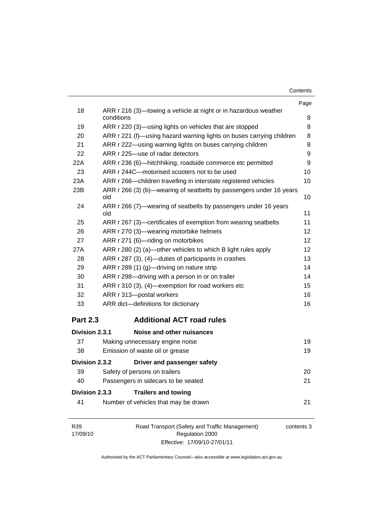| Contents |  |
|----------|--|
|----------|--|

|                 |                                                                                                                                 | Page   |
|-----------------|---------------------------------------------------------------------------------------------------------------------------------|--------|
| 18              | ARR r 216 (3)—towing a vehicle at night or in hazardous weather<br>conditions                                                   | 8      |
|                 |                                                                                                                                 |        |
| 19<br>20        | ARR r 220 (3)—using lights on vehicles that are stopped<br>ARR r 221 (f)—using hazard warning lights on buses carrying children | 8<br>8 |
| 21              | ARR r 222-using warning lights on buses carrying children                                                                       | 8      |
| 22              | ARR r 225-use of radar detectors                                                                                                | 9      |
| 22A             | ARR r 236 (6)-hitchhiking, roadside commerce etc permitted                                                                      | 9      |
| 23              | ARR r 244C-motorised scooters not to be used                                                                                    | 10     |
| 23A             | ARR r 266—children travelling in interstate registered vehicles                                                                 | 10     |
| 23B             | ARR r 266 (3) (b)—wearing of seatbelts by passengers under 16 years                                                             |        |
|                 | old                                                                                                                             | 10     |
| 24              | ARR r 266 (7)—wearing of seatbelts by passengers under 16 years                                                                 |        |
|                 | old                                                                                                                             | 11     |
| 25              | ARR r 267 (3)—certificates of exemption from wearing seatbelts                                                                  | 11     |
| 26              | ARR r 270 (3)-wearing motorbike helmets                                                                                         | 12     |
| 27              | ARR r 271 (6)-riding on motorbikes                                                                                              | 12     |
| 27A             | ARR r 280 (2) (a)—other vehicles to which B light rules apply                                                                   | 12     |
| 28              | ARR r 287 (3), (4)-duties of participants in crashes                                                                            | 13     |
| 29              | ARR r 289 (1) (g)-driving on nature strip                                                                                       | 14     |
| 30              | ARR r 298-driving with a person in or on trailer                                                                                | 14     |
| 31              | ARR r 310 (3), (4)-exemption for road workers etc                                                                               | 15     |
| 32              | ARR r 313-postal workers                                                                                                        | 16     |
| 33              | ARR dict-definitions for dictionary                                                                                             | 16     |
| <b>Part 2.3</b> | <b>Additional ACT road rules</b>                                                                                                |        |
| Division 2.3.1  | Noise and other nuisances                                                                                                       |        |
| 37              | Making unnecessary engine noise                                                                                                 | 19     |
| 38              | Emission of waste oil or grease                                                                                                 | 19     |
| Division 2.3.2  | Driver and passenger safety                                                                                                     |        |
| 39              | Safety of persons on trailers                                                                                                   | 20     |
| 40              | Passengers in sidecars to be seated                                                                                             | 21     |
| Division 2.3.3  | <b>Trailers and towing</b>                                                                                                      |        |
| 41              | Number of vehicles that may be drawn                                                                                            | 21     |
|                 |                                                                                                                                 |        |

R39 17/09/10

l,

Road Transport (Safety and Traffic Management) Regulation 2000 Effective: 17/09/10-27/01/11

contents 3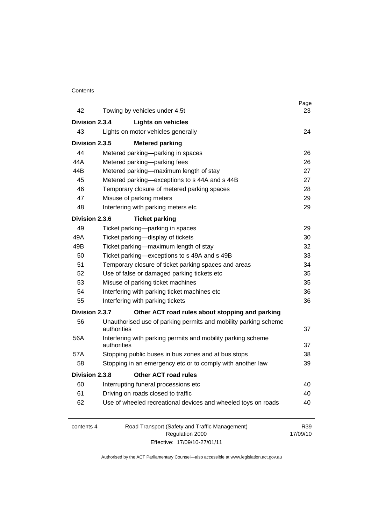#### **Contents**

| 42             | Towing by vehicles under 4.5t                                                  | Page<br>23      |
|----------------|--------------------------------------------------------------------------------|-----------------|
| Division 2.3.4 | <b>Lights on vehicles</b>                                                      |                 |
| 43             | Lights on motor vehicles generally                                             | 24              |
| Division 2.3.5 | <b>Metered parking</b>                                                         |                 |
| 44             | Metered parking-parking in spaces                                              | 26              |
| 44A            | Metered parking-parking fees                                                   | 26              |
| 44B            | Metered parking-maximum length of stay                                         | 27              |
| 45             | Metered parking—exceptions to s 44A and s 44B                                  | 27              |
| 46             | Temporary closure of metered parking spaces                                    | 28              |
| 47             | Misuse of parking meters                                                       | 29              |
| 48             | Interfering with parking meters etc                                            | 29              |
| Division 2.3.6 | <b>Ticket parking</b>                                                          |                 |
| 49             | Ticket parking-parking in spaces                                               | 29              |
| 49A            | Ticket parking-display of tickets                                              | 30              |
| 49B            | Ticket parking-maximum length of stay                                          | 32              |
| 50             | Ticket parking-exceptions to s 49A and s 49B                                   | 33              |
| 51             | Temporary closure of ticket parking spaces and areas                           | 34              |
| 52             | Use of false or damaged parking tickets etc                                    | 35              |
| 53             | Misuse of parking ticket machines                                              | 35              |
| 54             | Interfering with parking ticket machines etc                                   | 36              |
| 55             | Interfering with parking tickets                                               | 36              |
| Division 2.3.7 | Other ACT road rules about stopping and parking                                |                 |
| 56             | Unauthorised use of parking permits and mobility parking scheme<br>authorities | 37              |
| 56A            | Interfering with parking permits and mobility parking scheme<br>authorities    | 37              |
| 57A            | Stopping public buses in bus zones and at bus stops                            | 38              |
| 58             | Stopping in an emergency etc or to comply with another law                     | 39              |
| Division 2.3.8 | Other ACT road rules                                                           |                 |
| 60             | Interrupting funeral processions etc                                           | 40              |
| 61             | Driving on roads closed to traffic                                             | 40              |
| 62             | Use of wheeled recreational devices and wheeled toys on roads                  | 40              |
| contents 4     | Road Transport (Safety and Traffic Management)<br>Regulation 2000              | R39<br>17/09/10 |

Effective: 17/09/10-27/01/11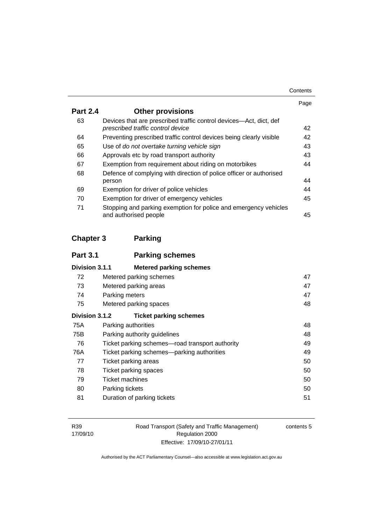| Contents |
|----------|
|----------|

|                 |                                                                                                         | Page |
|-----------------|---------------------------------------------------------------------------------------------------------|------|
| <b>Part 2.4</b> | <b>Other provisions</b>                                                                                 |      |
| 63              | Devices that are prescribed traffic control devices—Act, dict, def<br>prescribed traffic control device | 42   |
| 64              | Preventing prescribed traffic control devices being clearly visible                                     | 42   |
| 65              | Use of do not overtake turning vehicle sign                                                             | 43   |
| 66              | Approvals etc by road transport authority                                                               | 43   |
| 67              | Exemption from requirement about riding on motorbikes                                                   | 44   |
| 68              | Defence of complying with direction of police officer or authorised                                     |      |
|                 | person                                                                                                  | 44   |
| 69              | Exemption for driver of police vehicles                                                                 | 44   |
| 70              | Exemption for driver of emergency vehicles                                                              | 45   |
| 71              | Stopping and parking exemption for police and emergency vehicles<br>and authorised people               | 45   |

## **Chapter 3 Parking**

| <b>Part 3.1</b> | <b>Parking schemes</b>                          |    |
|-----------------|-------------------------------------------------|----|
| Division 3.1.1  | <b>Metered parking schemes</b>                  |    |
| 72              | Metered parking schemes                         | 47 |
| 73              | Metered parking areas                           | 47 |
| 74              | Parking meters                                  | 47 |
| 75              | Metered parking spaces                          | 48 |
| Division 3.1.2  | <b>Ticket parking schemes</b>                   |    |
| 75A             | Parking authorities                             | 48 |
| 75B             | Parking authority guidelines                    | 48 |
| 76              | Ticket parking schemes—road transport authority | 49 |
| 76A             | Ticket parking schemes—parking authorities      | 49 |
| 77              | Ticket parking areas                            | 50 |
| 78              | Ticket parking spaces                           | 50 |
| 79              | <b>Ticket machines</b>                          | 50 |
| 80              | Parking tickets                                 | 50 |
| 81              | Duration of parking tickets                     | 51 |

Road Transport (Safety and Traffic Management) Regulation 2000 Effective: 17/09/10-27/01/11

contents 5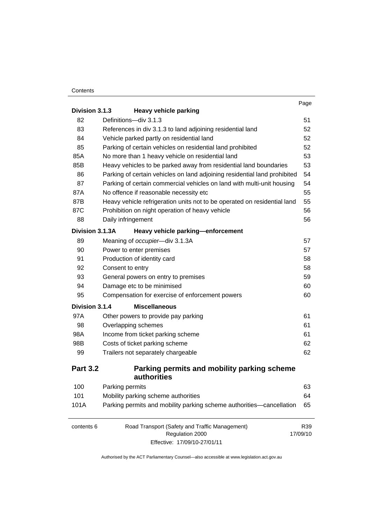#### **Contents**

|                 |                                                                                                   | Page            |
|-----------------|---------------------------------------------------------------------------------------------------|-----------------|
| Division 3.1.3  | <b>Heavy vehicle parking</b>                                                                      |                 |
| 82              | Definitions-div 3.1.3                                                                             | 51              |
| 83              | References in div 3.1.3 to land adjoining residential land                                        | 52              |
| 84              | Vehicle parked partly on residential land                                                         | 52              |
| 85              | Parking of certain vehicles on residential land prohibited                                        | 52              |
| 85A             | No more than 1 heavy vehicle on residential land                                                  | 53              |
| 85B             | Heavy vehicles to be parked away from residential land boundaries                                 | 53              |
| 86              | Parking of certain vehicles on land adjoining residential land prohibited                         | 54              |
| 87              | Parking of certain commercial vehicles on land with multi-unit housing                            | 54              |
| 87A             | No offence if reasonable necessity etc                                                            | 55              |
| 87B             | Heavy vehicle refrigeration units not to be operated on residential land                          | 55              |
| 87C             | Prohibition on night operation of heavy vehicle                                                   | 56              |
| 88              | Daily infringement                                                                                | 56              |
| Division 3.1.3A | Heavy vehicle parking-enforcement                                                                 |                 |
| 89              | Meaning of occupier-div 3.1.3A                                                                    | 57              |
| 90              | Power to enter premises                                                                           | 57              |
| 91              | Production of identity card                                                                       | 58              |
| 92              | Consent to entry                                                                                  | 58              |
| 93              | General powers on entry to premises                                                               | 59              |
| 94              | Damage etc to be minimised                                                                        | 60              |
| 95              | Compensation for exercise of enforcement powers                                                   | 60              |
| Division 3.1.4  | <b>Miscellaneous</b>                                                                              |                 |
| 97A             | Other powers to provide pay parking                                                               | 61              |
| 98              | Overlapping schemes                                                                               | 61              |
| 98A             | Income from ticket parking scheme                                                                 | 61              |
| 98B             | Costs of ticket parking scheme                                                                    | 62              |
| 99              | Trailers not separately chargeable                                                                | 62              |
| <b>Part 3.2</b> | Parking permits and mobility parking scheme<br>authorities                                        |                 |
| 100             | Parking permits                                                                                   | 63              |
| 101             | Mobility parking scheme authorities                                                               | 64              |
| 101A            | Parking permits and mobility parking scheme authorities-cancellation                              | 65              |
| contents 6      | Road Transport (Safety and Traffic Management)<br>Regulation 2000<br>Effective: 17/09/10-27/01/11 | R39<br>17/09/10 |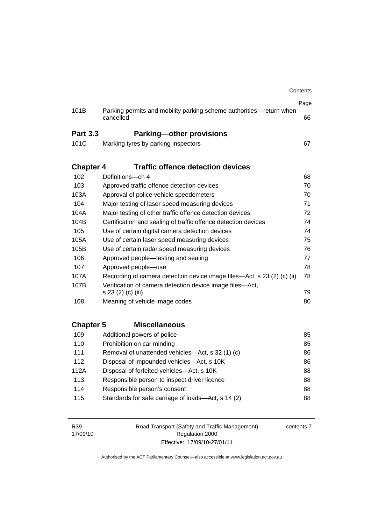| 101B             | Parking permits and mobility parking scheme authorities-return when<br>cancelled | Page<br>66 |
|------------------|----------------------------------------------------------------------------------|------------|
| <b>Part 3.3</b>  | <b>Parking-other provisions</b>                                                  |            |
| 101C             | Marking tyres by parking inspectors                                              | 67         |
| <b>Chapter 4</b> | <b>Traffic offence detection devices</b>                                         |            |
| 102              | Definitions-ch 4                                                                 | 68         |
| 103              | Approved traffic offence detection devices                                       | 70         |
| 103A             | Approval of police vehicle speedometers                                          | 70         |
| 104              | Major testing of laser speed measuring devices                                   | 71         |
| 104A             | Major testing of other traffic offence detection devices                         | 72         |
| 104B             | Certification and sealing of traffic offence detection devices                   | 74         |
| 105              | Use of certain digital camera detection devices                                  | 74         |
| 105A             | Use of certain laser speed measuring devices                                     | 75         |
| 105B             | Use of certain radar speed measuring devices                                     | 76         |
| 106              | Approved people-testing and sealing                                              | 77         |
| 107              | Approved people-use                                                              | 78         |
| 107A             | Recording of camera detection device image files—Act, s 23 (2) (c) (ii)          | 78         |
| 107B             | Verification of camera detection device image files-Act,<br>s 23 (2) (c) (iii)   | 79         |
| 108              | Meaning of vehicle image codes                                                   | 80         |
| <b>Chapter 5</b> | <b>Miscellaneous</b>                                                             |            |
| 109              | Additional powers of police                                                      | 85         |
| 110              | Prohibition on car minding                                                       | 85         |
| 111              | Removal of unattended vehicles-Act, s 32 (1) (c)                                 | 86         |
| 112              | Disposal of impounded vehicles-Act, s 10K                                        | 86         |
| 112A             | Disposal of forfeited vehicles-Act, s 10K                                        | 88         |
| 113              | Responsible person to inspect driver licence                                     | 88         |
| 114              | Responsible person's consent                                                     | 88         |
|                  | Standards for safe carriage of loads-Act, s 14 (2)                               | 88         |

| R39      | Road Transport (Safety and Traffic Management) | contents |
|----------|------------------------------------------------|----------|
| 17/09/10 | Regulation 2000                                |          |
|          | Effective: 17/09/10-27/01/11                   |          |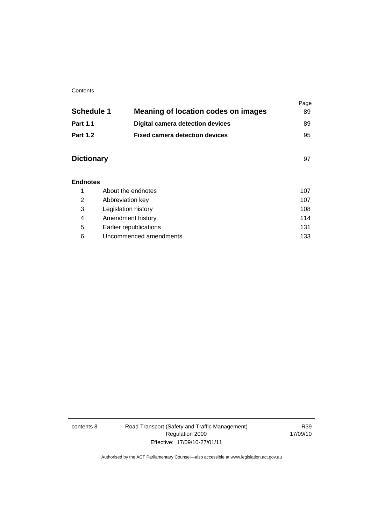#### **Contents**

| <b>Schedule 1</b> | <b>Meaning of location codes on images</b> | Page<br>89 |
|-------------------|--------------------------------------------|------------|
| <b>Part 1.1</b>   | <b>Digital camera detection devices</b>    | 89         |
| <b>Part 1.2</b>   | <b>Fixed camera detection devices</b>      | 95         |
| <b>Dictionary</b> |                                            | 97         |
| <b>Endnotes</b>   |                                            |            |
| 1                 | About the endnotes                         | 107        |
| 2                 | Abbreviation key                           | 107        |

3 Legislation history [108](#page-127-0) 4 Amendment history [114](#page-133-0) 5 Earlier republications [131](#page-150-0) 6 Uncommenced amendments [133](#page-152-0)

| contents 8 |  |
|------------|--|
|------------|--|

8 Road Transport (Safety and Traffic Management) Regulation 2000 Effective: 17/09/10-27/01/11

R39 17/09/10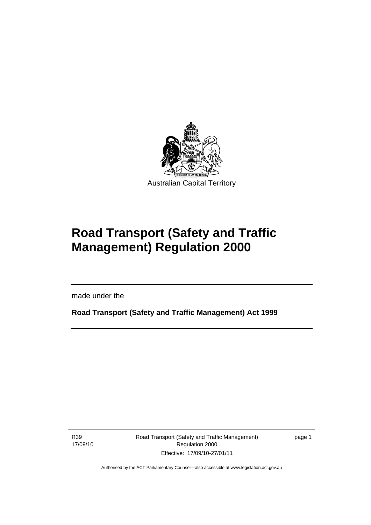<span id="page-10-0"></span>

# **Road Transport (Safety and Traffic Management) Regulation 2000**

made under the

**Road Transport (Safety and Traffic Management) Act 1999** 

R39 17/09/10

I

Road Transport (Safety and Traffic Management) Regulation 2000 Effective: 17/09/10-27/01/11

page 1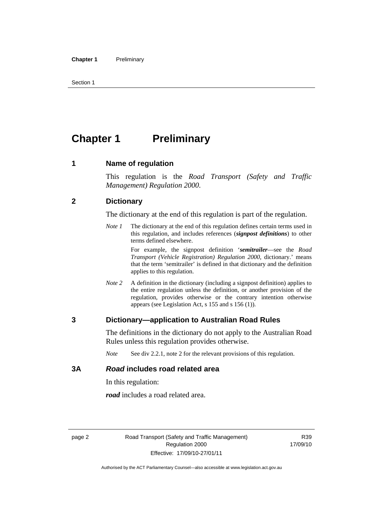<span id="page-11-0"></span>Section 1

## **Chapter 1** Preliminary

#### **1 Name of regulation**

This regulation is the *Road Transport (Safety and Traffic Management) Regulation 2000*.

#### **2 Dictionary**

The dictionary at the end of this regulation is part of the regulation.

*Note 1* The dictionary at the end of this regulation defines certain terms used in this regulation, and includes references (*signpost definitions*) to other terms defined elsewhere.

> For example, the signpost definition '*semitrailer*—see the *Road Transport (Vehicle Registration) Regulation 2000*, dictionary.' means that the term 'semitrailer' is defined in that dictionary and the definition applies to this regulation.

*Note 2* A definition in the dictionary (including a signpost definition) applies to the entire regulation unless the definition, or another provision of the regulation, provides otherwise or the contrary intention otherwise appears (see Legislation Act, s 155 and s 156 (1)).

#### **3 Dictionary—application to Australian Road Rules**

The definitions in the dictionary do not apply to the Australian Road Rules unless this regulation provides otherwise.

*Note* See div 2.2.1, note 2 for the relevant provisions of this regulation.

#### **3A** *Road* **includes road related area**

In this regulation:

*road* includes a road related area.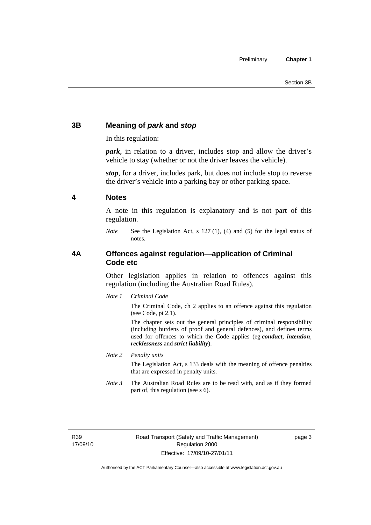#### <span id="page-12-0"></span>**3B Meaning of** *park* **and** *stop*

In this regulation:

*park*, in relation to a driver, includes stop and allow the driver's vehicle to stay (whether or not the driver leaves the vehicle).

*stop*, for a driver, includes park, but does not include stop to reverse the driver's vehicle into a parking bay or other parking space.

#### **4 Notes**

A note in this regulation is explanatory and is not part of this regulation.

*Note* See the Legislation Act, s 127 (1), (4) and (5) for the legal status of notes.

#### **4A Offences against regulation—application of Criminal Code etc**

Other legislation applies in relation to offences against this regulation (including the Australian Road Rules).

*Note 1 Criminal Code*

The Criminal Code, ch 2 applies to an offence against this regulation (see Code, pt 2.1).

The chapter sets out the general principles of criminal responsibility (including burdens of proof and general defences), and defines terms used for offences to which the Code applies (eg *conduct*, *intention*, *recklessness* and *strict liability*).

*Note 2 Penalty units* 

The Legislation Act, s 133 deals with the meaning of offence penalties that are expressed in penalty units.

*Note 3* The Australian Road Rules are to be read with, and as if they formed part of, this regulation (see s 6).

R39 17/09/10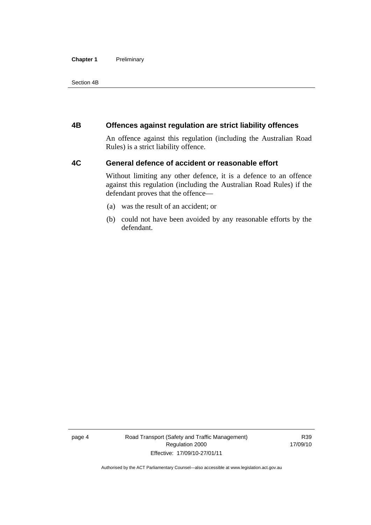#### <span id="page-13-0"></span>**Chapter 1** Preliminary

Section 4B

#### **4B Offences against regulation are strict liability offences**

An offence against this regulation (including the Australian Road Rules) is a strict liability offence.

#### **4C General defence of accident or reasonable effort**

Without limiting any other defence, it is a defence to an offence against this regulation (including the Australian Road Rules) if the defendant proves that the offence—

- (a) was the result of an accident; or
- (b) could not have been avoided by any reasonable efforts by the defendant.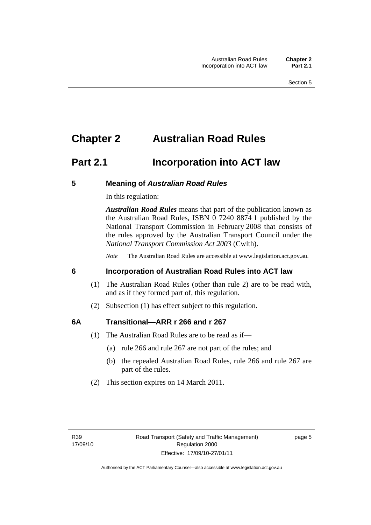### <span id="page-14-0"></span>**Chapter 2 Australian Road Rules**

### **Part 2.1 Incorporation into ACT law**

#### **5 Meaning of** *Australian Road Rules*

In this regulation:

*Australian Road Rules* means that part of the publication known as the Australian Road Rules, ISBN 0 7240 8874 1 published by the National Transport Commission in February 2008 that consists of the rules approved by the Australian Transport Council under the *National Transport Commission Act 2003* (Cwlth).

*Note* The Australian Road Rules are accessible at www.legislation.act.gov.au.

#### **6 Incorporation of Australian Road Rules into ACT law**

- (1) The Australian Road Rules (other than rule 2) are to be read with, and as if they formed part of, this regulation.
- (2) Subsection (1) has effect subject to this regulation.

#### **6A Transitional—ARR r 266 and r 267**

- (1) The Australian Road Rules are to be read as if—
	- (a) rule 266 and rule 267 are not part of the rules; and
	- (b) the repealed Australian Road Rules, rule 266 and rule 267 are part of the rules.
- (2) This section expires on 14 March 2011.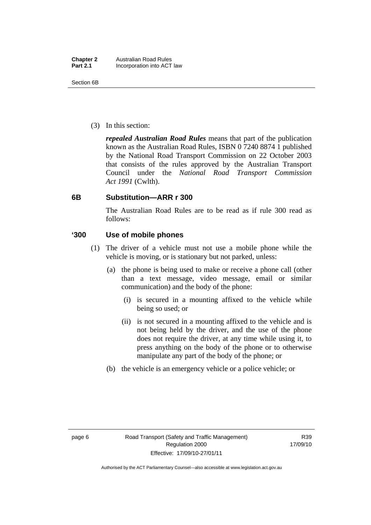<span id="page-15-0"></span>(3) In this section:

*repealed Australian Road Rules* means that part of the publication known as the Australian Road Rules, ISBN 0 7240 8874 1 published by the National Road Transport Commission on 22 October 2003 that consists of the rules approved by the Australian Transport Council under the *National Road Transport Commission Act 1991* (Cwlth).

#### **6B Substitution—ARR r 300**

The Australian Road Rules are to be read as if rule 300 read as follows:

#### **'300 Use of mobile phones**

- (1) The driver of a vehicle must not use a mobile phone while the vehicle is moving, or is stationary but not parked, unless:
	- (a) the phone is being used to make or receive a phone call (other than a text message, video message, email or similar communication) and the body of the phone:
		- (i) is secured in a mounting affixed to the vehicle while being so used; or
		- (ii) is not secured in a mounting affixed to the vehicle and is not being held by the driver, and the use of the phone does not require the driver, at any time while using it, to press anything on the body of the phone or to otherwise manipulate any part of the body of the phone; or
	- (b) the vehicle is an emergency vehicle or a police vehicle; or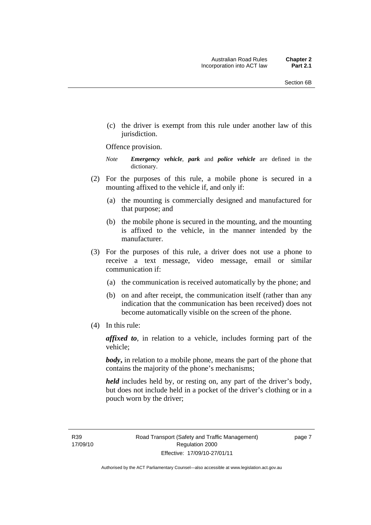(c) the driver is exempt from this rule under another law of this jurisdiction.

#### Offence provision.

*Note Emergency vehicle*, *park* and *police vehicle* are defined in the dictionary.

- (2) For the purposes of this rule, a mobile phone is secured in a mounting affixed to the vehicle if, and only if:
	- (a) the mounting is commercially designed and manufactured for that purpose; and
	- (b) the mobile phone is secured in the mounting, and the mounting is affixed to the vehicle, in the manner intended by the manufacturer.
- (3) For the purposes of this rule, a driver does not use a phone to receive a text message, video message, email or similar communication if:
	- (a) the communication is received automatically by the phone; and
	- (b) on and after receipt, the communication itself (rather than any indication that the communication has been received) does not become automatically visible on the screen of the phone.
- (4) In this rule:

*affixed to*, in relation to a vehicle, includes forming part of the vehicle;

*body*, in relation to a mobile phone, means the part of the phone that contains the majority of the phone's mechanisms;

*held* includes held by, or resting on, any part of the driver's body, but does not include held in a pocket of the driver's clothing or in a pouch worn by the driver;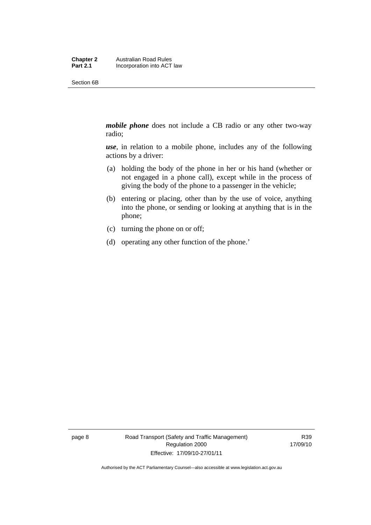Section 6B

*mobile phone* does not include a CB radio or any other two-way radio;

*use*, in relation to a mobile phone, includes any of the following actions by a driver:

- (a) holding the body of the phone in her or his hand (whether or not engaged in a phone call), except while in the process of giving the body of the phone to a passenger in the vehicle;
- (b) entering or placing, other than by the use of voice, anything into the phone, or sending or looking at anything that is in the phone;
- (c) turning the phone on or off;
- (d) operating any other function of the phone.'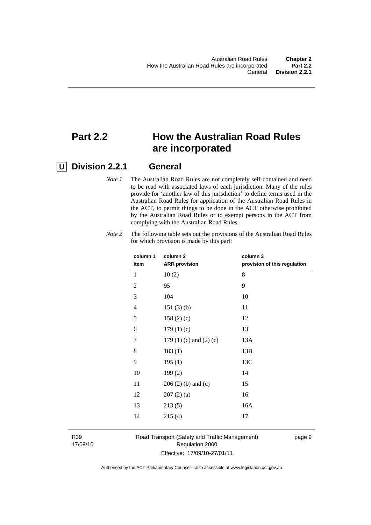### **Part 2.2 How the Australian Road Rules are incorporated**

### **U Division 2.2.1 General**

*Note 1* The Australian Road Rules are not completely self-contained and need to be read with associated laws of each jurisdiction. Many of the rules provide for 'another law of this jurisdiction' to define terms used in the Australian Road Rules for application of the Australian Road Rules in the ACT, to permit things to be done in the ACT otherwise prohibited by the Australian Road Rules or to exempt persons in the ACT from complying with the Australian Road Rules.

| column 1<br>item | column <sub>2</sub><br><b>ARR</b> provision | column 3<br>provision of this regulation |
|------------------|---------------------------------------------|------------------------------------------|
| 1                | 10(2)                                       | 8                                        |
| 2                | 95                                          | 9                                        |
| 3                | 104                                         | 10                                       |
| 4                | 151(3)(b)                                   | 11                                       |
| 5                | 158(2)(c)                                   | 12                                       |
| 6                | 179(1)(c)                                   | 13                                       |
| 7                | 179 $(1)$ $(c)$ and $(2)$ $(c)$             | 13A                                      |
| 8                | 183(1)                                      | 13B                                      |
| 9                | 195(1)                                      | 13C                                      |
| 10               | 199(2)                                      | 14                                       |
| 11               | $206(2)$ (b) and (c)                        | 15                                       |
| 12               | 207(2)(a)                                   | 16                                       |
| 13               | 213(5)                                      | 16A                                      |
| 14               | 215(4)                                      | 17                                       |
|                  |                                             |                                          |

*Note 2* The following table sets out the provisions of the Australian Road Rules for which provision is made by this part:

R39 17/09/10 Road Transport (Safety and Traffic Management) Regulation 2000 Effective: 17/09/10-27/01/11

page 9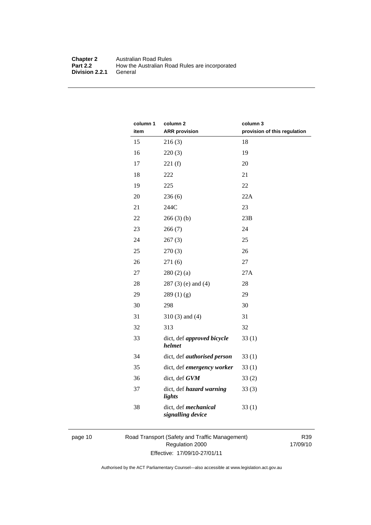#### **Chapter 2** Australian Road Rules<br>**Part 2.2** How the Australian Road How the Australian Road Rules are incorporated General **Division 2.2.1**

| column 1<br>item | column <sub>2</sub><br><b>ARR</b> provision | column 3<br>provision of this regulation |
|------------------|---------------------------------------------|------------------------------------------|
| 15               | 216(3)                                      | 18                                       |
| 16               | 220(3)                                      | 19                                       |
| 17               | 221(f)                                      | 20                                       |
| 18               | 222                                         | 21                                       |
| 19               | 225                                         | 22                                       |
| 20               | 236(6)                                      | 22A                                      |
| 21               | 244C                                        | 23                                       |
| 22               | 266(3)(b)                                   | 23B                                      |
| 23               | 266(7)                                      | 24                                       |
| 24               | 267(3)                                      | 25                                       |
| 25               | 270(3)                                      | 26                                       |
| 26               | 271(6)                                      | 27                                       |
| 27               | 280(2)(a)                                   | 27A                                      |
| 28               | $287(3)$ (e) and (4)                        | 28                                       |
| 29               | 289(1)(g)                                   | 29                                       |
| 30               | 298                                         | 30                                       |
| 31               | $310(3)$ and $(4)$                          | 31                                       |
| 32               | 313                                         | 32                                       |
| 33               | dict, def approved bicycle<br>helmet        | 33(1)                                    |
| 34               | dict, def <i>authorised</i> person          | 33(1)                                    |
| 35               | dict, def emergency worker                  | 33(1)                                    |
| 36               | dict, def GVM                               | 33(2)                                    |
| 37               | dict, def hazard warning<br>lights          | 33(3)                                    |
| 38               | dict, def mechanical<br>signalling device   | 33(1)                                    |

page 10 Road Transport (Safety and Traffic Management) Regulation 2000 Effective: 17/09/10-27/01/11

R39 17/09/10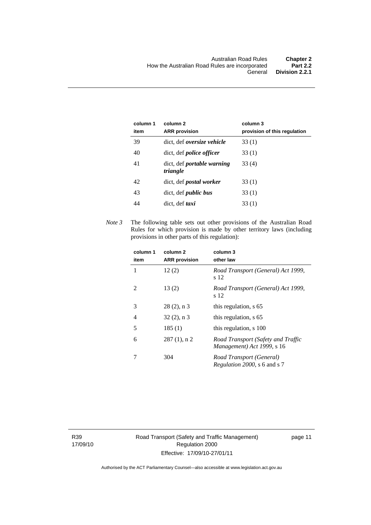| column 1<br>item | column 2<br><b>ARR</b> provision              | column 3<br>provision of this regulation |
|------------------|-----------------------------------------------|------------------------------------------|
| 39               | dict, def <i>oversize</i> vehicle             | 33(1)                                    |
| 40               | dict, def <i>police officer</i>               | 33(1)                                    |
| 41               | dict, def <i>portable</i> warning<br>triangle | 33 (4)                                   |
| 42               | dict, def <i>postal</i> worker                | 33(1)                                    |
| 43               | dict, def <i>public</i> bus                   | 33(1)                                    |
| 44               | dict, def <i>taxi</i>                         | 33 (1)                                   |

*Note 3* The following table sets out other provisions of the Australian Road Rules for which provision is made by other territory laws (including provisions in other parts of this regulation):

| column 1<br>item | column <sub>2</sub><br><b>ARR</b> provision | column 3<br>other law                                            |
|------------------|---------------------------------------------|------------------------------------------------------------------|
| 1                | 12(2)                                       | Road Transport (General) Act 1999,<br>s 12                       |
| 2                | 13(2)                                       | Road Transport (General) Act 1999,<br>s 12                       |
| 3                | $28(2)$ , n 3                               | this regulation, s 65                                            |
| 4                | $32(2)$ , n 3                               | this regulation, s 65                                            |
| 5                | 185(1)                                      | this regulation, s 100                                           |
| 6                | $287(1)$ , n 2                              | Road Transport (Safety and Traffic<br>Management) Act 1999, s 16 |
|                  | 304                                         | Road Transport (General)<br><i>Regulation 2000</i> , s 6 and s 7 |

R39 17/09/10 Road Transport (Safety and Traffic Management) Regulation 2000 Effective: 17/09/10-27/01/11

page 11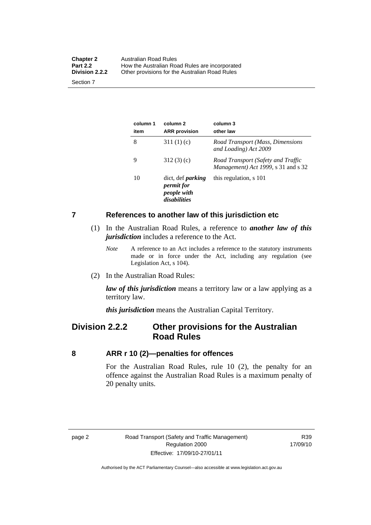<span id="page-21-0"></span>

| <b>Chapter 2</b><br><b>Part 2.2</b> | Australian Road Rules<br>How the Australian Road Rules are incorporated |
|-------------------------------------|-------------------------------------------------------------------------|
| Division 2.2.2                      | Other provisions for the Australian Road Rules                          |
| Section 7                           |                                                                         |

**column 1 item column 2 ARR provision column 3 other law**  8 311 (1) (c) *Road Transport (Mass, Dimensions and Loading) Act 2009*  9 312 (3) (c) *Road Transport (Safety and Traffic Management) Act 1999*, s 31 and s 32 10 dict, def *parking permit for people with disabilities* this regulation, s 101

#### **7 References to another law of this jurisdiction etc**

- (1) In the Australian Road Rules, a reference to *another law of this jurisdiction* includes a reference to the Act.
	- *Note* A reference to an Act includes a reference to the statutory instruments made or in force under the Act, including any regulation (see Legislation Act, s 104).
- (2) In the Australian Road Rules:

*law of this jurisdiction* means a territory law or a law applying as a territory law.

*this jurisdiction* means the Australian Capital Territory.

### **Division 2.2.2 Other provisions for the Australian Road Rules**

#### **8 ARR r 10 (2)—penalties for offences**

For the Australian Road Rules, rule 10 (2), the penalty for an offence against the Australian Road Rules is a maximum penalty of 20 penalty units.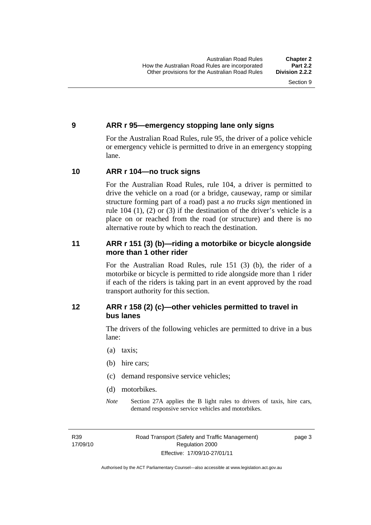#### <span id="page-22-0"></span>**9 ARR r 95—emergency stopping lane only signs**

For the Australian Road Rules, rule 95, the driver of a police vehicle or emergency vehicle is permitted to drive in an emergency stopping lane.

#### **10 ARR r 104—no truck signs**

For the Australian Road Rules, rule 104, a driver is permitted to drive the vehicle on a road (or a bridge, causeway, ramp or similar structure forming part of a road) past a *no trucks sign* mentioned in rule 104 (1), (2) or (3) if the destination of the driver's vehicle is a place on or reached from the road (or structure) and there is no alternative route by which to reach the destination.

#### **11 ARR r 151 (3) (b)—riding a motorbike or bicycle alongside more than 1 other rider**

For the Australian Road Rules, rule 151 (3) (b), the rider of a motorbike or bicycle is permitted to ride alongside more than 1 rider if each of the riders is taking part in an event approved by the road transport authority for this section.

#### **12 ARR r 158 (2) (c)—other vehicles permitted to travel in bus lanes**

The drivers of the following vehicles are permitted to drive in a bus lane:

- (a) taxis;
- (b) hire cars;
- (c) demand responsive service vehicles;
- (d) motorbikes.
- *Note* Section 27A applies the B light rules to drivers of taxis, hire cars, demand responsive service vehicles and motorbikes.

R39 17/09/10 page 3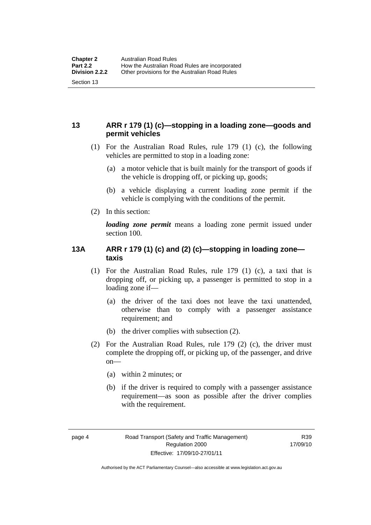#### <span id="page-23-0"></span>**13 ARR r 179 (1) (c)—stopping in a loading zone—goods and permit vehicles**

- (1) For the Australian Road Rules, rule 179 (1) (c), the following vehicles are permitted to stop in a loading zone:
	- (a) a motor vehicle that is built mainly for the transport of goods if the vehicle is dropping off, or picking up, goods;
	- (b) a vehicle displaying a current loading zone permit if the vehicle is complying with the conditions of the permit.
- (2) In this section:

*loading zone permit* means a loading zone permit issued under section 100.

#### **13A ARR r 179 (1) (c) and (2) (c)—stopping in loading zone taxis**

- (1) For the Australian Road Rules, rule 179 (1) (c), a taxi that is dropping off, or picking up, a passenger is permitted to stop in a loading zone if—
	- (a) the driver of the taxi does not leave the taxi unattended, otherwise than to comply with a passenger assistance requirement; and
	- (b) the driver complies with subsection (2).
- (2) For the Australian Road Rules, rule 179 (2) (c), the driver must complete the dropping off, or picking up, of the passenger, and drive on—
	- (a) within 2 minutes; or
	- (b) if the driver is required to comply with a passenger assistance requirement—as soon as possible after the driver complies with the requirement.

Authorised by the ACT Parliamentary Counsel—also accessible at www.legislation.act.gov.au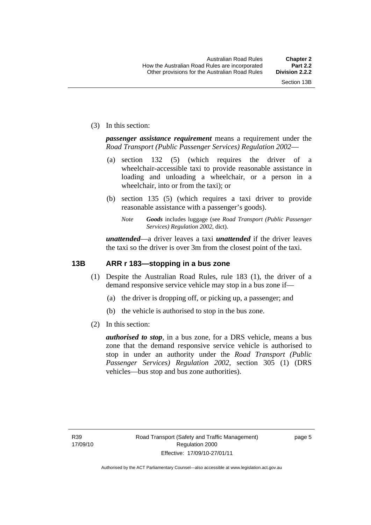<span id="page-24-0"></span>(3) In this section:

*passenger assistance requirement* means a requirement under the *Road Transport (Public Passenger Services) Regulation 2002*—

- (a) section 132 (5) (which requires the driver of a wheelchair-accessible taxi to provide reasonable assistance in loading and unloading a wheelchair, or a person in a wheelchair, into or from the taxi); or
- (b) section 135 (5) (which requires a taxi driver to provide reasonable assistance with a passenger's goods).
	- *Note Goods* includes luggage (see *Road Transport (Public Passenger Services) Regulation 2002*, dict).

*unattended*—a driver leaves a taxi *unattended* if the driver leaves the taxi so the driver is over 3m from the closest point of the taxi.

#### **13B ARR r 183—stopping in a bus zone**

- (1) Despite the Australian Road Rules, rule 183 (1), the driver of a demand responsive service vehicle may stop in a bus zone if—
	- (a) the driver is dropping off, or picking up, a passenger; and
	- (b) the vehicle is authorised to stop in the bus zone.
- (2) In this section:

*authorised to stop*, in a bus zone, for a DRS vehicle, means a bus zone that the demand responsive service vehicle is authorised to stop in under an authority under the *Road Transport (Public Passenger Services) Regulation 2002*, section 305 (1) (DRS vehicles—bus stop and bus zone authorities).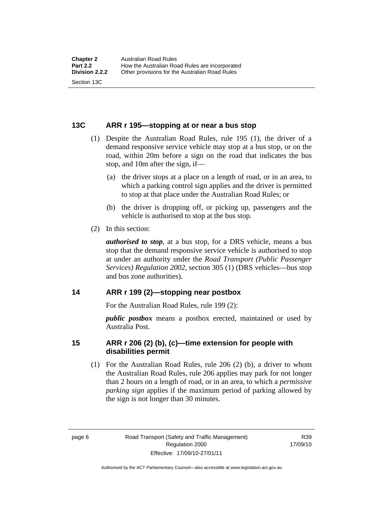#### <span id="page-25-0"></span>**13C ARR r 195—stopping at or near a bus stop**

- (1) Despite the Australian Road Rules, rule 195 (1), the driver of a demand responsive service vehicle may stop at a bus stop, or on the road, within 20m before a sign on the road that indicates the bus stop, and 10m after the sign, if—
	- (a) the driver stops at a place on a length of road, or in an area, to which a parking control sign applies and the driver is permitted to stop at that place under the Australian Road Rules; or
	- (b) the driver is dropping off, or picking up, passengers and the vehicle is authorised to stop at the bus stop.
- (2) In this section:

*authorised to stop*, at a bus stop, for a DRS vehicle, means a bus stop that the demand responsive service vehicle is authorised to stop at under an authority under the *Road Transport (Public Passenger Services) Regulation 2002*, section 305 (1) (DRS vehicles—bus stop and bus zone authorities).

#### **14 ARR r 199 (2)—stopping near postbox**

For the Australian Road Rules, rule 199 (2):

*public postbox* means a postbox erected, maintained or used by Australia Post.

#### **15 ARR r 206 (2) (b), (c)—time extension for people with disabilities permit**

 (1) For the Australian Road Rules, rule 206 (2) (b), a driver to whom the Australian Road Rules, rule 206 applies may park for not longer than 2 hours on a length of road, or in an area, to which a *permissive parking sign* applies if the maximum period of parking allowed by the sign is not longer than 30 minutes.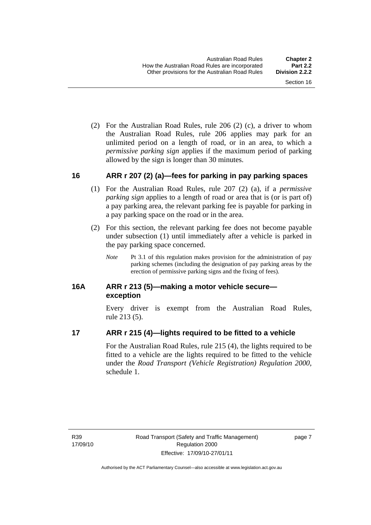<span id="page-26-0"></span> (2) For the Australian Road Rules, rule 206 (2) (c), a driver to whom the Australian Road Rules, rule 206 applies may park for an unlimited period on a length of road, or in an area, to which a *permissive parking sign* applies if the maximum period of parking allowed by the sign is longer than 30 minutes.

#### **16 ARR r 207 (2) (a)—fees for parking in pay parking spaces**

- (1) For the Australian Road Rules, rule 207 (2) (a), if a *permissive parking sign* applies to a length of road or area that is (or is part of) a pay parking area, the relevant parking fee is payable for parking in a pay parking space on the road or in the area.
- (2) For this section, the relevant parking fee does not become payable under subsection (1) until immediately after a vehicle is parked in the pay parking space concerned.
	- *Note* Pt 3.1 of this regulation makes provision for the administration of pay parking schemes (including the designation of pay parking areas by the erection of permissive parking signs and the fixing of fees).

#### **16A ARR r 213 (5)—making a motor vehicle secure exception**

Every driver is exempt from the Australian Road Rules, rule 213 (5).

#### **17 ARR r 215 (4)—lights required to be fitted to a vehicle**

For the Australian Road Rules, rule 215 (4), the lights required to be fitted to a vehicle are the lights required to be fitted to the vehicle under the *Road Transport (Vehicle Registration) Regulation 2000,*  schedule 1.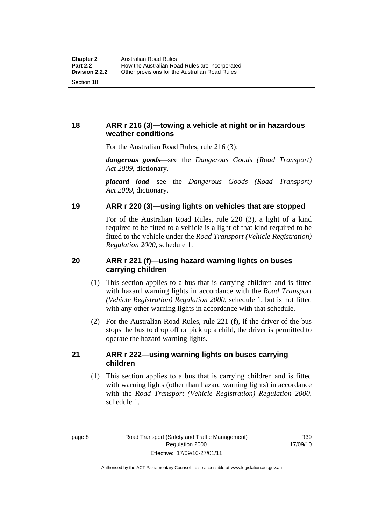#### <span id="page-27-0"></span>**18 ARR r 216 (3)—towing a vehicle at night or in hazardous weather conditions**

For the Australian Road Rules, rule 216 (3):

*dangerous goods*—see the *Dangerous Goods (Road Transport) Act 2009*, dictionary.

*placard load*—see the *Dangerous Goods (Road Transport) Act 2009*, dictionary.

#### **19 ARR r 220 (3)—using lights on vehicles that are stopped**

For of the Australian Road Rules, rule 220 (3), a light of a kind required to be fitted to a vehicle is a light of that kind required to be fitted to the vehicle under the *Road Transport (Vehicle Registration) Regulation 2000*, schedule 1.

#### **20 ARR r 221 (f)—using hazard warning lights on buses carrying children**

- (1) This section applies to a bus that is carrying children and is fitted with hazard warning lights in accordance with the *Road Transport (Vehicle Registration) Regulation 2000*, schedule 1, but is not fitted with any other warning lights in accordance with that schedule.
- (2) For the Australian Road Rules, rule 221 (f), if the driver of the bus stops the bus to drop off or pick up a child, the driver is permitted to operate the hazard warning lights.

#### **21 ARR r 222—using warning lights on buses carrying children**

 (1) This section applies to a bus that is carrying children and is fitted with warning lights (other than hazard warning lights) in accordance with the *Road Transport (Vehicle Registration) Regulation 2000*, schedule 1.

R39 17/09/10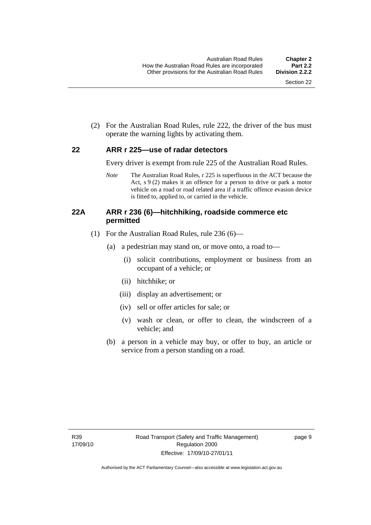<span id="page-28-0"></span> (2) For the Australian Road Rules, rule 222, the driver of the bus must operate the warning lights by activating them.

#### **22 ARR r 225—use of radar detectors**

Every driver is exempt from rule 225 of the Australian Road Rules.

*Note* The Australian Road Rules, r 225 is superfluous in the ACT because the Act, s 9 (2) makes it an offence for a person to drive or park a motor vehicle on a road or road related area if a traffic offence evasion device is fitted to, applied to, or carried in the vehicle.

#### **22A ARR r 236 (6)—hitchhiking, roadside commerce etc permitted**

- (1) For the Australian Road Rules, rule 236 (6)—
	- (a) a pedestrian may stand on, or move onto, a road to—
		- (i) solicit contributions, employment or business from an occupant of a vehicle; or
		- (ii) hitchhike; or
		- (iii) display an advertisement; or
		- (iv) sell or offer articles for sale; or
		- (v) wash or clean, or offer to clean, the windscreen of a vehicle; and
	- (b) a person in a vehicle may buy, or offer to buy, an article or service from a person standing on a road.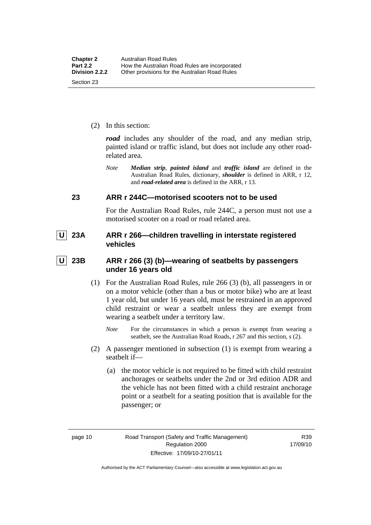<span id="page-29-0"></span>(2) In this section:

*road* includes any shoulder of the road, and any median strip, painted island or traffic island, but does not include any other roadrelated area.

*Note Median strip*, *painted island* and *traffic island* are defined in the Australian Road Rules, dictionary, *shoulder* is defined in ARR, r 12, and *road-related area* is defined in the ARR, r 13.

#### **23 ARR r 244C—motorised scooters not to be used**

For the Australian Road Rules, rule 244C, a person must not use a motorised scooter on a road or road related area.

 **U 23A ARR r 266—children travelling in interstate registered vehicles** 

 **U 23B ARR r 266 (3) (b)—wearing of seatbelts by passengers under 16 years old** 

- (1) For the Australian Road Rules, rule 266 (3) (b), all passengers in or on a motor vehicle (other than a bus or motor bike) who are at least 1 year old, but under 16 years old, must be restrained in an approved child restraint or wear a seatbelt unless they are exempt from wearing a seatbelt under a territory law.
	- *Note* For the circumstances in which a person is exempt from wearing a seatbelt, see the Australian Road Roads, r 267 and this section, s (2).
- (2) A passenger mentioned in subsection (1) is exempt from wearing a seatbelt if—
	- (a) the motor vehicle is not required to be fitted with child restraint anchorages or seatbelts under the 2nd or 3rd edition ADR and the vehicle has not been fitted with a child restraint anchorage point or a seatbelt for a seating position that is available for the passenger; or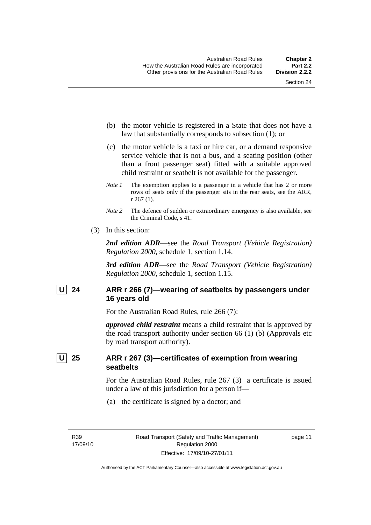- <span id="page-30-0"></span> (b) the motor vehicle is registered in a State that does not have a law that substantially corresponds to subsection (1); or
- (c) the motor vehicle is a taxi or hire car, or a demand responsive service vehicle that is not a bus, and a seating position (other than a front passenger seat) fitted with a suitable approved child restraint or seatbelt is not available for the passenger.
- *Note 1* The exemption applies to a passenger in a vehicle that has 2 or more rows of seats only if the passenger sits in the rear seats, see the ARR, r 267 (1).
- *Note* 2 The defence of sudden or extraordinary emergency is also available, see the Criminal Code, s 41.
- (3) In this section:

*2nd edition ADR*—see the *Road Transport (Vehicle Registration) Regulation 2000*, schedule 1, section 1.14.

*3rd edition ADR*—see the *Road Transport (Vehicle Registration) Regulation 2000*, schedule 1, section 1.15.

#### U 24 ARR r 266 (7)—wearing of seatbelts by passengers under **16 years old**

For the Australian Road Rules, rule 266 (7):

*approved child restraint* means a child restraint that is approved by the road transport authority under section 66 (1) (b) (Approvals etc by road transport authority).

#### **U 25 ARR r 267 (3)—certificates of exemption from wearing seatbelts**

For the Australian Road Rules, rule 267 (3) a certificate is issued under a law of this jurisdiction for a person if—

(a) the certificate is signed by a doctor; and

R39 17/09/10 page 11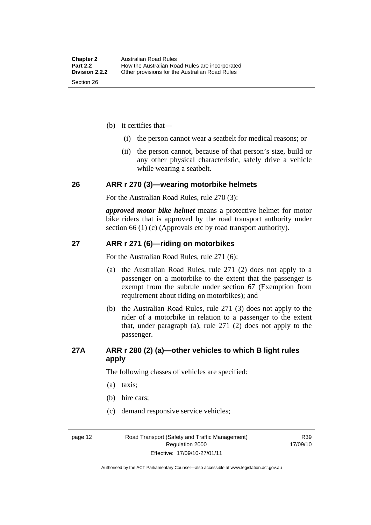- <span id="page-31-0"></span> (b) it certifies that—
	- (i) the person cannot wear a seatbelt for medical reasons; or
	- (ii) the person cannot, because of that person's size, build or any other physical characteristic, safely drive a vehicle while wearing a seatbelt.

#### **26 ARR r 270 (3)—wearing motorbike helmets**

For the Australian Road Rules, rule 270 (3):

*approved motor bike helmet* means a protective helmet for motor bike riders that is approved by the road transport authority under section 66 (1) (c) (Approvals etc by road transport authority).

#### **27 ARR r 271 (6)—riding on motorbikes**

For the Australian Road Rules, rule 271 (6):

- (a) the Australian Road Rules, rule 271 (2) does not apply to a passenger on a motorbike to the extent that the passenger is exempt from the subrule under section 67 (Exemption from requirement about riding on motorbikes); and
- (b) the Australian Road Rules, rule 271 (3) does not apply to the rider of a motorbike in relation to a passenger to the extent that, under paragraph (a), rule 271 (2) does not apply to the passenger.

#### **27A ARR r 280 (2) (a)—other vehicles to which B light rules apply**

The following classes of vehicles are specified:

- (a) taxis;
- (b) hire cars;
- (c) demand responsive service vehicles;

page 12 Road Transport (Safety and Traffic Management) Regulation 2000 Effective: 17/09/10-27/01/11

R39 17/09/10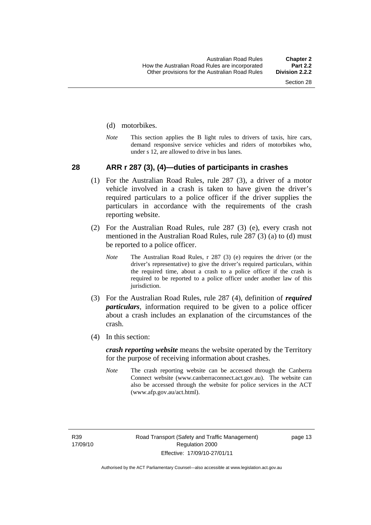#### <span id="page-32-0"></span>(d) motorbikes.

*Note* This section applies the B light rules to drivers of taxis, hire cars, demand responsive service vehicles and riders of motorbikes who, under s 12, are allowed to drive in bus lanes.

#### **28 ARR r 287 (3), (4)—duties of participants in crashes**

- (1) For the Australian Road Rules, rule 287 (3), a driver of a motor vehicle involved in a crash is taken to have given the driver's required particulars to a police officer if the driver supplies the particulars in accordance with the requirements of the crash reporting website.
- (2) For the Australian Road Rules, rule 287 (3) (e), every crash not mentioned in the Australian Road Rules, rule 287 (3) (a) to (d) must be reported to a police officer.
	- *Note* The Australian Road Rules, r 287 (3) (e) requires the driver (or the driver's representative) to give the driver's required particulars, within the required time, about a crash to a police officer if the crash is required to be reported to a police officer under another law of this jurisdiction.
- (3) For the Australian Road Rules, rule 287 (4), definition of *required particulars*, information required to be given to a police officer about a crash includes an explanation of the circumstances of the crash.
- (4) In this section:

*crash reporting website* means the website operated by the Territory for the purpose of receiving information about crashes.

*Note* The crash reporting website can be accessed through the Canberra Connect website (www.canberraconnect.act.gov.au). The website can also be accessed through the website for police services in the ACT (www.afp.gov.au/act.html).

R39 17/09/10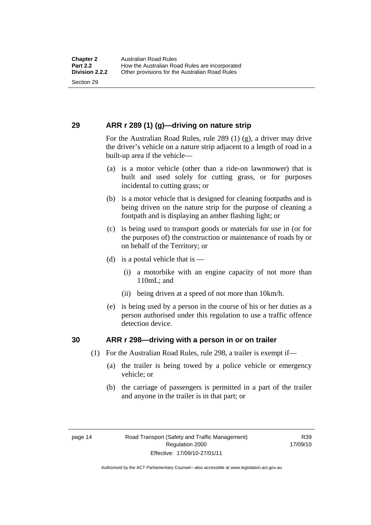#### <span id="page-33-0"></span>**29 ARR r 289 (1) (g)—driving on nature strip**

For the Australian Road Rules, rule 289 (1) (g), a driver may drive the driver's vehicle on a nature strip adjacent to a length of road in a built-up area if the vehicle—

- (a) is a motor vehicle (other than a ride-on lawnmower) that is built and used solely for cutting grass, or for purposes incidental to cutting grass; or
- (b) is a motor vehicle that is designed for cleaning footpaths and is being driven on the nature strip for the purpose of cleaning a footpath and is displaying an amber flashing light; or
- (c) is being used to transport goods or materials for use in (or for the purposes of) the construction or maintenance of roads by or on behalf of the Territory; or
- (d) is a postal vehicle that is  $-$ 
	- (i) a motorbike with an engine capacity of not more than 110mL; and
	- (ii) being driven at a speed of not more than 10km/h.
- (e) is being used by a person in the course of his or her duties as a person authorised under this regulation to use a traffic offence detection device.

#### **30 ARR r 298—driving with a person in or on trailer**

- (1) For the Australian Road Rules, rule 298, a trailer is exempt if—
	- (a) the trailer is being towed by a police vehicle or emergency vehicle; or
	- (b) the carriage of passengers is permitted in a part of the trailer and anyone in the trailer is in that part; or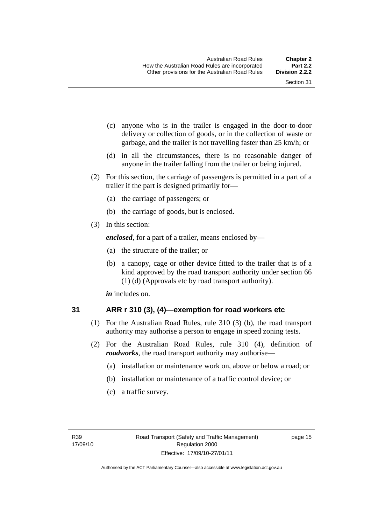- <span id="page-34-0"></span> (c) anyone who is in the trailer is engaged in the door-to-door delivery or collection of goods, or in the collection of waste or garbage, and the trailer is not travelling faster than 25 km/h; or
- (d) in all the circumstances, there is no reasonable danger of anyone in the trailer falling from the trailer or being injured.
- (2) For this section, the carriage of passengers is permitted in a part of a trailer if the part is designed primarily for—
	- (a) the carriage of passengers; or
	- (b) the carriage of goods, but is enclosed.
- (3) In this section:

*enclosed*, for a part of a trailer, means enclosed by—

- (a) the structure of the trailer; or
- (b) a canopy, cage or other device fitted to the trailer that is of a kind approved by the road transport authority under section 66 (1) (d) (Approvals etc by road transport authority).

*in* includes on.

#### **31 ARR r 310 (3), (4)—exemption for road workers etc**

- (1) For the Australian Road Rules, rule 310 (3) (b), the road transport authority may authorise a person to engage in speed zoning tests.
- (2) For the Australian Road Rules, rule 310 (4), definition of *roadworks*, the road transport authority may authorise—
	- (a) installation or maintenance work on, above or below a road; or
	- (b) installation or maintenance of a traffic control device; or
	- (c) a traffic survey.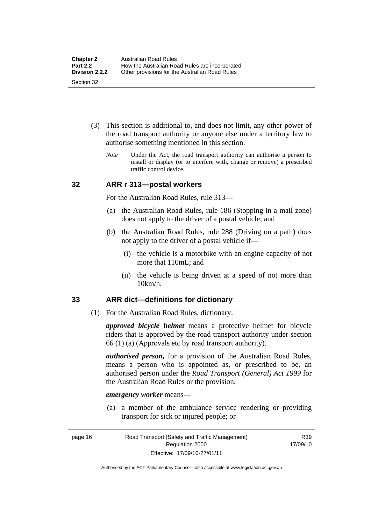- <span id="page-35-0"></span> (3) This section is additional to, and does not limit, any other power of the road transport authority or anyone else under a territory law to authorise something mentioned in this section.
	- *Note* Under the Act, the road transport authority can authorise a person to install or display (or to interfere with, change or remove) a prescribed traffic control device.

#### **32 ARR r 313—postal workers**

For the Australian Road Rules, rule 313—

- (a) the Australian Road Rules, rule 186 (Stopping in a mail zone) does not apply to the driver of a postal vehicle; and
- (b) the Australian Road Rules, rule 288 (Driving on a path) does not apply to the driver of a postal vehicle if—
	- (i) the vehicle is a motorbike with an engine capacity of not more that 110mL; and
	- (ii) the vehicle is being driven at a speed of not more than 10km/h.

#### **33 ARR dict—definitions for dictionary**

(1) For the Australian Road Rules, dictionary:

*approved bicycle helmet* means a protective helmet for bicycle riders that is approved by the road transport authority under section 66 (1) (a) (Approvals etc by road transport authority).

*authorised person,* for a provision of the Australian Road Rules, means a person who is appointed as, or prescribed to be, an authorised person under the *Road Transport (General) Act 1999* for the Australian Road Rules or the provision.

#### *emergency worker* means—

 (a) a member of the ambulance service rendering or providing transport for sick or injured people; or

R39 17/09/10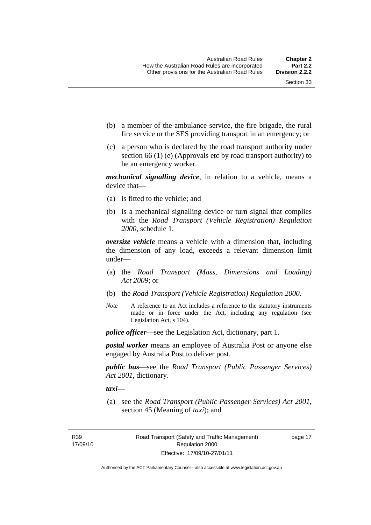- (b) a member of the ambulance service, the fire brigade, the rural fire service or the SES providing transport in an emergency; or
- (c) a person who is declared by the road transport authority under section 66 (1) (e) (Approvals etc by road transport authority) to be an emergency worker.

*mechanical signalling device*, in relation to a vehicle, means a device that—

- (a) is fitted to the vehicle; and
- (b) is a mechanical signalling device or turn signal that complies with the *Road Transport (Vehicle Registration) Regulation 2000*, schedule 1.

*oversize vehicle* means a vehicle with a dimension that, including the dimension of any load, exceeds a relevant dimension limit under—

- (a) the *Road Transport (Mass, Dimensions and Loading) Act 2009*; or
- (b) the *Road Transport (Vehicle Registration) Regulation 2000*.
- *Note* A reference to an Act includes a reference to the statutory instruments made or in force under the Act, including any regulation (see Legislation Act, s 104).

*police officer*—see the Legislation Act, dictionary, part 1.

*postal worker* means an employee of Australia Post or anyone else engaged by Australia Post to deliver post.

*public bus*—see the *Road Transport (Public Passenger Services) Act 2001*, dictionary.

*taxi*—

 (a) see the *Road Transport (Public Passenger Services) Act 2001*, section 45 (Meaning of *taxi*); and

R39 17/09/10 page 17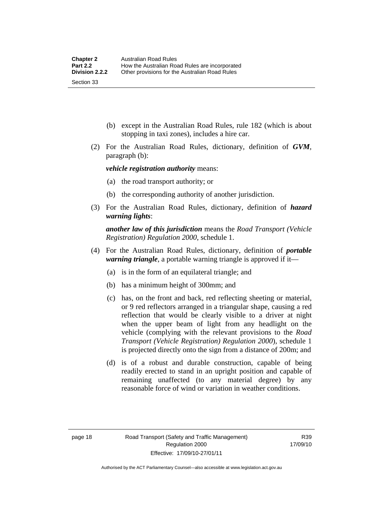- (b) except in the Australian Road Rules, rule 182 (which is about stopping in taxi zones), includes a hire car.
- (2) For the Australian Road Rules, dictionary, definition of *GVM*, paragraph (b):

*vehicle registration authority* means:

- (a) the road transport authority; or
- (b) the corresponding authority of another jurisdiction.
- (3) For the Australian Road Rules, dictionary, definition of *hazard warning lights*:

*another law of this jurisdiction* means the *Road Transport (Vehicle Registration) Regulation 2000*, schedule 1.

- (4) For the Australian Road Rules, dictionary, definition of *portable warning triangle*, a portable warning triangle is approved if it—
	- (a) is in the form of an equilateral triangle; and
	- (b) has a minimum height of 300mm; and
	- (c) has, on the front and back, red reflecting sheeting or material, or 9 red reflectors arranged in a triangular shape, causing a red reflection that would be clearly visible to a driver at night when the upper beam of light from any headlight on the vehicle (complying with the relevant provisions to the *Road Transport (Vehicle Registration) Regulation 2000*), schedule 1 is projected directly onto the sign from a distance of 200m; and
	- (d) is of a robust and durable construction, capable of being readily erected to stand in an upright position and capable of remaining unaffected (to any material degree) by any reasonable force of wind or variation in weather conditions.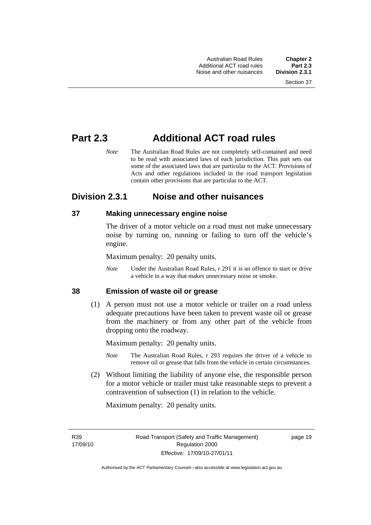# **Part 2.3 Additional ACT road rules**

*Note* The Australian Road Rules are not completely self-contained and need to be read with associated laws of each jurisdiction. This part sets out some of the associated laws that are particular to the ACT. Provisions of Acts and other regulations included in the road transport legislation contain other provisions that are particular to the ACT.

## **Division 2.3.1 Noise and other nuisances**

## **37 Making unnecessary engine noise**

The driver of a motor vehicle on a road must not make unnecessary noise by turning on, running or failing to turn off the vehicle's engine.

Maximum penalty: 20 penalty units.

*Note* Under the Australian Road Rules, r 291 it is an offence to start or drive a vehicle in a way that makes unnecessary noise or smoke.

#### **38 Emission of waste oil or grease**

 (1) A person must not use a motor vehicle or trailer on a road unless adequate precautions have been taken to prevent waste oil or grease from the machinery or from any other part of the vehicle from dropping onto the roadway.

Maximum penalty: 20 penalty units.

- *Note* The Australian Road Rules, r 293 requires the driver of a vehicle to remove oil or grease that falls from the vehicle in certain circumstances.
- (2) Without limiting the liability of anyone else, the responsible person for a motor vehicle or trailer must take reasonable steps to prevent a contravention of subsection (1) in relation to the vehicle.

Maximum penalty: 20 penalty units.

R39 17/09/10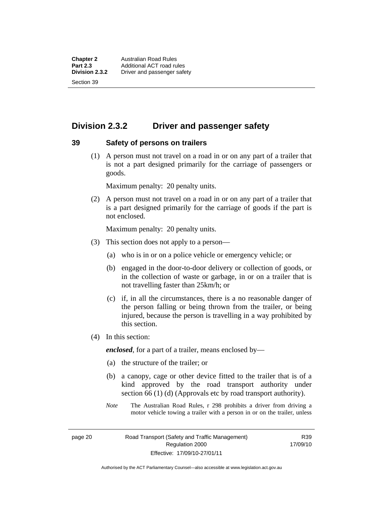## **Division 2.3.2 Driver and passenger safety**

#### **39 Safety of persons on trailers**

 (1) A person must not travel on a road in or on any part of a trailer that is not a part designed primarily for the carriage of passengers or goods.

Maximum penalty: 20 penalty units.

 (2) A person must not travel on a road in or on any part of a trailer that is a part designed primarily for the carriage of goods if the part is not enclosed.

Maximum penalty: 20 penalty units.

- (3) This section does not apply to a person—
	- (a) who is in or on a police vehicle or emergency vehicle; or
	- (b) engaged in the door-to-door delivery or collection of goods, or in the collection of waste or garbage, in or on a trailer that is not travelling faster than 25km/h; or
	- (c) if, in all the circumstances, there is a no reasonable danger of the person falling or being thrown from the trailer, or being injured, because the person is travelling in a way prohibited by this section.
- (4) In this section:

*enclosed*, for a part of a trailer, means enclosed by—

- (a) the structure of the trailer; or
- (b) a canopy, cage or other device fitted to the trailer that is of a kind approved by the road transport authority under section 66 (1) (d) (Approvals etc by road transport authority).
- *Note* The Australian Road Rules, r 298 prohibits a driver from driving a motor vehicle towing a trailer with a person in or on the trailer, unless

page 20 Road Transport (Safety and Traffic Management) Regulation 2000 Effective: 17/09/10-27/01/11

R39 17/09/10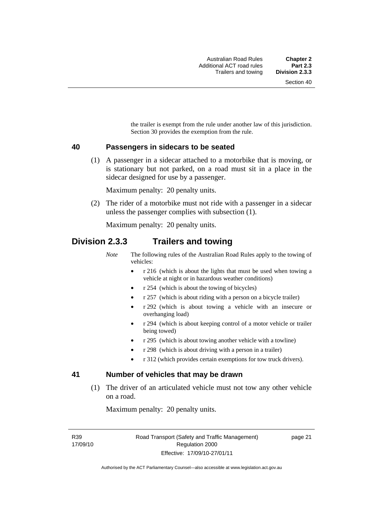the trailer is exempt from the rule under another law of this jurisdiction. Section 30 provides the exemption from the rule.

#### **40 Passengers in sidecars to be seated**

 (1) A passenger in a sidecar attached to a motorbike that is moving, or is stationary but not parked, on a road must sit in a place in the sidecar designed for use by a passenger.

Maximum penalty: 20 penalty units.

 (2) The rider of a motorbike must not ride with a passenger in a sidecar unless the passenger complies with subsection (1).

Maximum penalty: 20 penalty units.

## **Division 2.3.3 Trailers and towing**

*Note* The following rules of the Australian Road Rules apply to the towing of vehicles:

- r 216 (which is about the lights that must be used when towing a vehicle at night or in hazardous weather conditions)
- r 254 (which is about the towing of bicycles)
- r 257 (which is about riding with a person on a bicycle trailer)
- r 292 (which is about towing a vehicle with an insecure or overhanging load)
- r 294 (which is about keeping control of a motor vehicle or trailer being towed)
- r 295 (which is about towing another vehicle with a towline)
- r 298 (which is about driving with a person in a trailer)
- r 312 (which provides certain exemptions for tow truck drivers).

#### **41 Number of vehicles that may be drawn**

 (1) The driver of an articulated vehicle must not tow any other vehicle on a road.

Maximum penalty: 20 penalty units.

R39 17/09/10 page 21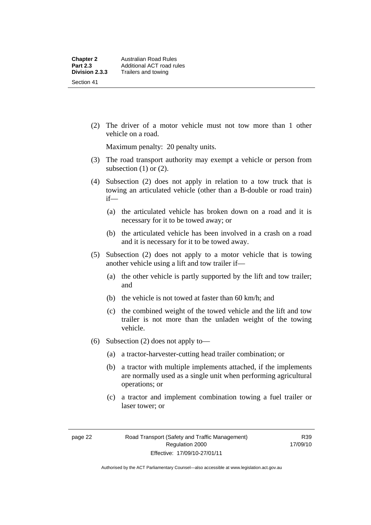(2) The driver of a motor vehicle must not tow more than 1 other vehicle on a road.

Maximum penalty: 20 penalty units.

- (3) The road transport authority may exempt a vehicle or person from subsection  $(1)$  or  $(2)$ .
- (4) Subsection (2) does not apply in relation to a tow truck that is towing an articulated vehicle (other than a B-double or road train) if—
	- (a) the articulated vehicle has broken down on a road and it is necessary for it to be towed away; or
	- (b) the articulated vehicle has been involved in a crash on a road and it is necessary for it to be towed away.
- (5) Subsection (2) does not apply to a motor vehicle that is towing another vehicle using a lift and tow trailer if—
	- (a) the other vehicle is partly supported by the lift and tow trailer; and
	- (b) the vehicle is not towed at faster than 60 km/h; and
	- (c) the combined weight of the towed vehicle and the lift and tow trailer is not more than the unladen weight of the towing vehicle.
- (6) Subsection (2) does not apply to—
	- (a) a tractor-harvester-cutting head trailer combination; or
	- (b) a tractor with multiple implements attached, if the implements are normally used as a single unit when performing agricultural operations; or
	- (c) a tractor and implement combination towing a fuel trailer or laser tower; or

R39 17/09/10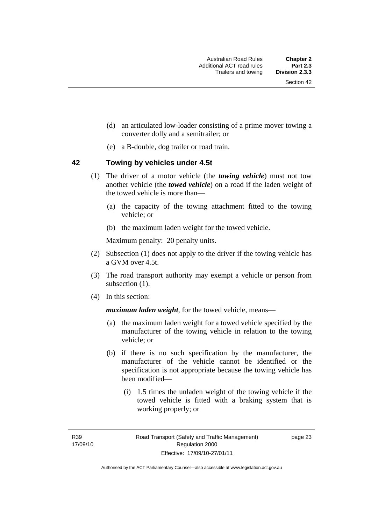- (d) an articulated low-loader consisting of a prime mover towing a converter dolly and a semitrailer; or
- (e) a B-double, dog trailer or road train.

#### **42 Towing by vehicles under 4.5t**

- (1) The driver of a motor vehicle (the *towing vehicle*) must not tow another vehicle (the *towed vehicle*) on a road if the laden weight of the towed vehicle is more than—
	- (a) the capacity of the towing attachment fitted to the towing vehicle; or
	- (b) the maximum laden weight for the towed vehicle.

Maximum penalty: 20 penalty units.

- (2) Subsection (1) does not apply to the driver if the towing vehicle has a GVM over 4.5t.
- (3) The road transport authority may exempt a vehicle or person from subsection  $(1)$ .
- (4) In this section:

*maximum laden weight*, for the towed vehicle, means—

- (a) the maximum laden weight for a towed vehicle specified by the manufacturer of the towing vehicle in relation to the towing vehicle; or
- (b) if there is no such specification by the manufacturer, the manufacturer of the vehicle cannot be identified or the specification is not appropriate because the towing vehicle has been modified—
	- (i) 1.5 times the unladen weight of the towing vehicle if the towed vehicle is fitted with a braking system that is working properly; or

R39 17/09/10 page 23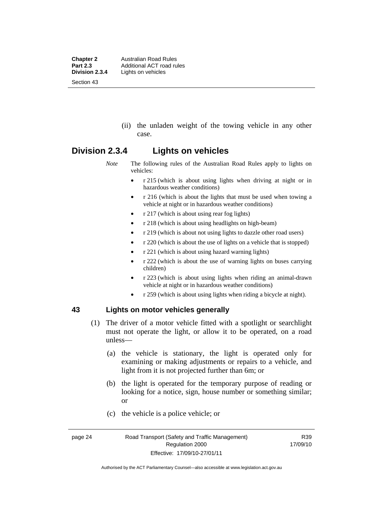**Chapter 2 Australian Road Rules**<br>**Part 2.3 Additional ACT road rules Part 2.3** Additional ACT road rules<br>**Division 2.3.4** Lights on vehicles Lights on vehicles Section 43

> (ii) the unladen weight of the towing vehicle in any other case.

## **Division 2.3.4 Lights on vehicles**

*Note* The following rules of the Australian Road Rules apply to lights on vehicles:

- r 215 (which is about using lights when driving at night or in hazardous weather conditions)
- r 216 (which is about the lights that must be used when towing a vehicle at night or in hazardous weather conditions)
- r 217 (which is about using rear fog lights)
- r 218 (which is about using headlights on high-beam)
- r 219 (which is about not using lights to dazzle other road users)
- r 220 (which is about the use of lights on a vehicle that is stopped)
- r 221 (which is about using hazard warning lights)
- r 222 (which is about the use of warning lights on buses carrying children)
- r 223 (which is about using lights when riding an animal-drawn vehicle at night or in hazardous weather conditions)
- r 259 (which is about using lights when riding a bicycle at night).

#### **43 Lights on motor vehicles generally**

- (1) The driver of a motor vehicle fitted with a spotlight or searchlight must not operate the light, or allow it to be operated, on a road unless—
	- (a) the vehicle is stationary, the light is operated only for examining or making adjustments or repairs to a vehicle, and light from it is not projected further than 6m; or
	- (b) the light is operated for the temporary purpose of reading or looking for a notice, sign, house number or something similar; or
	- (c) the vehicle is a police vehicle; or

R39 17/09/10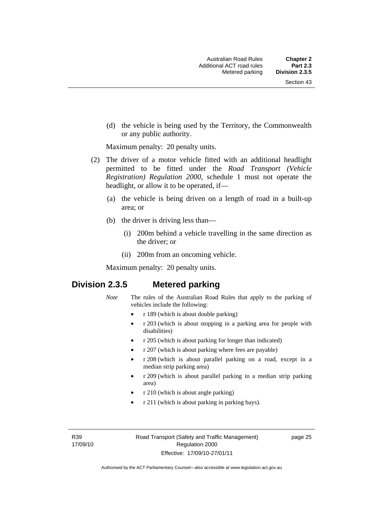(d) the vehicle is being used by the Territory, the Commonwealth or any public authority.

Maximum penalty: 20 penalty units.

- (2) The driver of a motor vehicle fitted with an additional headlight permitted to be fitted under the *Road Transport (Vehicle Registration) Regulation 2000*, schedule 1 must not operate the headlight, or allow it to be operated, if—
	- (a) the vehicle is being driven on a length of road in a built-up area; or
	- (b) the driver is driving less than—
		- (i) 200m behind a vehicle travelling in the same direction as the driver; or
		- (ii) 200m from an oncoming vehicle.

Maximum penalty: 20 penalty units.

## **Division 2.3.5 Metered parking**

- *Note* The rules of the Australian Road Rules that apply to the parking of vehicles include the following:
	- r 189 (which is about double parking)
	- r 203 (which is about stopping in a parking area for people with disabilities)
	- r 205 (which is about parking for longer than indicated)
	- r 207 (which is about parking where fees are payable)
	- r 208 (which is about parallel parking on a road, except in a median strip parking area)
	- r 209 (which is about parallel parking in a median strip parking area)
	- r 210 (which is about angle parking)
	- r 211 (which is about parking in parking bays).

R39 17/09/10 page 25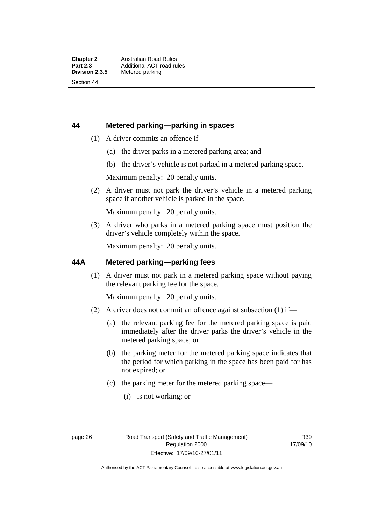#### **44 Metered parking—parking in spaces**

- (1) A driver commits an offence if—
	- (a) the driver parks in a metered parking area; and
	- (b) the driver's vehicle is not parked in a metered parking space.

Maximum penalty: 20 penalty units.

 (2) A driver must not park the driver's vehicle in a metered parking space if another vehicle is parked in the space.

Maximum penalty: 20 penalty units.

 (3) A driver who parks in a metered parking space must position the driver's vehicle completely within the space.

Maximum penalty: 20 penalty units.

#### **44A Metered parking—parking fees**

 (1) A driver must not park in a metered parking space without paying the relevant parking fee for the space.

Maximum penalty: 20 penalty units.

- (2) A driver does not commit an offence against subsection (1) if—
	- (a) the relevant parking fee for the metered parking space is paid immediately after the driver parks the driver's vehicle in the metered parking space; or
	- (b) the parking meter for the metered parking space indicates that the period for which parking in the space has been paid for has not expired; or
	- (c) the parking meter for the metered parking space—
		- (i) is not working; or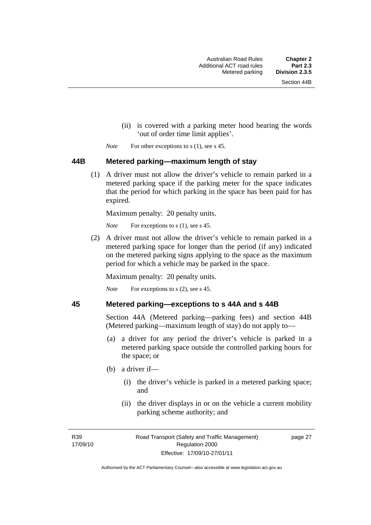- (ii) is covered with a parking meter hood bearing the words 'out of order time limit applies'.
- *Note* For other exceptions to s (1), see s 45.

#### **44B Metered parking—maximum length of stay**

 (1) A driver must not allow the driver's vehicle to remain parked in a metered parking space if the parking meter for the space indicates that the period for which parking in the space has been paid for has expired.

Maximum penalty: 20 penalty units.

*Note* For exceptions to s (1), see s 45.

 (2) A driver must not allow the driver's vehicle to remain parked in a metered parking space for longer than the period (if any) indicated on the metered parking signs applying to the space as the maximum period for which a vehicle may be parked in the space.

Maximum penalty: 20 penalty units.

*Note* For exceptions to s (2), see s 45.

#### **45 Metered parking—exceptions to s 44A and s 44B**

Section 44A (Metered parking—parking fees) and section 44B (Metered parking—maximum length of stay) do not apply to—

- (a) a driver for any period the driver's vehicle is parked in a metered parking space outside the controlled parking hours for the space; or
- (b) a driver if—
	- (i) the driver's vehicle is parked in a metered parking space; and
	- (ii) the driver displays in or on the vehicle a current mobility parking scheme authority; and

R39 17/09/10 page 27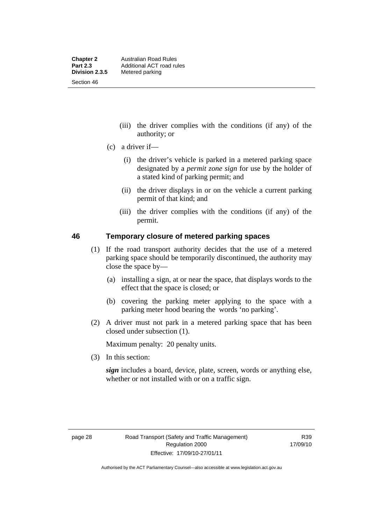- (iii) the driver complies with the conditions (if any) of the authority; or
- (c) a driver if—
	- (i) the driver's vehicle is parked in a metered parking space designated by a *permit zone sign* for use by the holder of a stated kind of parking permit; and
	- (ii) the driver displays in or on the vehicle a current parking permit of that kind; and
	- (iii) the driver complies with the conditions (if any) of the permit.

#### **46 Temporary closure of metered parking spaces**

- (1) If the road transport authority decides that the use of a metered parking space should be temporarily discontinued, the authority may close the space by—
	- (a) installing a sign, at or near the space, that displays words to the effect that the space is closed; or
	- (b) covering the parking meter applying to the space with a parking meter hood bearing the words 'no parking'.
- (2) A driver must not park in a metered parking space that has been closed under subsection (1).

Maximum penalty: 20 penalty units.

(3) In this section:

*sign* includes a board, device, plate, screen, words or anything else, whether or not installed with or on a traffic sign.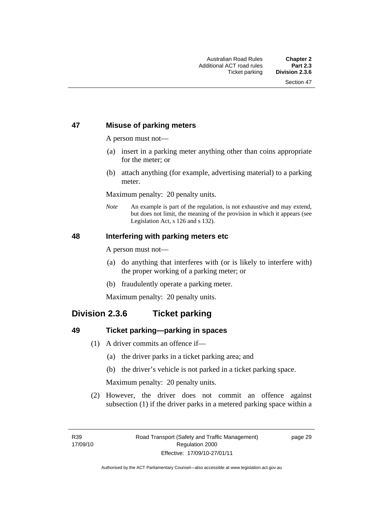### **47 Misuse of parking meters**

A person must not—

- (a) insert in a parking meter anything other than coins appropriate for the meter; or
- (b) attach anything (for example, advertising material) to a parking meter.

Maximum penalty: 20 penalty units.

*Note* An example is part of the regulation, is not exhaustive and may extend, but does not limit, the meaning of the provision in which it appears (see Legislation Act, s 126 and s 132).

#### **48 Interfering with parking meters etc**

A person must not—

- (a) do anything that interferes with (or is likely to interfere with) the proper working of a parking meter; or
- (b) fraudulently operate a parking meter.

Maximum penalty: 20 penalty units.

## **Division 2.3.6 Ticket parking**

#### **49 Ticket parking—parking in spaces**

- (1) A driver commits an offence if—
	- (a) the driver parks in a ticket parking area; and
	- (b) the driver's vehicle is not parked in a ticket parking space.

Maximum penalty: 20 penalty units.

 (2) However, the driver does not commit an offence against subsection (1) if the driver parks in a metered parking space within a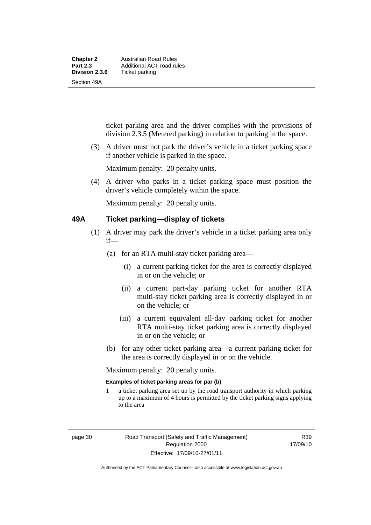ticket parking area and the driver complies with the provisions of division 2.3.5 (Metered parking) in relation to parking in the space.

 (3) A driver must not park the driver's vehicle in a ticket parking space if another vehicle is parked in the space.

Maximum penalty: 20 penalty units.

 (4) A driver who parks in a ticket parking space must position the driver's vehicle completely within the space.

Maximum penalty: 20 penalty units.

#### **49A Ticket parking—display of tickets**

- (1) A driver may park the driver's vehicle in a ticket parking area only if—
	- (a) for an RTA multi-stay ticket parking area—
		- (i) a current parking ticket for the area is correctly displayed in or on the vehicle; or
		- (ii) a current part-day parking ticket for another RTA multi-stay ticket parking area is correctly displayed in or on the vehicle; or
		- (iii) a current equivalent all-day parking ticket for another RTA multi-stay ticket parking area is correctly displayed in or on the vehicle; or
	- (b) for any other ticket parking area—a current parking ticket for the area is correctly displayed in or on the vehicle.

Maximum penalty: 20 penalty units.

#### **Examples of ticket parking areas for par (b)**

1 a ticket parking area set up by the road transport authority in which parking up to a maximum of 4 hours is permitted by the ticket parking signs applying to the area

R39 17/09/10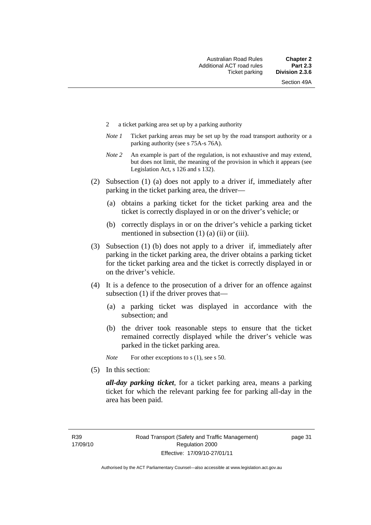- 2 a ticket parking area set up by a parking authority
- *Note 1* Ticket parking areas may be set up by the road transport authority or a parking authority (see s 75A-s 76A).
- *Note 2* An example is part of the regulation, is not exhaustive and may extend, but does not limit, the meaning of the provision in which it appears (see Legislation Act, s 126 and s 132).
- (2) Subsection (1) (a) does not apply to a driver if, immediately after parking in the ticket parking area, the driver—
	- (a) obtains a parking ticket for the ticket parking area and the ticket is correctly displayed in or on the driver's vehicle; or
	- (b) correctly displays in or on the driver's vehicle a parking ticket mentioned in subsection  $(1)$   $(a)$   $(ii)$  or  $(iii)$ .
- (3) Subsection (1) (b) does not apply to a driver if, immediately after parking in the ticket parking area, the driver obtains a parking ticket for the ticket parking area and the ticket is correctly displayed in or on the driver's vehicle.
- (4) It is a defence to the prosecution of a driver for an offence against subsection (1) if the driver proves that—
	- (a) a parking ticket was displayed in accordance with the subsection; and
	- (b) the driver took reasonable steps to ensure that the ticket remained correctly displayed while the driver's vehicle was parked in the ticket parking area.

*Note* For other exceptions to s (1), see s 50.

(5) In this section:

*all-day parking ticket*, for a ticket parking area, means a parking ticket for which the relevant parking fee for parking all-day in the area has been paid.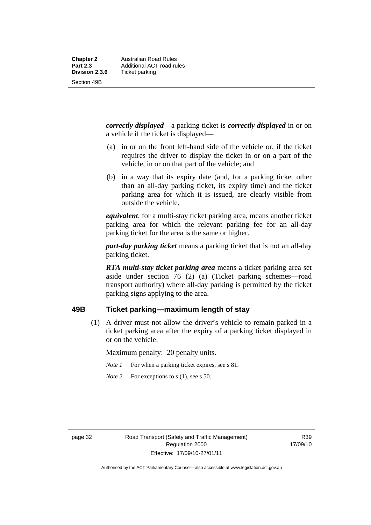Section 49B

*correctly displayed*—a parking ticket is *correctly displayed* in or on

a vehicle if the ticket is displayed—

- (a) in or on the front left-hand side of the vehicle or, if the ticket requires the driver to display the ticket in or on a part of the vehicle, in or on that part of the vehicle; and
- (b) in a way that its expiry date (and, for a parking ticket other than an all-day parking ticket, its expiry time) and the ticket parking area for which it is issued, are clearly visible from outside the vehicle.

*equivalent*, for a multi-stay ticket parking area, means another ticket parking area for which the relevant parking fee for an all-day parking ticket for the area is the same or higher.

*part-day parking ticket* means a parking ticket that is not an all-day parking ticket.

*RTA multi-stay ticket parking area* means a ticket parking area set aside under section 76 (2) (a) (Ticket parking schemes—road transport authority) where all-day parking is permitted by the ticket parking signs applying to the area.

## **49B Ticket parking—maximum length of stay**

 (1) A driver must not allow the driver's vehicle to remain parked in a ticket parking area after the expiry of a parking ticket displayed in or on the vehicle.

Maximum penalty: 20 penalty units.

- *Note 1* For when a parking ticket expires, see s 81.
- *Note* 2 For exceptions to s (1), see s 50.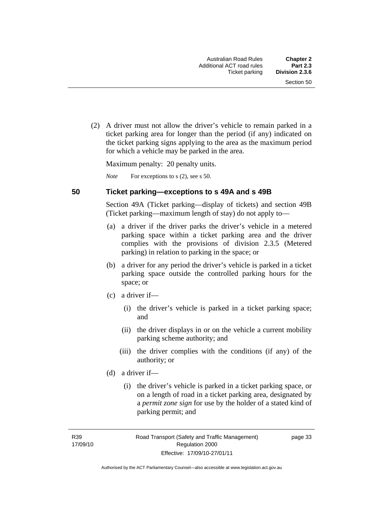(2) A driver must not allow the driver's vehicle to remain parked in a ticket parking area for longer than the period (if any) indicated on the ticket parking signs applying to the area as the maximum period for which a vehicle may be parked in the area.

Maximum penalty: 20 penalty units.

*Note* For exceptions to s (2), see s 50.

#### **50 Ticket parking—exceptions to s 49A and s 49B**

Section 49A (Ticket parking—display of tickets) and section 49B (Ticket parking—maximum length of stay) do not apply to—

- (a) a driver if the driver parks the driver's vehicle in a metered parking space within a ticket parking area and the driver complies with the provisions of division 2.3.5 (Metered parking) in relation to parking in the space; or
- (b) a driver for any period the driver's vehicle is parked in a ticket parking space outside the controlled parking hours for the space; or
- (c) a driver if—
	- (i) the driver's vehicle is parked in a ticket parking space; and
	- (ii) the driver displays in or on the vehicle a current mobility parking scheme authority; and
	- (iii) the driver complies with the conditions (if any) of the authority; or
- (d) a driver if—
	- (i) the driver's vehicle is parked in a ticket parking space, or on a length of road in a ticket parking area, designated by a *permit zone sign* for use by the holder of a stated kind of parking permit; and

R39 17/09/10 page 33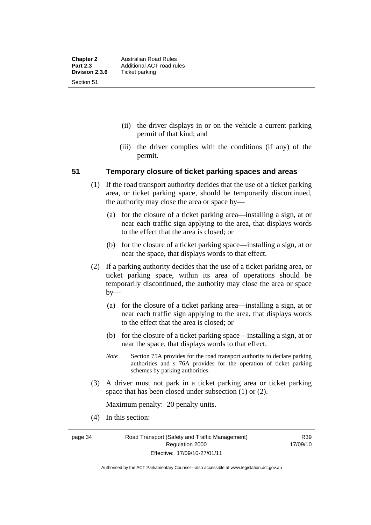- (ii) the driver displays in or on the vehicle a current parking permit of that kind; and
- (iii) the driver complies with the conditions (if any) of the permit.

#### **51 Temporary closure of ticket parking spaces and areas**

- (1) If the road transport authority decides that the use of a ticket parking area, or ticket parking space, should be temporarily discontinued, the authority may close the area or space by—
	- (a) for the closure of a ticket parking area—installing a sign, at or near each traffic sign applying to the area, that displays words to the effect that the area is closed; or
	- (b) for the closure of a ticket parking space—installing a sign, at or near the space, that displays words to that effect.
- (2) If a parking authority decides that the use of a ticket parking area, or ticket parking space, within its area of operations should be temporarily discontinued, the authority may close the area or space by—
	- (a) for the closure of a ticket parking area—installing a sign, at or near each traffic sign applying to the area, that displays words to the effect that the area is closed; or
	- (b) for the closure of a ticket parking space—installing a sign, at or near the space, that displays words to that effect.
	- *Note* Section 75A provides for the road transport authority to declare parking authorities and s 76A provides for the operation of ticket parking schemes by parking authorities.
- (3) A driver must not park in a ticket parking area or ticket parking space that has been closed under subsection (1) or (2).

Maximum penalty: 20 penalty units.

(4) In this section:

page 34 Road Transport (Safety and Traffic Management) Regulation 2000 Effective: 17/09/10-27/01/11

R39 17/09/10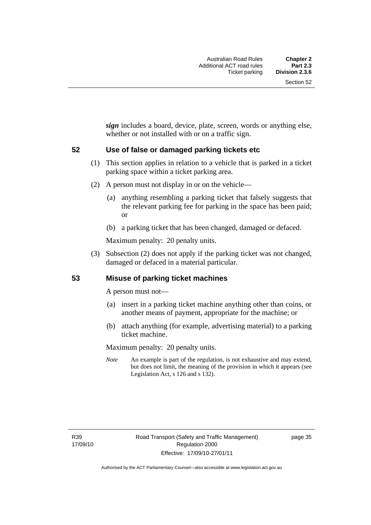*sign* includes a board, device, plate, screen, words or anything else, whether or not installed with or on a traffic sign.

#### **52 Use of false or damaged parking tickets etc**

- (1) This section applies in relation to a vehicle that is parked in a ticket parking space within a ticket parking area.
- (2) A person must not display in or on the vehicle—
	- (a) anything resembling a parking ticket that falsely suggests that the relevant parking fee for parking in the space has been paid; or
	- (b) a parking ticket that has been changed, damaged or defaced.

Maximum penalty: 20 penalty units.

 (3) Subsection (2) does not apply if the parking ticket was not changed, damaged or defaced in a material particular.

#### **53 Misuse of parking ticket machines**

A person must not—

- (a) insert in a parking ticket machine anything other than coins, or another means of payment, appropriate for the machine; or
- (b) attach anything (for example, advertising material) to a parking ticket machine.

Maximum penalty: 20 penalty units.

*Note* An example is part of the regulation, is not exhaustive and may extend, but does not limit, the meaning of the provision in which it appears (see Legislation Act, s 126 and s 132).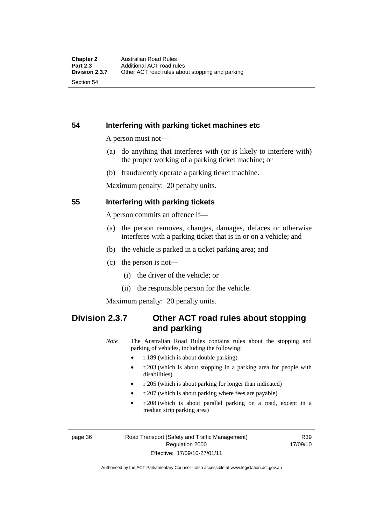**54 Interfering with parking ticket machines etc**

A person must not—

- (a) do anything that interferes with (or is likely to interfere with) the proper working of a parking ticket machine; or
- (b) fraudulently operate a parking ticket machine.

Maximum penalty: 20 penalty units.

#### **55 Interfering with parking tickets**

A person commits an offence if—

- (a) the person removes, changes, damages, defaces or otherwise interferes with a parking ticket that is in or on a vehicle; and
- (b) the vehicle is parked in a ticket parking area; and
- (c) the person is not—
	- (i) the driver of the vehicle; or
	- (ii) the responsible person for the vehicle.

Maximum penalty: 20 penalty units.

## **Division 2.3.7 Other ACT road rules about stopping and parking**

*Note* The Australian Road Rules contains rules about the stopping and parking of vehicles, including the following:

- r 189 (which is about double parking)
- r 203 (which is about stopping in a parking area for people with disabilities)
- r 205 (which is about parking for longer than indicated)
- r 207 (which is about parking where fees are payable)
- r 208 (which is about parallel parking on a road, except in a median strip parking area)

page 36 Road Transport (Safety and Traffic Management) Regulation 2000 Effective: 17/09/10-27/01/11

R39 17/09/10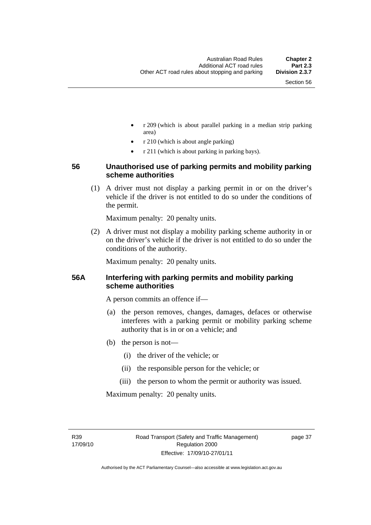- r 209 (which is about parallel parking in a median strip parking area)
- r 210 (which is about angle parking)
- r 211 (which is about parking in parking bays).

### **56 Unauthorised use of parking permits and mobility parking scheme authorities**

 (1) A driver must not display a parking permit in or on the driver's vehicle if the driver is not entitled to do so under the conditions of the permit.

Maximum penalty: 20 penalty units.

 (2) A driver must not display a mobility parking scheme authority in or on the driver's vehicle if the driver is not entitled to do so under the conditions of the authority.

Maximum penalty: 20 penalty units.

#### **56A Interfering with parking permits and mobility parking scheme authorities**

A person commits an offence if—

- (a) the person removes, changes, damages, defaces or otherwise interferes with a parking permit or mobility parking scheme authority that is in or on a vehicle; and
- (b) the person is not—
	- (i) the driver of the vehicle; or
	- (ii) the responsible person for the vehicle; or
	- (iii) the person to whom the permit or authority was issued.

Maximum penalty: 20 penalty units.

R39 17/09/10 page 37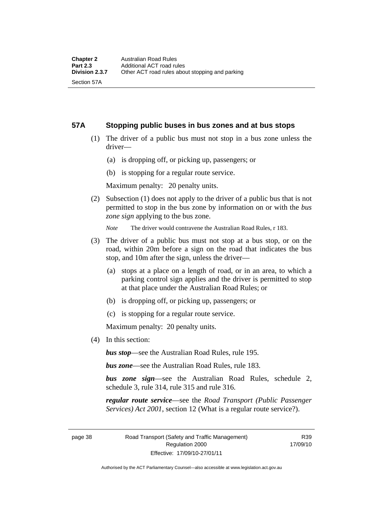Section 57A

#### **57A Stopping public buses in bus zones and at bus stops**

- (1) The driver of a public bus must not stop in a bus zone unless the driver—
	- (a) is dropping off, or picking up, passengers; or
	- (b) is stopping for a regular route service.

Maximum penalty: 20 penalty units.

 (2) Subsection (1) does not apply to the driver of a public bus that is not permitted to stop in the bus zone by information on or with the *bus zone sign* applying to the bus zone.

*Note* The driver would contravene the Australian Road Rules, r 183.

- (3) The driver of a public bus must not stop at a bus stop, or on the road, within 20m before a sign on the road that indicates the bus stop, and 10m after the sign, unless the driver—
	- (a) stops at a place on a length of road, or in an area, to which a parking control sign applies and the driver is permitted to stop at that place under the Australian Road Rules; or
	- (b) is dropping off, or picking up, passengers; or
	- (c) is stopping for a regular route service.

Maximum penalty: 20 penalty units.

(4) In this section:

*bus stop*—see the Australian Road Rules, rule 195.

*bus zone*—see the Australian Road Rules, rule 183.

*bus zone sign*—see the Australian Road Rules, schedule 2, schedule 3, rule 314, rule 315 and rule 316.

*regular route service*—see the *Road Transport (Public Passenger Services) Act 2001*, section 12 (What is a regular route service?).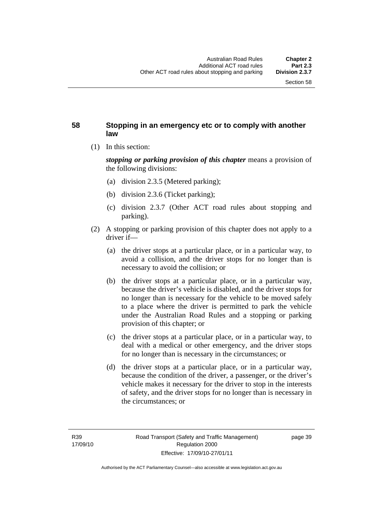### **58 Stopping in an emergency etc or to comply with another law**

(1) In this section:

*stopping or parking provision of this chapter* means a provision of the following divisions:

- (a) division 2.3.5 (Metered parking);
- (b) division 2.3.6 (Ticket parking);
- (c) division 2.3.7 (Other ACT road rules about stopping and parking).
- (2) A stopping or parking provision of this chapter does not apply to a driver if—
	- (a) the driver stops at a particular place, or in a particular way, to avoid a collision, and the driver stops for no longer than is necessary to avoid the collision; or
	- (b) the driver stops at a particular place, or in a particular way, because the driver's vehicle is disabled, and the driver stops for no longer than is necessary for the vehicle to be moved safely to a place where the driver is permitted to park the vehicle under the Australian Road Rules and a stopping or parking provision of this chapter; or
	- (c) the driver stops at a particular place, or in a particular way, to deal with a medical or other emergency, and the driver stops for no longer than is necessary in the circumstances; or
	- (d) the driver stops at a particular place, or in a particular way, because the condition of the driver, a passenger, or the driver's vehicle makes it necessary for the driver to stop in the interests of safety, and the driver stops for no longer than is necessary in the circumstances; or

Authorised by the ACT Parliamentary Counsel—also accessible at www.legislation.act.gov.au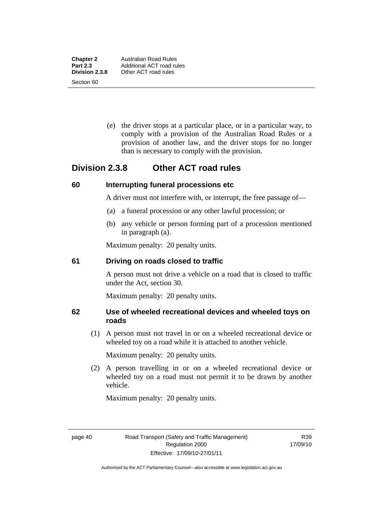**Chapter 2** Australian Road Rules<br>**Part 2.3** Additional ACT road ru

Section 60

 (e) the driver stops at a particular place, or in a particular way, to comply with a provision of the Australian Road Rules or a provision of another law, and the driver stops for no longer than is necessary to comply with the provision.

## **Division 2.3.8 Other ACT road rules**

#### **60 Interrupting funeral processions etc**

A driver must not interfere with, or interrupt, the free passage of—

- (a) a funeral procession or any other lawful procession; or
- (b) any vehicle or person forming part of a procession mentioned in paragraph (a).

Maximum penalty: 20 penalty units.

#### **61 Driving on roads closed to traffic**

A person must not drive a vehicle on a road that is closed to traffic under the Act, section 30.

Maximum penalty: 20 penalty units.

## **62 Use of wheeled recreational devices and wheeled toys on roads**

 (1) A person must not travel in or on a wheeled recreational device or wheeled toy on a road while it is attached to another vehicle.

Maximum penalty: 20 penalty units.

 (2) A person travelling in or on a wheeled recreational device or wheeled toy on a road must not permit it to be drawn by another vehicle.

Maximum penalty: 20 penalty units.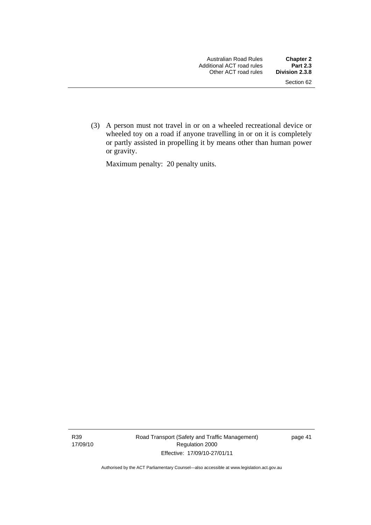(3) A person must not travel in or on a wheeled recreational device or wheeled toy on a road if anyone travelling in or on it is completely or partly assisted in propelling it by means other than human power or gravity.

Maximum penalty: 20 penalty units.

R39 17/09/10 Road Transport (Safety and Traffic Management) Regulation 2000 Effective: 17/09/10-27/01/11

page 41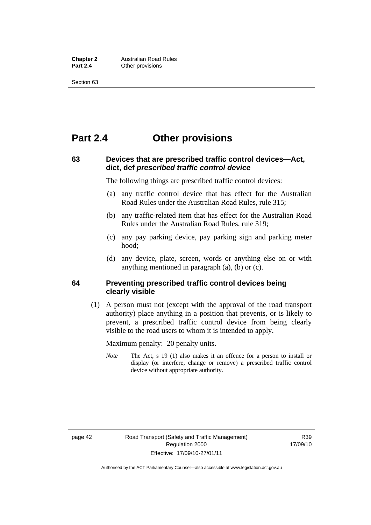**Chapter 2 Australian Road Rules**<br>**Part 2.4 Other provisions Other provisions** 

Section 63

## **Part 2.4 Other provisions**

### **63 Devices that are prescribed traffic control devices—Act, dict, def** *prescribed traffic control device*

The following things are prescribed traffic control devices:

- (a) any traffic control device that has effect for the Australian Road Rules under the Australian Road Rules, rule 315;
- (b) any traffic-related item that has effect for the Australian Road Rules under the Australian Road Rules, rule 319;
- (c) any pay parking device, pay parking sign and parking meter hood;
- (d) any device, plate, screen, words or anything else on or with anything mentioned in paragraph (a), (b) or (c).

#### **64 Preventing prescribed traffic control devices being clearly visible**

 (1) A person must not (except with the approval of the road transport authority) place anything in a position that prevents, or is likely to prevent, a prescribed traffic control device from being clearly visible to the road users to whom it is intended to apply.

Maximum penalty: 20 penalty units.

*Note* The Act, s 19 (1) also makes it an offence for a person to install or display (or interfere, change or remove) a prescribed traffic control device without appropriate authority.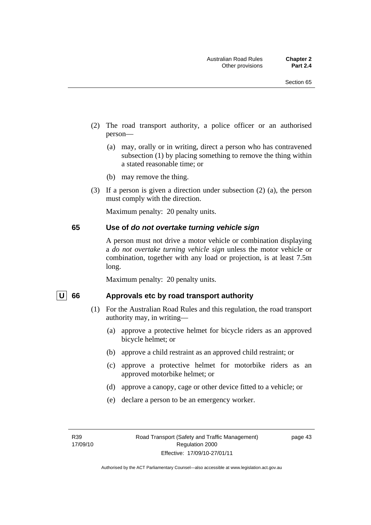- (2) The road transport authority, a police officer or an authorised person—
	- (a) may, orally or in writing, direct a person who has contravened subsection (1) by placing something to remove the thing within a stated reasonable time; or
	- (b) may remove the thing.
- (3) If a person is given a direction under subsection (2) (a), the person must comply with the direction.

Maximum penalty: 20 penalty units.

#### **65 Use of** *do not overtake turning vehicle sign*

A person must not drive a motor vehicle or combination displaying a *do not overtake turning vehicle sign* unless the motor vehicle or combination, together with any load or projection, is at least 7.5m long.

Maximum penalty: 20 penalty units.

#### U 66 Approvals etc by road transport authority

- (1) For the Australian Road Rules and this regulation, the road transport authority may, in writing—
	- (a) approve a protective helmet for bicycle riders as an approved bicycle helmet; or
	- (b) approve a child restraint as an approved child restraint; or
	- (c) approve a protective helmet for motorbike riders as an approved motorbike helmet; or
	- (d) approve a canopy, cage or other device fitted to a vehicle; or
	- (e) declare a person to be an emergency worker.

page 43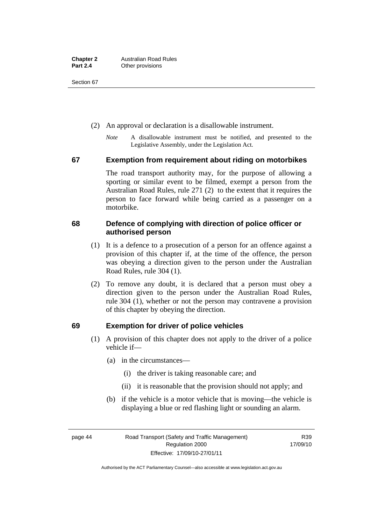Section 67

- (2) An approval or declaration is a disallowable instrument.
	- *Note* A disallowable instrument must be notified, and presented to the Legislative Assembly, under the Legislation Act.

#### **67 Exemption from requirement about riding on motorbikes**

The road transport authority may, for the purpose of allowing a sporting or similar event to be filmed, exempt a person from the Australian Road Rules, rule 271 (2) to the extent that it requires the person to face forward while being carried as a passenger on a motorbike.

## **68 Defence of complying with direction of police officer or authorised person**

- (1) It is a defence to a prosecution of a person for an offence against a provision of this chapter if, at the time of the offence, the person was obeying a direction given to the person under the Australian Road Rules, rule 304 (1).
- (2) To remove any doubt, it is declared that a person must obey a direction given to the person under the Australian Road Rules, rule 304 (1), whether or not the person may contravene a provision of this chapter by obeying the direction.

## **69 Exemption for driver of police vehicles**

- (1) A provision of this chapter does not apply to the driver of a police vehicle if—
	- (a) in the circumstances—
		- (i) the driver is taking reasonable care; and
		- (ii) it is reasonable that the provision should not apply; and
	- (b) if the vehicle is a motor vehicle that is moving—the vehicle is displaying a blue or red flashing light or sounding an alarm.

page 44 Road Transport (Safety and Traffic Management) Regulation 2000 Effective: 17/09/10-27/01/11

R39 17/09/10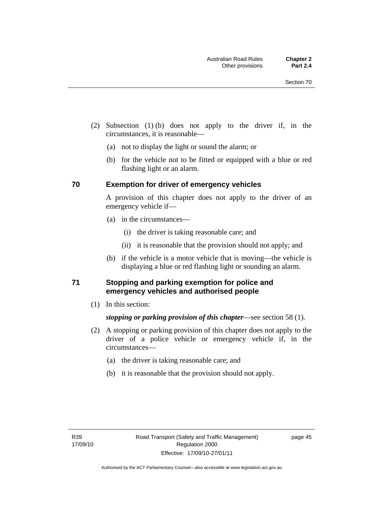- (2) Subsection (1) (b) does not apply to the driver if, in the circumstances, it is reasonable—
	- (a) not to display the light or sound the alarm; or
	- (b) for the vehicle not to be fitted or equipped with a blue or red flashing light or an alarm.

#### **70 Exemption for driver of emergency vehicles**

A provision of this chapter does not apply to the driver of an emergency vehicle if—

- (a) in the circumstances—
	- (i) the driver is taking reasonable care; and
	- (ii) it is reasonable that the provision should not apply; and
- (b) if the vehicle is a motor vehicle that is moving—the vehicle is displaying a blue or red flashing light or sounding an alarm.

#### **71 Stopping and parking exemption for police and emergency vehicles and authorised people**

(1) In this section:

## *stopping or parking provision of this chapter*—see section 58 (1).

- (2) A stopping or parking provision of this chapter does not apply to the driver of a police vehicle or emergency vehicle if, in the circumstances—
	- (a) the driver is taking reasonable care; and
	- (b) it is reasonable that the provision should not apply.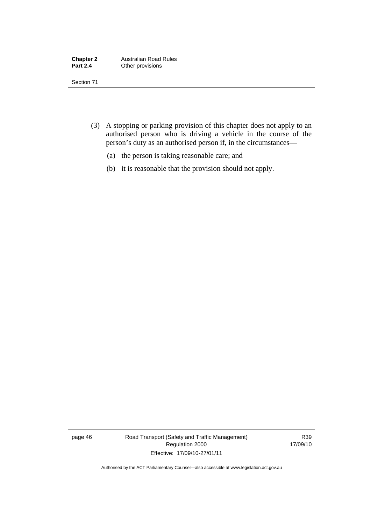| <b>Chapter 2</b> | <b>Australian Road Rules</b> |
|------------------|------------------------------|
| <b>Part 2.4</b>  | Other provisions             |

Section 71

- (3) A stopping or parking provision of this chapter does not apply to an authorised person who is driving a vehicle in the course of the person's duty as an authorised person if, in the circumstances—
	- (a) the person is taking reasonable care; and
	- (b) it is reasonable that the provision should not apply.

page 46 Road Transport (Safety and Traffic Management) Regulation 2000 Effective: 17/09/10-27/01/11

R39 17/09/10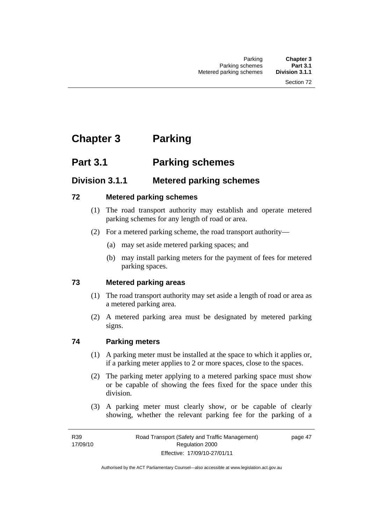# **Chapter 3 Parking**

# **Part 3.1 Parking schemes**

## **Division 3.1.1 Metered parking schemes**

## **72 Metered parking schemes**

- (1) The road transport authority may establish and operate metered parking schemes for any length of road or area.
- (2) For a metered parking scheme, the road transport authority—
	- (a) may set aside metered parking spaces; and
	- (b) may install parking meters for the payment of fees for metered parking spaces.

## **73 Metered parking areas**

- (1) The road transport authority may set aside a length of road or area as a metered parking area.
- (2) A metered parking area must be designated by metered parking signs.

## **74 Parking meters**

- (1) A parking meter must be installed at the space to which it applies or, if a parking meter applies to 2 or more spaces, close to the spaces.
- (2) The parking meter applying to a metered parking space must show or be capable of showing the fees fixed for the space under this division.
- (3) A parking meter must clearly show, or be capable of clearly showing, whether the relevant parking fee for the parking of a

page 47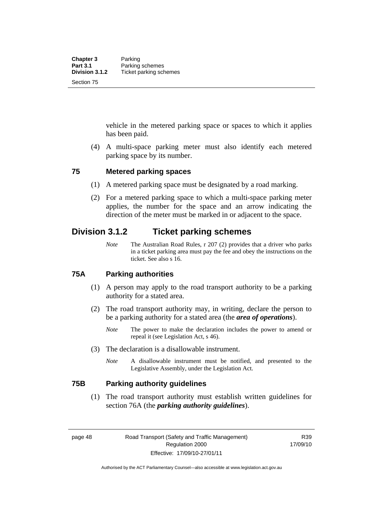vehicle in the metered parking space or spaces to which it applies has been paid.

 (4) A multi-space parking meter must also identify each metered parking space by its number.

#### **75 Metered parking spaces**

- (1) A metered parking space must be designated by a road marking.
- (2) For a metered parking space to which a multi-space parking meter applies, the number for the space and an arrow indicating the direction of the meter must be marked in or adjacent to the space.

## **Division 3.1.2 Ticket parking schemes**

*Note* The Australian Road Rules, r 207 (2) provides that a driver who parks in a ticket parking area must pay the fee and obey the instructions on the ticket. See also s 16.

#### **75A Parking authorities**

- (1) A person may apply to the road transport authority to be a parking authority for a stated area.
- (2) The road transport authority may, in writing, declare the person to be a parking authority for a stated area (the *area of operations*).
	- *Note* The power to make the declaration includes the power to amend or repeal it (see Legislation Act, s 46).
- (3) The declaration is a disallowable instrument.
	- *Note* A disallowable instrument must be notified, and presented to the Legislative Assembly, under the Legislation Act.

#### **75B Parking authority guidelines**

 (1) The road transport authority must establish written guidelines for section 76A (the *parking authority guidelines*).

R39 17/09/10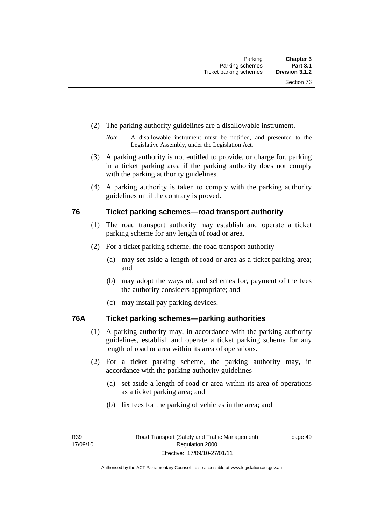- (2) The parking authority guidelines are a disallowable instrument.
	- *Note* A disallowable instrument must be notified, and presented to the Legislative Assembly, under the Legislation Act.
- (3) A parking authority is not entitled to provide, or charge for, parking in a ticket parking area if the parking authority does not comply with the parking authority guidelines.
- (4) A parking authority is taken to comply with the parking authority guidelines until the contrary is proved.

#### **76 Ticket parking schemes—road transport authority**

- (1) The road transport authority may establish and operate a ticket parking scheme for any length of road or area.
- (2) For a ticket parking scheme, the road transport authority—
	- (a) may set aside a length of road or area as a ticket parking area; and
	- (b) may adopt the ways of, and schemes for, payment of the fees the authority considers appropriate; and
	- (c) may install pay parking devices.

## **76A Ticket parking schemes—parking authorities**

- (1) A parking authority may, in accordance with the parking authority guidelines, establish and operate a ticket parking scheme for any length of road or area within its area of operations.
- (2) For a ticket parking scheme, the parking authority may, in accordance with the parking authority guidelines—
	- (a) set aside a length of road or area within its area of operations as a ticket parking area; and
	- (b) fix fees for the parking of vehicles in the area; and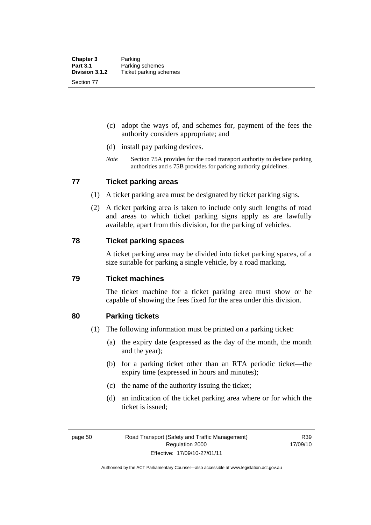- (c) adopt the ways of, and schemes for, payment of the fees the authority considers appropriate; and
- (d) install pay parking devices.
- *Note* Section 75A provides for the road transport authority to declare parking authorities and s 75B provides for parking authority guidelines.

#### **77 Ticket parking areas**

- (1) A ticket parking area must be designated by ticket parking signs.
- (2) A ticket parking area is taken to include only such lengths of road and areas to which ticket parking signs apply as are lawfully available, apart from this division, for the parking of vehicles.

#### **78 Ticket parking spaces**

A ticket parking area may be divided into ticket parking spaces, of a size suitable for parking a single vehicle, by a road marking.

#### **79 Ticket machines**

The ticket machine for a ticket parking area must show or be capable of showing the fees fixed for the area under this division.

#### **80 Parking tickets**

- (1) The following information must be printed on a parking ticket:
	- (a) the expiry date (expressed as the day of the month, the month and the year);
	- (b) for a parking ticket other than an RTA periodic ticket—the expiry time (expressed in hours and minutes);
	- (c) the name of the authority issuing the ticket;
	- (d) an indication of the ticket parking area where or for which the ticket is issued;

R39 17/09/10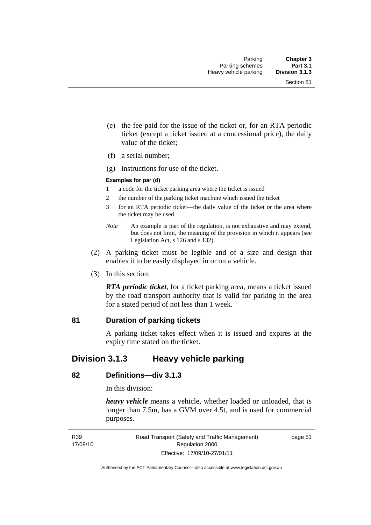- (e) the fee paid for the issue of the ticket or, for an RTA periodic ticket (except a ticket issued at a concessional price), the daily value of the ticket;
- (f) a serial number;
- (g) instructions for use of the ticket.

#### **Examples for par (d)**

- 1 a code for the ticket parking area where the ticket is issued
- 2 the number of the parking ticket machine which issued the ticket
- 3 for an RTA periodic ticket—the daily value of the ticket or the area where the ticket may be used
- *Note* An example is part of the regulation, is not exhaustive and may extend, but does not limit, the meaning of the provision in which it appears (see Legislation Act, s 126 and s 132).
- (2) A parking ticket must be legible and of a size and design that enables it to be easily displayed in or on a vehicle.
- (3) In this section:

*RTA periodic ticket*, for a ticket parking area, means a ticket issued by the road transport authority that is valid for parking in the area for a stated period of not less than 1 week.

#### **81 Duration of parking tickets**

A parking ticket takes effect when it is issued and expires at the expiry time stated on the ticket.

## **Division 3.1.3 Heavy vehicle parking**

#### **82 Definitions—div 3.1.3**

In this division:

*heavy vehicle* means a vehicle, whether loaded or unloaded, that is longer than 7.5m, has a GVM over 4.5t, and is used for commercial purposes.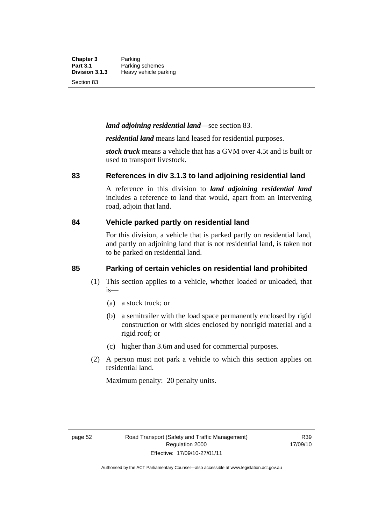**Chapter 3** Parking<br>**Part 3.1** Parking **Part 3.1** Parking schemes<br>**Division 3.1.3** Heavy vehicle pa **Division 3.1.3** Heavy vehicle parking

Section 83

#### *land adjoining residential land*—see section 83.

*residential land* means land leased for residential purposes.

*stock truck* means a vehicle that has a GVM over 4.5t and is built or used to transport livestock.

#### **83 References in div 3.1.3 to land adjoining residential land**

A reference in this division to *land adjoining residential land* includes a reference to land that would, apart from an intervening road, adjoin that land.

#### **84 Vehicle parked partly on residential land**

For this division, a vehicle that is parked partly on residential land, and partly on adjoining land that is not residential land, is taken not to be parked on residential land.

#### **85 Parking of certain vehicles on residential land prohibited**

- (1) This section applies to a vehicle, whether loaded or unloaded, that is—
	- (a) a stock truck; or
	- (b) a semitrailer with the load space permanently enclosed by rigid construction or with sides enclosed by nonrigid material and a rigid roof; or
	- (c) higher than 3.6m and used for commercial purposes.
- (2) A person must not park a vehicle to which this section applies on residential land.

Maximum penalty: 20 penalty units.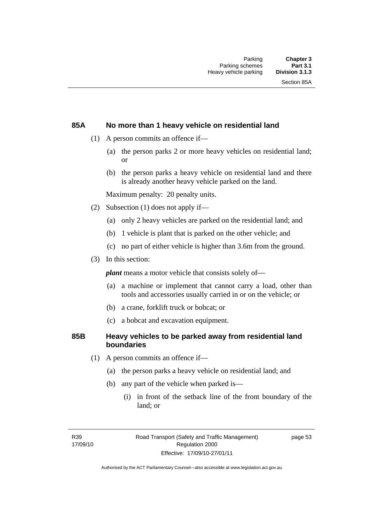## **85A No more than 1 heavy vehicle on residential land**

- (1) A person commits an offence if—
	- (a) the person parks 2 or more heavy vehicles on residential land; or
	- (b) the person parks a heavy vehicle on residential land and there is already another heavy vehicle parked on the land.

Maximum penalty: 20 penalty units.

- (2) Subsection (1) does not apply if—
	- (a) only 2 heavy vehicles are parked on the residential land; and
	- (b) 1 vehicle is plant that is parked on the other vehicle; and
	- (c) no part of either vehicle is higher than 3.6m from the ground.
- (3) In this section:

*plant* means a motor vehicle that consists solely of—

- (a) a machine or implement that cannot carry a load, other than tools and accessories usually carried in or on the vehicle; or
- (b) a crane, forklift truck or bobcat; or
- (c) a bobcat and excavation equipment.

#### **85B Heavy vehicles to be parked away from residential land boundaries**

- (1) A person commits an offence if—
	- (a) the person parks a heavy vehicle on residential land; and
	- (b) any part of the vehicle when parked is—
		- (i) in front of the setback line of the front boundary of the land; or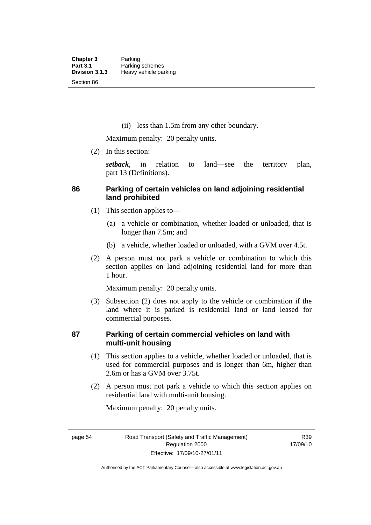(ii) less than 1.5m from any other boundary.

Maximum penalty: 20 penalty units.

(2) In this section:

*setback*, in relation to land—see the territory plan, part 13 (Definitions).

# **86 Parking of certain vehicles on land adjoining residential land prohibited**

- (1) This section applies to—
	- (a) a vehicle or combination, whether loaded or unloaded, that is longer than 7.5m; and
	- (b) a vehicle, whether loaded or unloaded, with a GVM over 4.5t.
- (2) A person must not park a vehicle or combination to which this section applies on land adjoining residential land for more than 1 hour.

Maximum penalty: 20 penalty units.

 (3) Subsection (2) does not apply to the vehicle or combination if the land where it is parked is residential land or land leased for commercial purposes.

# **87 Parking of certain commercial vehicles on land with multi-unit housing**

- (1) This section applies to a vehicle, whether loaded or unloaded, that is used for commercial purposes and is longer than 6m, higher than 2.6m or has a GVM over 3.75t.
- (2) A person must not park a vehicle to which this section applies on residential land with multi-unit housing.

Maximum penalty: 20 penalty units.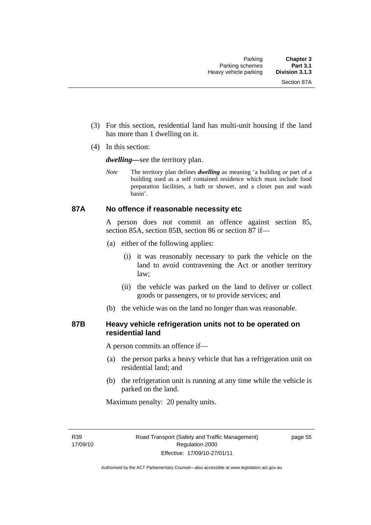- (3) For this section, residential land has multi-unit housing if the land has more than 1 dwelling on it.
- (4) In this section:

*dwelling—*see the territory plan.

*Note* The territory plan defines *dwelling* as meaning 'a building or part of a building used as a self contained residence which must include food preparation facilities, a bath or shower, and a closet pan and wash basin'.

#### **87A No offence if reasonable necessity etc**

A person does not commit an offence against section 85, section 85A, section 85B, section 86 or section 87 if—

- (a) either of the following applies:
	- (i) it was reasonably necessary to park the vehicle on the land to avoid contravening the Act or another territory law;
	- (ii) the vehicle was parked on the land to deliver or collect goods or passengers, or to provide services; and
- (b) the vehicle was on the land no longer than was reasonable.

## **87B Heavy vehicle refrigeration units not to be operated on residential land**

A person commits an offence if—

- (a) the person parks a heavy vehicle that has a refrigeration unit on residential land; and
- (b) the refrigeration unit is running at any time while the vehicle is parked on the land.

Maximum penalty: 20 penalty units.

R39 17/09/10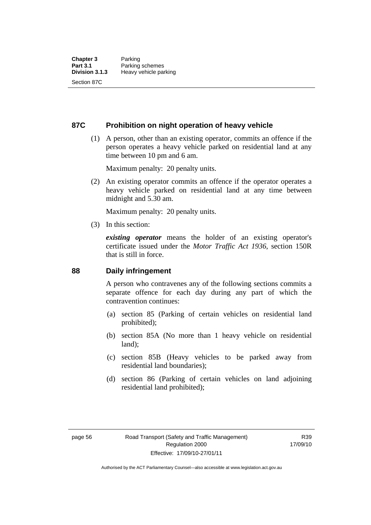#### **87C Prohibition on night operation of heavy vehicle**

 (1) A person, other than an existing operator, commits an offence if the person operates a heavy vehicle parked on residential land at any time between 10 pm and 6 am.

Maximum penalty: 20 penalty units.

 (2) An existing operator commits an offence if the operator operates a heavy vehicle parked on residential land at any time between midnight and 5.30 am.

Maximum penalty: 20 penalty units.

(3) In this section:

*existing operator* means the holder of an existing operator's certificate issued under the *Motor Traffic Act 1936*, section 150R that is still in force.

#### **88 Daily infringement**

A person who contravenes any of the following sections commits a separate offence for each day during any part of which the contravention continues:

- (a) section 85 (Parking of certain vehicles on residential land prohibited);
- (b) section 85A (No more than 1 heavy vehicle on residential land);
- (c) section 85B (Heavy vehicles to be parked away from residential land boundaries);
- (d) section 86 (Parking of certain vehicles on land adjoining residential land prohibited);

R39 17/09/10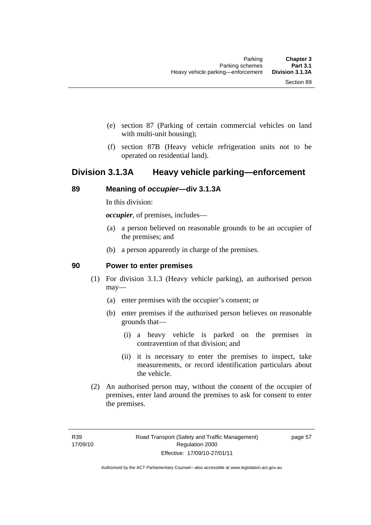- (e) section 87 (Parking of certain commercial vehicles on land with multi-unit housing);
- (f) section 87B (Heavy vehicle refrigeration units not to be operated on residential land).

# **Division 3.1.3A Heavy vehicle parking—enforcement**

#### **89 Meaning of** *occupier***—div 3.1.3A**

In this division:

*occupier*, of premises, includes—

- (a) a person believed on reasonable grounds to be an occupier of the premises; and
- (b) a person apparently in charge of the premises.

#### **90 Power to enter premises**

- (1) For division 3.1.3 (Heavy vehicle parking), an authorised person may—
	- (a) enter premises with the occupier's consent; or
	- (b) enter premises if the authorised person believes on reasonable grounds that—
		- (i) a heavy vehicle is parked on the premises in contravention of that division; and
		- (ii) it is necessary to enter the premises to inspect, take measurements, or record identification particulars about the vehicle.
- (2) An authorised person may, without the consent of the occupier of premises, enter land around the premises to ask for consent to enter the premises.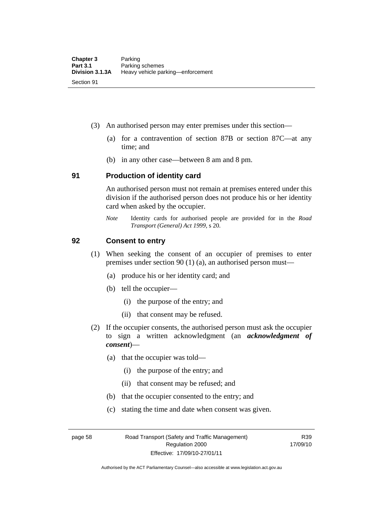- (3) An authorised person may enter premises under this section––
	- (a) for a contravention of section 87B or section 87C––at any time; and
	- (b) in any other case––between 8 am and 8 pm.

#### **91 Production of identity card**

An authorised person must not remain at premises entered under this division if the authorised person does not produce his or her identity card when asked by the occupier.

*Note* Identity cards for authorised people are provided for in the *Road Transport (General) Act 1999*, s 20.

#### **92 Consent to entry**

- (1) When seeking the consent of an occupier of premises to enter premises under section 90 (1) (a), an authorised person must—
	- (a) produce his or her identity card; and
	- (b) tell the occupier—
		- (i) the purpose of the entry; and
		- (ii) that consent may be refused.
- (2) If the occupier consents, the authorised person must ask the occupier to sign a written acknowledgment (an *acknowledgment of consent*)—
	- (a) that the occupier was told—
		- (i) the purpose of the entry; and
		- (ii) that consent may be refused; and
	- (b) that the occupier consented to the entry; and
	- (c) stating the time and date when consent was given.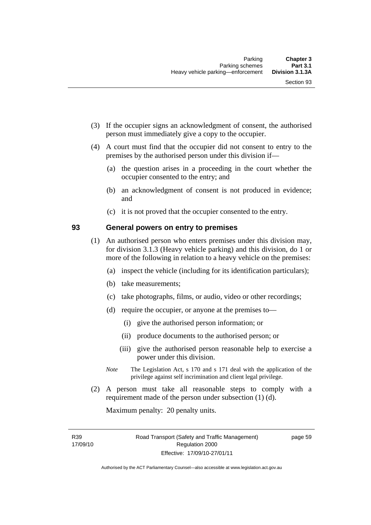- (3) If the occupier signs an acknowledgment of consent, the authorised person must immediately give a copy to the occupier.
- (4) A court must find that the occupier did not consent to entry to the premises by the authorised person under this division if—
	- (a) the question arises in a proceeding in the court whether the occupier consented to the entry; and
	- (b) an acknowledgment of consent is not produced in evidence; and
	- (c) it is not proved that the occupier consented to the entry.

# **93 General powers on entry to premises**

- (1) An authorised person who enters premises under this division may, for division 3.1.3 (Heavy vehicle parking) and this division, do 1 or more of the following in relation to a heavy vehicle on the premises:
	- (a) inspect the vehicle (including for its identification particulars);
	- (b) take measurements;
	- (c) take photographs, films, or audio, video or other recordings;
	- (d) require the occupier, or anyone at the premises to—
		- (i) give the authorised person information; or
		- (ii) produce documents to the authorised person; or
		- (iii) give the authorised person reasonable help to exercise a power under this division.
	- *Note* The Legislation Act, s 170 and s 171 deal with the application of the privilege against self incrimination and client legal privilege.
- (2) A person must take all reasonable steps to comply with a requirement made of the person under subsection (1) (d).

Maximum penalty: 20 penalty units.

R39 17/09/10 page 59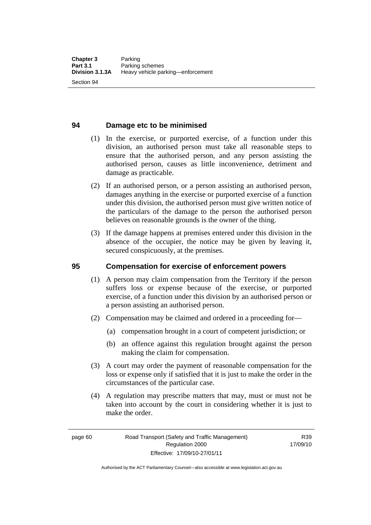#### **94 Damage etc to be minimised**

- (1) In the exercise, or purported exercise, of a function under this division, an authorised person must take all reasonable steps to ensure that the authorised person, and any person assisting the authorised person, causes as little inconvenience, detriment and damage as practicable.
- (2) If an authorised person, or a person assisting an authorised person, damages anything in the exercise or purported exercise of a function under this division, the authorised person must give written notice of the particulars of the damage to the person the authorised person believes on reasonable grounds is the owner of the thing.
- (3) If the damage happens at premises entered under this division in the absence of the occupier, the notice may be given by leaving it, secured conspicuously, at the premises.

#### **95 Compensation for exercise of enforcement powers**

- (1) A person may claim compensation from the Territory if the person suffers loss or expense because of the exercise, or purported exercise, of a function under this division by an authorised person or a person assisting an authorised person.
- (2) Compensation may be claimed and ordered in a proceeding for—
	- (a) compensation brought in a court of competent jurisdiction; or
	- (b) an offence against this regulation brought against the person making the claim for compensation.
- (3) A court may order the payment of reasonable compensation for the loss or expense only if satisfied that it is just to make the order in the circumstances of the particular case.
- (4) A regulation may prescribe matters that may, must or must not be taken into account by the court in considering whether it is just to make the order.

page 60 Road Transport (Safety and Traffic Management) Regulation 2000 Effective: 17/09/10-27/01/11

R39 17/09/10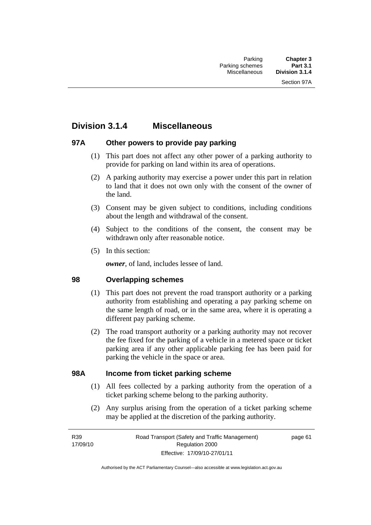# **Division 3.1.4 Miscellaneous**

# **97A Other powers to provide pay parking**

- (1) This part does not affect any other power of a parking authority to provide for parking on land within its area of operations.
- (2) A parking authority may exercise a power under this part in relation to land that it does not own only with the consent of the owner of the land.
- (3) Consent may be given subject to conditions, including conditions about the length and withdrawal of the consent.
- (4) Subject to the conditions of the consent, the consent may be withdrawn only after reasonable notice.
- (5) In this section:

*owner*, of land, includes lessee of land.

#### **98 Overlapping schemes**

- (1) This part does not prevent the road transport authority or a parking authority from establishing and operating a pay parking scheme on the same length of road, or in the same area, where it is operating a different pay parking scheme.
- (2) The road transport authority or a parking authority may not recover the fee fixed for the parking of a vehicle in a metered space or ticket parking area if any other applicable parking fee has been paid for parking the vehicle in the space or area.

#### **98A Income from ticket parking scheme**

- (1) All fees collected by a parking authority from the operation of a ticket parking scheme belong to the parking authority.
- (2) Any surplus arising from the operation of a ticket parking scheme may be applied at the discretion of the parking authority.

page 61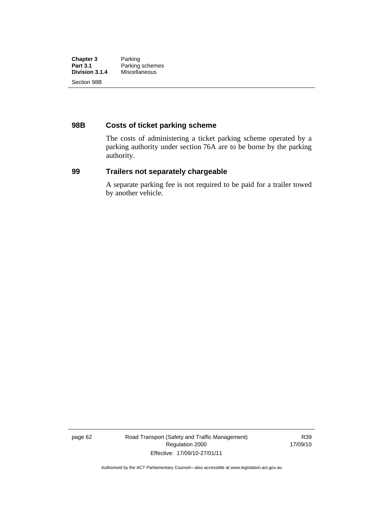| <b>Chapter 3</b><br><b>Part 3.1</b><br>Division 3.1.4 | Parking<br>Parking schemes<br>Miscellaneous |             |  |
|-------------------------------------------------------|---------------------------------------------|-------------|--|
|                                                       |                                             | Section 98B |  |

# **98B Costs of ticket parking scheme**

The costs of administering a ticket parking scheme operated by a parking authority under section 76A are to be borne by the parking authority.

# **99 Trailers not separately chargeable**

A separate parking fee is not required to be paid for a trailer towed by another vehicle.

page 62 Road Transport (Safety and Traffic Management) Regulation 2000 Effective: 17/09/10-27/01/11

R39 17/09/10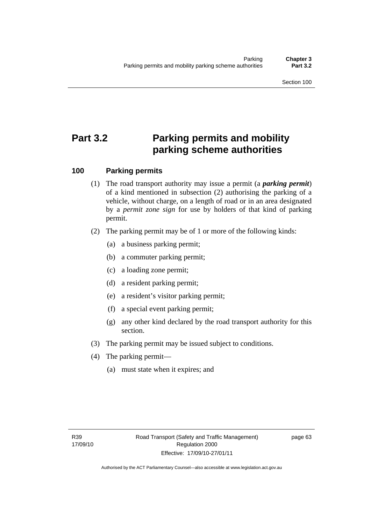# **Part 3.2 Parking permits and mobility parking scheme authorities**

# **100 Parking permits**

- (1) The road transport authority may issue a permit (a *parking permit*) of a kind mentioned in subsection (2) authorising the parking of a vehicle, without charge, on a length of road or in an area designated by a *permit zone sign* for use by holders of that kind of parking permit.
- (2) The parking permit may be of 1 or more of the following kinds:
	- (a) a business parking permit;
	- (b) a commuter parking permit;
	- (c) a loading zone permit;
	- (d) a resident parking permit;
	- (e) a resident's visitor parking permit;
	- (f) a special event parking permit;
	- (g) any other kind declared by the road transport authority for this section.
- (3) The parking permit may be issued subject to conditions.
- (4) The parking permit—
	- (a) must state when it expires; and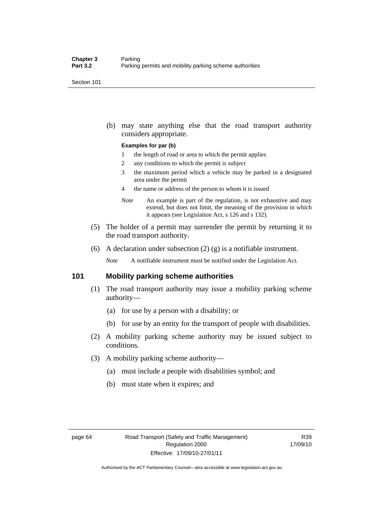Section 101

 (b) may state anything else that the road transport authority considers appropriate.

#### **Examples for par (b)**

- 1 the length of road or area to which the permit applies
- 2 any conditions to which the permit is subject
- 3 the maximum period which a vehicle may be parked in a designated area under the permit
- 4 the name or address of the person to whom it is issued
- *Note* An example is part of the regulation, is not exhaustive and may extend, but does not limit, the meaning of the provision in which it appears (see Legislation Act, s 126 and s 132).
- (5) The holder of a permit may surrender the permit by returning it to the road transport authority.
- (6) A declaration under subsection  $(2)$  (g) is a notifiable instrument.

*Note* A notifiable instrument must be notified under the Legislation Act.

#### **101 Mobility parking scheme authorities**

- (1) The road transport authority may issue a mobility parking scheme authority—
	- (a) for use by a person with a disability; or
	- (b) for use by an entity for the transport of people with disabilities.
- (2) A mobility parking scheme authority may be issued subject to conditions.
- (3) A mobility parking scheme authority—
	- (a) must include a people with disabilities symbol; and
	- (b) must state when it expires; and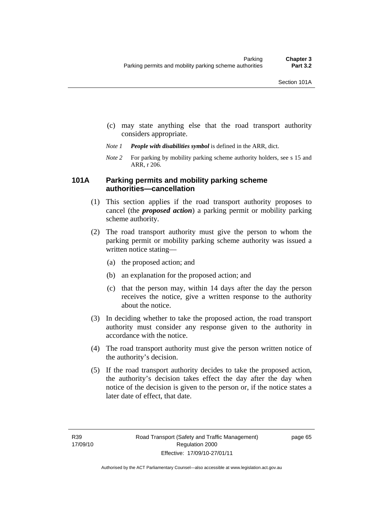- (c) may state anything else that the road transport authority considers appropriate.
- *Note 1 People with disabilities symbol* is defined in the ARR, dict.
- *Note 2* For parking by mobility parking scheme authority holders, see s 15 and ARR, r 206.

#### **101A Parking permits and mobility parking scheme authorities—cancellation**

- (1) This section applies if the road transport authority proposes to cancel (the *proposed action*) a parking permit or mobility parking scheme authority.
- (2) The road transport authority must give the person to whom the parking permit or mobility parking scheme authority was issued a written notice stating—
	- (a) the proposed action; and
	- (b) an explanation for the proposed action; and
	- (c) that the person may, within 14 days after the day the person receives the notice, give a written response to the authority about the notice.
- (3) In deciding whether to take the proposed action, the road transport authority must consider any response given to the authority in accordance with the notice.
- (4) The road transport authority must give the person written notice of the authority's decision.
- (5) If the road transport authority decides to take the proposed action, the authority's decision takes effect the day after the day when notice of the decision is given to the person or, if the notice states a later date of effect, that date.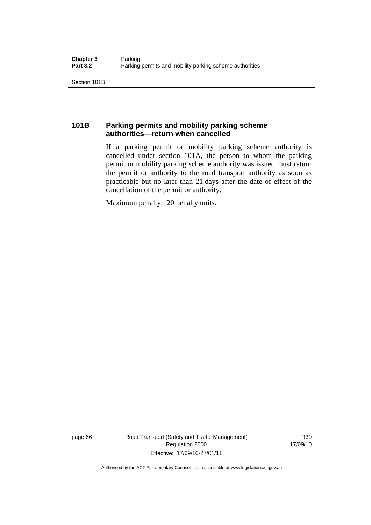Section 101B

# **101B Parking permits and mobility parking scheme authorities—return when cancelled**

If a parking permit or mobility parking scheme authority is cancelled under section 101A, the person to whom the parking permit or mobility parking scheme authority was issued must return the permit or authority to the road transport authority as soon as practicable but no later than 21 days after the date of effect of the cancellation of the permit or authority.

Maximum penalty: 20 penalty units.

page 66 Road Transport (Safety and Traffic Management) Regulation 2000 Effective: 17/09/10-27/01/11

R39 17/09/10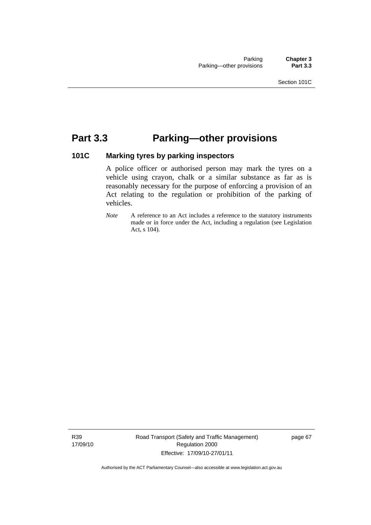# **Part 3.3 Parking—other provisions**

# **101C Marking tyres by parking inspectors**

A police officer or authorised person may mark the tyres on a vehicle using crayon, chalk or a similar substance as far as is reasonably necessary for the purpose of enforcing a provision of an Act relating to the regulation or prohibition of the parking of vehicles.

*Note* A reference to an Act includes a reference to the statutory instruments made or in force under the Act, including a regulation (see Legislation Act, s 104).

R39 17/09/10 Road Transport (Safety and Traffic Management) Regulation 2000 Effective: 17/09/10-27/01/11

page 67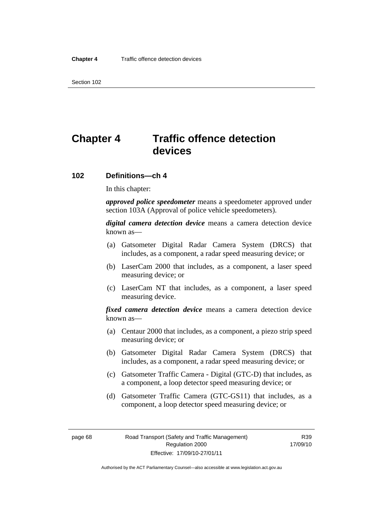Section 102

# **Chapter 4 Traffic offence detection devices**

#### **102 Definitions—ch 4**

In this chapter:

*approved police speedometer* means a speedometer approved under section 103A (Approval of police vehicle speedometers).

*digital camera detection device* means a camera detection device known as—

- (a) Gatsometer Digital Radar Camera System (DRCS) that includes, as a component, a radar speed measuring device; or
- (b) LaserCam 2000 that includes, as a component, a laser speed measuring device; or
- (c) LaserCam NT that includes, as a component, a laser speed measuring device.

*fixed camera detection device* means a camera detection device known as—

- (a) Centaur 2000 that includes, as a component, a piezo strip speed measuring device; or
- (b) Gatsometer Digital Radar Camera System (DRCS) that includes, as a component, a radar speed measuring device; or
- (c) Gatsometer Traffic Camera Digital (GTC-D) that includes, as a component, a loop detector speed measuring device; or
- (d) Gatsometer Traffic Camera (GTC-GS11) that includes, as a component, a loop detector speed measuring device; or

R39 17/09/10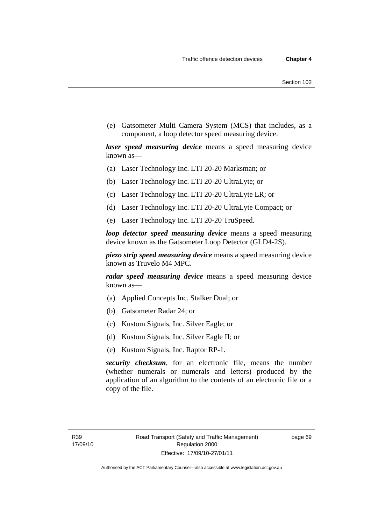(e) Gatsometer Multi Camera System (MCS) that includes, as a component, a loop detector speed measuring device.

*laser speed measuring device* means a speed measuring device known as—

- (a) Laser Technology Inc. LTI 20-20 Marksman; or
- (b) Laser Technology Inc. LTI 20-20 UltraLyte; or
- (c) Laser Technology Inc. LTI 20-20 UltraLyte LR; or
- (d) Laser Technology Inc. LTI 20-20 UltraLyte Compact; or
- (e) Laser Technology Inc. LTI 20-20 TruSpeed.

*loop detector speed measuring device* means a speed measuring device known as the Gatsometer Loop Detector (GLD4-2S).

*piezo strip speed measuring device* means a speed measuring device known as Truvelo M4 MPC.

*radar speed measuring device* means a speed measuring device known as—

- (a) Applied Concepts Inc. Stalker Dual; or
- (b) Gatsometer Radar 24; or
- (c) Kustom Signals, Inc. Silver Eagle; or
- (d) Kustom Signals, Inc. Silver Eagle II; or
- (e) Kustom Signals, Inc. Raptor RP-1.

*security checksum*, for an electronic file, means the number (whether numerals or numerals and letters) produced by the application of an algorithm to the contents of an electronic file or a copy of the file.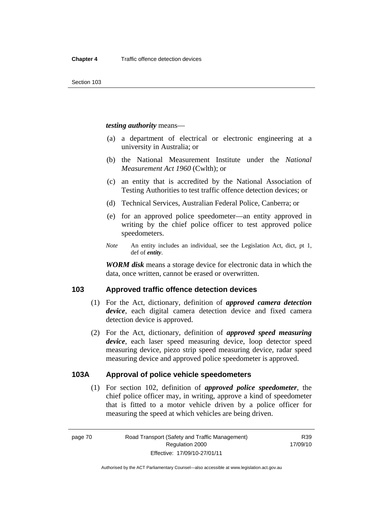#### *testing authority* means—

- (a) a department of electrical or electronic engineering at a university in Australia; or
- (b) the National Measurement Institute under the *National Measurement Act 1960* (Cwlth); or
- (c) an entity that is accredited by the National Association of Testing Authorities to test traffic offence detection devices; or
- (d) Technical Services, Australian Federal Police, Canberra; or
- (e) for an approved police speedometer—an entity approved in writing by the chief police officer to test approved police speedometers.
- *Note* An entity includes an individual, see the Legislation Act, dict, pt 1, def of *entity*.

*WORM disk* means a storage device for electronic data in which the data, once written, cannot be erased or overwritten.

#### **103 Approved traffic offence detection devices**

- (1) For the Act, dictionary, definition of *approved camera detection device*, each digital camera detection device and fixed camera detection device is approved.
- (2) For the Act, dictionary, definition of *approved speed measuring device*, each laser speed measuring device, loop detector speed measuring device, piezo strip speed measuring device, radar speed measuring device and approved police speedometer is approved.

#### **103A Approval of police vehicle speedometers**

 (1) For section 102, definition of *approved police speedometer*, the chief police officer may, in writing, approve a kind of speedometer that is fitted to a motor vehicle driven by a police officer for measuring the speed at which vehicles are being driven.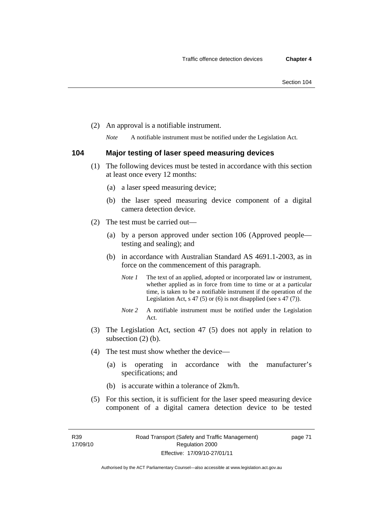(2) An approval is a notifiable instrument.

*Note* A notifiable instrument must be notified under the Legislation Act.

#### **104 Major testing of laser speed measuring devices**

- (1) The following devices must be tested in accordance with this section at least once every 12 months:
	- (a) a laser speed measuring device;
	- (b) the laser speed measuring device component of a digital camera detection device.
- (2) The test must be carried out—
	- (a) by a person approved under section 106 (Approved people testing and sealing); and
	- (b) in accordance with Australian Standard AS 4691.1-2003, as in force on the commencement of this paragraph.
		- *Note 1* The text of an applied, adopted or incorporated law or instrument, whether applied as in force from time to time or at a particular time, is taken to be a notifiable instrument if the operation of the Legislation Act, s 47 (5) or (6) is not disapplied (see s 47 (7)).
		- *Note 2* A notifiable instrument must be notified under the Legislation Act.
- (3) The Legislation Act, section 47 (5) does not apply in relation to subsection (2) (b).
- (4) The test must show whether the device—
	- (a) is operating in accordance with the manufacturer's specifications; and
	- (b) is accurate within a tolerance of 2km/h.
- (5) For this section, it is sufficient for the laser speed measuring device component of a digital camera detection device to be tested

page 71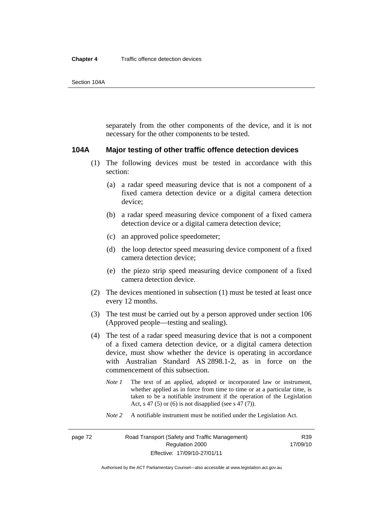separately from the other components of the device, and it is not necessary for the other components to be tested.

#### **104A Major testing of other traffic offence detection devices**

- (1) The following devices must be tested in accordance with this section:
	- (a) a radar speed measuring device that is not a component of a fixed camera detection device or a digital camera detection device;
	- (b) a radar speed measuring device component of a fixed camera detection device or a digital camera detection device;
	- (c) an approved police speedometer;
	- (d) the loop detector speed measuring device component of a fixed camera detection device;
	- (e) the piezo strip speed measuring device component of a fixed camera detection device.
- (2) The devices mentioned in subsection (1) must be tested at least once every 12 months.
- (3) The test must be carried out by a person approved under section 106 (Approved people—testing and sealing).
- (4) The test of a radar speed measuring device that is not a component of a fixed camera detection device, or a digital camera detection device, must show whether the device is operating in accordance with Australian Standard AS 2898.1-2, as in force on the commencement of this subsection.
	- *Note 1* The text of an applied, adopted or incorporated law or instrument, whether applied as in force from time to time or at a particular time, is taken to be a notifiable instrument if the operation of the Legislation Act, s 47 (5) or (6) is not disapplied (see s 47 (7)).
	- *Note 2* A notifiable instrument must be notified under the Legislation Act.

R39 17/09/10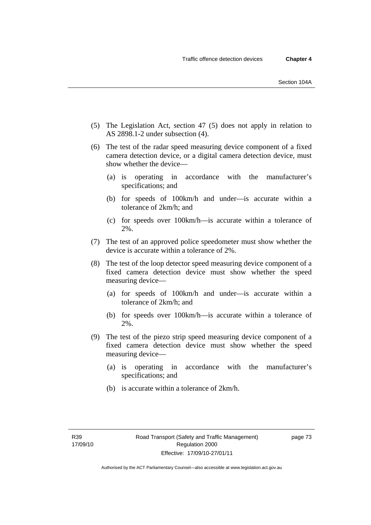- (5) The Legislation Act, section 47 (5) does not apply in relation to AS 2898.1-2 under subsection (4).
- (6) The test of the radar speed measuring device component of a fixed camera detection device, or a digital camera detection device, must show whether the device—
	- (a) is operating in accordance with the manufacturer's specifications; and
	- (b) for speeds of 100km/h and under—is accurate within a tolerance of 2km/h; and
	- (c) for speeds over 100km/h—is accurate within a tolerance of 2%.
- (7) The test of an approved police speedometer must show whether the device is accurate within a tolerance of 2%.
- (8) The test of the loop detector speed measuring device component of a fixed camera detection device must show whether the speed measuring device—
	- (a) for speeds of 100km/h and under—is accurate within a tolerance of 2km/h; and
	- (b) for speeds over 100km/h—is accurate within a tolerance of 2%.
- (9) The test of the piezo strip speed measuring device component of a fixed camera detection device must show whether the speed measuring device—
	- (a) is operating in accordance with the manufacturer's specifications; and
	- (b) is accurate within a tolerance of 2km/h.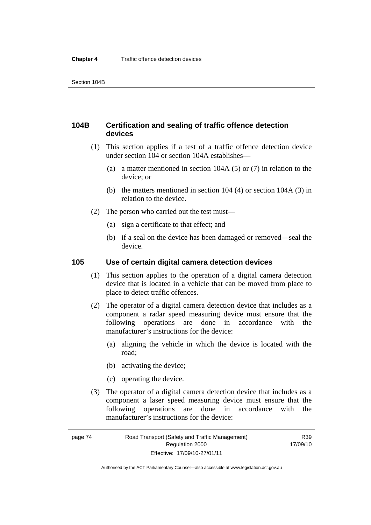# **104B Certification and sealing of traffic offence detection devices**

- (1) This section applies if a test of a traffic offence detection device under section 104 or section 104A establishes—
	- (a) a matter mentioned in section 104A (5) or (7) in relation to the device; or
	- (b) the matters mentioned in section 104 (4) or section 104A (3) in relation to the device.
- (2) The person who carried out the test must—
	- (a) sign a certificate to that effect; and
	- (b) if a seal on the device has been damaged or removed—seal the device.

#### **105 Use of certain digital camera detection devices**

- (1) This section applies to the operation of a digital camera detection device that is located in a vehicle that can be moved from place to place to detect traffic offences.
- (2) The operator of a digital camera detection device that includes as a component a radar speed measuring device must ensure that the following operations are done in accordance with the manufacturer's instructions for the device:
	- (a) aligning the vehicle in which the device is located with the road;
	- (b) activating the device;
	- (c) operating the device.
- (3) The operator of a digital camera detection device that includes as a component a laser speed measuring device must ensure that the following operations are done in accordance with the manufacturer's instructions for the device: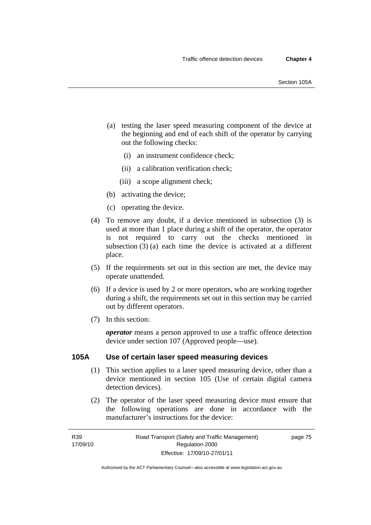- (a) testing the laser speed measuring component of the device at the beginning and end of each shift of the operator by carrying out the following checks:
	- (i) an instrument confidence check;
	- (ii) a calibration verification check;
	- (iii) a scope alignment check;
- (b) activating the device;
- (c) operating the device.
- (4) To remove any doubt, if a device mentioned in subsection (3) is used at more than 1 place during a shift of the operator, the operator is not required to carry out the checks mentioned in subsection (3) (a) each time the device is activated at a different place.
- (5) If the requirements set out in this section are met, the device may operate unattended.
- (6) If a device is used by 2 or more operators, who are working together during a shift, the requirements set out in this section may be carried out by different operators.
- (7) In this section:

*operator* means a person approved to use a traffic offence detection device under section 107 (Approved people—use).

#### **105A Use of certain laser speed measuring devices**

- (1) This section applies to a laser speed measuring device, other than a device mentioned in section 105 (Use of certain digital camera detection devices).
- (2) The operator of the laser speed measuring device must ensure that the following operations are done in accordance with the manufacturer's instructions for the device:

page 75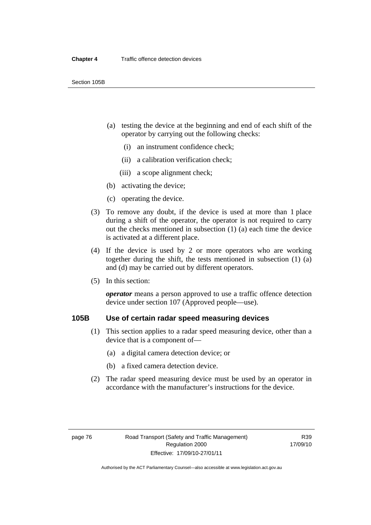- (a) testing the device at the beginning and end of each shift of the operator by carrying out the following checks:
	- (i) an instrument confidence check;
	- (ii) a calibration verification check;
	- (iii) a scope alignment check;
- (b) activating the device;
- (c) operating the device.
- (3) To remove any doubt, if the device is used at more than 1 place during a shift of the operator, the operator is not required to carry out the checks mentioned in subsection (1) (a) each time the device is activated at a different place.
- (4) If the device is used by 2 or more operators who are working together during the shift, the tests mentioned in subsection (1) (a) and (d) may be carried out by different operators.
- (5) In this section:

*operator* means a person approved to use a traffic offence detection device under section 107 (Approved people—use).

# **105B Use of certain radar speed measuring devices**

- (1) This section applies to a radar speed measuring device, other than a device that is a component of—
	- (a) a digital camera detection device; or
	- (b) a fixed camera detection device.
- (2) The radar speed measuring device must be used by an operator in accordance with the manufacturer's instructions for the device.

R39 17/09/10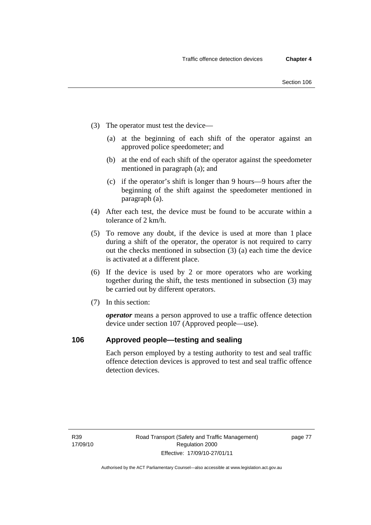- (3) The operator must test the device—
	- (a) at the beginning of each shift of the operator against an approved police speedometer; and
	- (b) at the end of each shift of the operator against the speedometer mentioned in paragraph (a); and
	- (c) if the operator's shift is longer than 9 hours—9 hours after the beginning of the shift against the speedometer mentioned in paragraph (a).
- (4) After each test, the device must be found to be accurate within a tolerance of 2 km/h.
- (5) To remove any doubt, if the device is used at more than 1 place during a shift of the operator, the operator is not required to carry out the checks mentioned in subsection (3) (a) each time the device is activated at a different place.
- (6) If the device is used by 2 or more operators who are working together during the shift, the tests mentioned in subsection (3) may be carried out by different operators.
- (7) In this section:

*operator* means a person approved to use a traffic offence detection device under section 107 (Approved people—use).

## **106 Approved people—testing and sealing**

Each person employed by a testing authority to test and seal traffic offence detection devices is approved to test and seal traffic offence detection devices.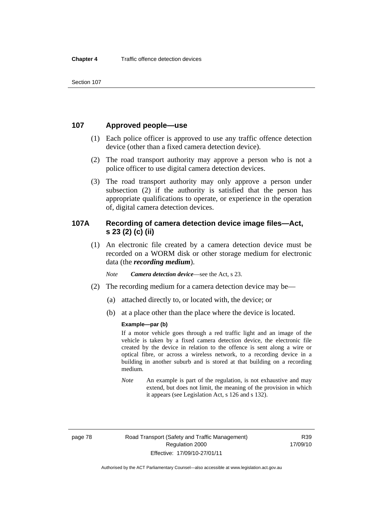Section 107

## **107 Approved people—use**

- (1) Each police officer is approved to use any traffic offence detection device (other than a fixed camera detection device).
- (2) The road transport authority may approve a person who is not a police officer to use digital camera detection devices.
- (3) The road transport authority may only approve a person under subsection (2) if the authority is satisfied that the person has appropriate qualifications to operate, or experience in the operation of, digital camera detection devices.

# **107A Recording of camera detection device image files—Act, s 23 (2) (c) (ii)**

 (1) An electronic file created by a camera detection device must be recorded on a WORM disk or other storage medium for electronic data (the *recording medium*).

*Note Camera detection device*—see the Act, s 23.

- (2) The recording medium for a camera detection device may be—
	- (a) attached directly to, or located with, the device; or
	- (b) at a place other than the place where the device is located.

#### **Example—par (b)**

If a motor vehicle goes through a red traffic light and an image of the vehicle is taken by a fixed camera detection device, the electronic file created by the device in relation to the offence is sent along a wire or optical fibre, or across a wireless network, to a recording device in a building in another suburb and is stored at that building on a recording medium.

*Note* An example is part of the regulation, is not exhaustive and may extend, but does not limit, the meaning of the provision in which it appears (see Legislation Act, s 126 and s 132).

R39 17/09/10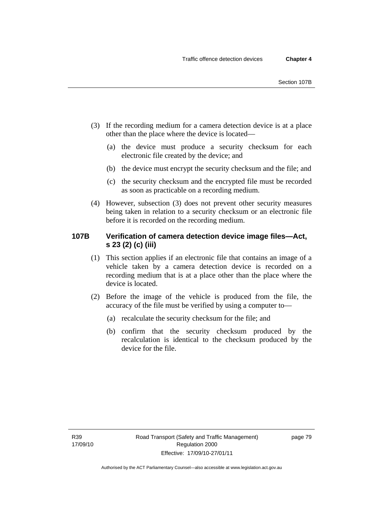- (3) If the recording medium for a camera detection device is at a place other than the place where the device is located—
	- (a) the device must produce a security checksum for each electronic file created by the device; and
	- (b) the device must encrypt the security checksum and the file; and
	- (c) the security checksum and the encrypted file must be recorded as soon as practicable on a recording medium.
- (4) However, subsection (3) does not prevent other security measures being taken in relation to a security checksum or an electronic file before it is recorded on the recording medium.

# **107B Verification of camera detection device image files—Act, s 23 (2) (c) (iii)**

- (1) This section applies if an electronic file that contains an image of a vehicle taken by a camera detection device is recorded on a recording medium that is at a place other than the place where the device is located.
- (2) Before the image of the vehicle is produced from the file, the accuracy of the file must be verified by using a computer to—
	- (a) recalculate the security checksum for the file; and
	- (b) confirm that the security checksum produced by the recalculation is identical to the checksum produced by the device for the file.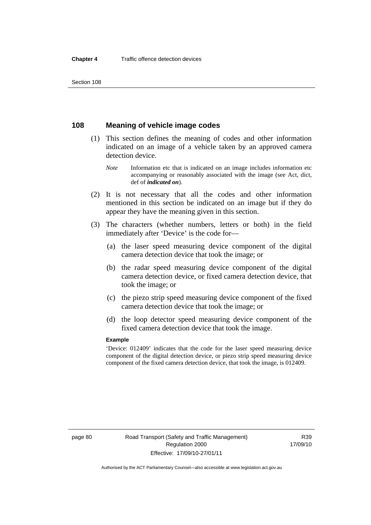Section 108

# **108 Meaning of vehicle image codes**

- (1) This section defines the meaning of codes and other information indicated on an image of a vehicle taken by an approved camera detection device.
	- *Note* Information etc that is indicated on an image includes information etc accompanying or reasonably associated with the image (see Act, dict, def of *indicated on*).
- (2) It is not necessary that all the codes and other information mentioned in this section be indicated on an image but if they do appear they have the meaning given in this section.
- (3) The characters (whether numbers, letters or both) in the field immediately after 'Device' is the code for—
	- (a) the laser speed measuring device component of the digital camera detection device that took the image; or
	- (b) the radar speed measuring device component of the digital camera detection device, or fixed camera detection device, that took the image; or
	- (c) the piezo strip speed measuring device component of the fixed camera detection device that took the image; or
	- (d) the loop detector speed measuring device component of the fixed camera detection device that took the image.

#### **Example**

'Device: 012409' indicates that the code for the laser speed measuring device component of the digital detection device, or piezo strip speed measuring device component of the fixed camera detection device, that took the image, is 012409.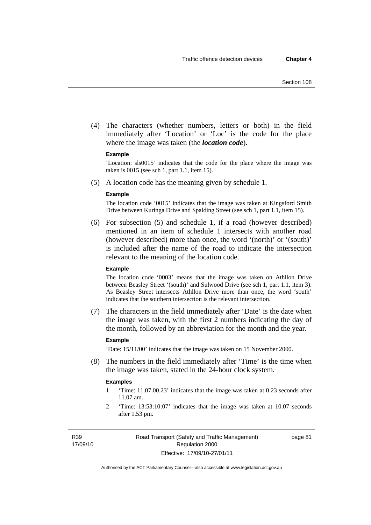(4) The characters (whether numbers, letters or both) in the field immediately after 'Location' or 'Loc' is the code for the place where the image was taken (the *location code*).

#### **Example**

'Location: sls0015' indicates that the code for the place where the image was taken is 0015 (see sch 1, part 1.1, item 15).

(5) A location code has the meaning given by schedule 1.

#### **Example**

The location code '0015' indicates that the image was taken at Kingsford Smith Drive between Kuringa Drive and Spalding Street (see sch 1, part 1.1, item 15).

 (6) For subsection (5) and schedule 1, if a road (however described) mentioned in an item of schedule 1 intersects with another road (however described) more than once, the word '(north)' or '(south)' is included after the name of the road to indicate the intersection relevant to the meaning of the location code.

#### **Example**

The location code '0003' means that the image was taken on Athllon Drive between Beasley Street '(south)' and Sulwood Drive (see sch 1, part 1.1, item 3). As Beasley Street intersects Athllon Drive more than once, the word 'south' indicates that the southern intersection is the relevant intersection.

 (7) The characters in the field immediately after 'Date' is the date when the image was taken, with the first 2 numbers indicating the day of the month, followed by an abbreviation for the month and the year.

#### **Example**

'Date: 15/11/00' indicates that the image was taken on 15 November 2000.

 (8) The numbers in the field immediately after 'Time' is the time when the image was taken, stated in the 24-hour clock system.

#### **Examples**

- 1 'Time: 11.07.00.23' indicates that the image was taken at 0.23 seconds after 11.07 am.
- 2 'Time: 13:53:10:07' indicates that the image was taken at 10.07 seconds after 1.53 pm.

R39 17/09/10 page 81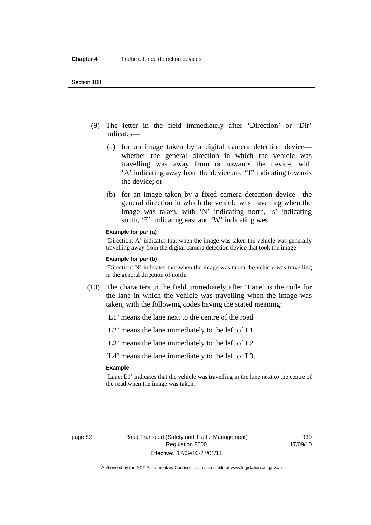- (9) The letter in the field immediately after 'Direction' or 'Dir' indicates—
	- (a) for an image taken by a digital camera detection device whether the general direction in which the vehicle was travelling was away from or towards the device, with 'A' indicating away from the device and 'T' indicating towards the device; or
	- (b) for an image taken by a fixed camera detection device—the general direction in which the vehicle was travelling when the image was taken, with 'N' indicating north, 's' indicating south, 'E' indicating east and 'W' indicating west.

#### **Example for par (a)**

'Direction: A' indicates that when the image was taken the vehicle was generally travelling away from the digital camera detection device that took the image.

#### **Example for par (b)**

'Direction: N' indicates that when the image was taken the vehicle was travelling in the general direction of north.

- (10) The characters in the field immediately after 'Lane' is the code for the lane in which the vehicle was travelling when the image was taken, with the following codes having the stated meaning:
	- 'L1' means the lane next to the centre of the road
	- 'L2' means the lane immediately to the left of L1
	- 'L3' means the lane immediately to the left of L2

'L4' means the lane immediately to the left of L3.

#### **Example**

'Lane: L1' indicates that the vehicle was travelling in the lane next to the centre of the road when the image was taken.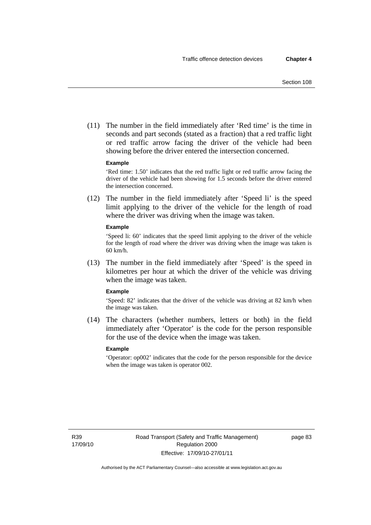(11) The number in the field immediately after 'Red time' is the time in seconds and part seconds (stated as a fraction) that a red traffic light or red traffic arrow facing the driver of the vehicle had been showing before the driver entered the intersection concerned.

#### **Example**

'Red time: 1.50' indicates that the red traffic light or red traffic arrow facing the driver of the vehicle had been showing for 1.5 seconds before the driver entered the intersection concerned.

 (12) The number in the field immediately after 'Speed li' is the speed limit applying to the driver of the vehicle for the length of road where the driver was driving when the image was taken.

#### **Example**

'Speed li: 60' indicates that the speed limit applying to the driver of the vehicle for the length of road where the driver was driving when the image was taken is 60 km/h.

 (13) The number in the field immediately after 'Speed' is the speed in kilometres per hour at which the driver of the vehicle was driving when the image was taken.

#### **Example**

'Speed: 82' indicates that the driver of the vehicle was driving at 82 km/h when the image was taken.

 (14) The characters (whether numbers, letters or both) in the field immediately after 'Operator' is the code for the person responsible for the use of the device when the image was taken.

#### **Example**

'Operator: op002' indicates that the code for the person responsible for the device when the image was taken is operator 002.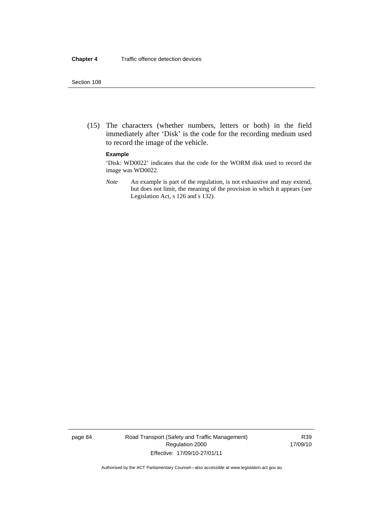#### Section 108

 (15) The characters (whether numbers, letters or both) in the field immediately after 'Disk' is the code for the recording medium used to record the image of the vehicle.

#### **Example**

'Disk: WD0022' indicates that the code for the WORM disk used to record the image was WD0022.

*Note* An example is part of the regulation, is not exhaustive and may extend, but does not limit, the meaning of the provision in which it appears (see Legislation Act, s 126 and s 132).

page 84 Road Transport (Safety and Traffic Management) Regulation 2000 Effective: 17/09/10-27/01/11

R39 17/09/10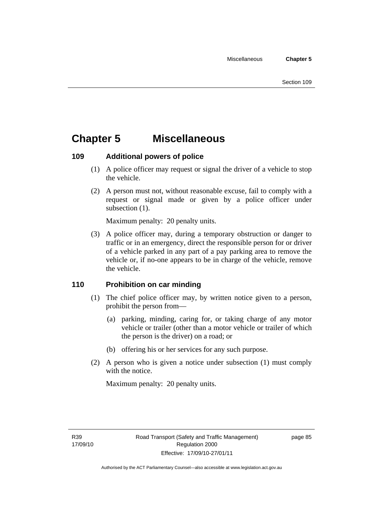# **Chapter 5 Miscellaneous**

# **109 Additional powers of police**

- (1) A police officer may request or signal the driver of a vehicle to stop the vehicle.
- (2) A person must not, without reasonable excuse, fail to comply with a request or signal made or given by a police officer under subsection  $(1)$ .

Maximum penalty: 20 penalty units.

 (3) A police officer may, during a temporary obstruction or danger to traffic or in an emergency, direct the responsible person for or driver of a vehicle parked in any part of a pay parking area to remove the vehicle or, if no-one appears to be in charge of the vehicle, remove the vehicle.

# **110 Prohibition on car minding**

- (1) The chief police officer may, by written notice given to a person, prohibit the person from—
	- (a) parking, minding, caring for, or taking charge of any motor vehicle or trailer (other than a motor vehicle or trailer of which the person is the driver) on a road; or
	- (b) offering his or her services for any such purpose.
- (2) A person who is given a notice under subsection (1) must comply with the notice.

Maximum penalty: 20 penalty units.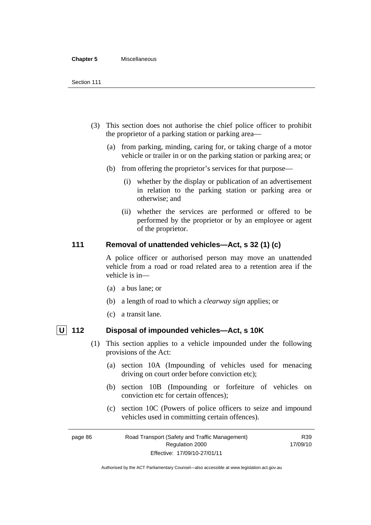#### **Chapter 5** Miscellaneous

- (3) This section does not authorise the chief police officer to prohibit the proprietor of a parking station or parking area—
	- (a) from parking, minding, caring for, or taking charge of a motor vehicle or trailer in or on the parking station or parking area; or
	- (b) from offering the proprietor's services for that purpose—
		- (i) whether by the display or publication of an advertisement in relation to the parking station or parking area or otherwise; and
		- (ii) whether the services are performed or offered to be performed by the proprietor or by an employee or agent of the proprietor.

# **111 Removal of unattended vehicles—Act, s 32 (1) (c)**

A police officer or authorised person may move an unattended vehicle from a road or road related area to a retention area if the vehicle is in—

- (a) a bus lane; or
- (b) a length of road to which a *clearway sign* applies; or
- (c) a transit lane.

- **U 112 Disposal of impounded vehicles—Act, s 10K** 
	- (1) This section applies to a vehicle impounded under the following provisions of the Act:
		- (a) section 10A (Impounding of vehicles used for menacing driving on court order before conviction etc);
		- (b) section 10B (Impounding or forfeiture of vehicles on conviction etc for certain offences);
		- (c) section 10C (Powers of police officers to seize and impound vehicles used in committing certain offences).

R39

page 86 Road Transport (Safety and Traffic Management) Regulation 2000 Effective: 17/09/10-27/01/11 17/09/10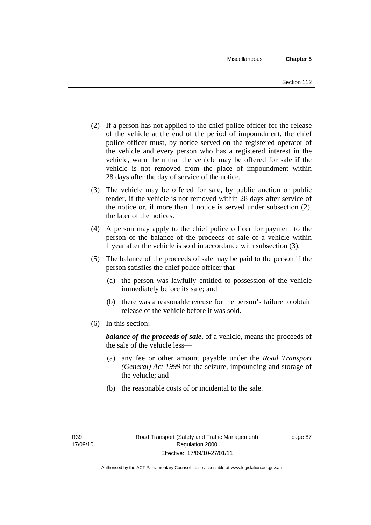- (2) If a person has not applied to the chief police officer for the release of the vehicle at the end of the period of impoundment, the chief police officer must, by notice served on the registered operator of the vehicle and every person who has a registered interest in the vehicle, warn them that the vehicle may be offered for sale if the vehicle is not removed from the place of impoundment within 28 days after the day of service of the notice.
- (3) The vehicle may be offered for sale, by public auction or public tender, if the vehicle is not removed within 28 days after service of the notice or, if more than 1 notice is served under subsection (2), the later of the notices.
- (4) A person may apply to the chief police officer for payment to the person of the balance of the proceeds of sale of a vehicle within 1 year after the vehicle is sold in accordance with subsection (3).
- (5) The balance of the proceeds of sale may be paid to the person if the person satisfies the chief police officer that—
	- (a) the person was lawfully entitled to possession of the vehicle immediately before its sale; and
	- (b) there was a reasonable excuse for the person's failure to obtain release of the vehicle before it was sold.
- (6) In this section:

*balance of the proceeds of sale*, of a vehicle, means the proceeds of the sale of the vehicle less—

- (a) any fee or other amount payable under the *Road Transport (General) Act 1999* for the seizure, impounding and storage of the vehicle; and
- (b) the reasonable costs of or incidental to the sale.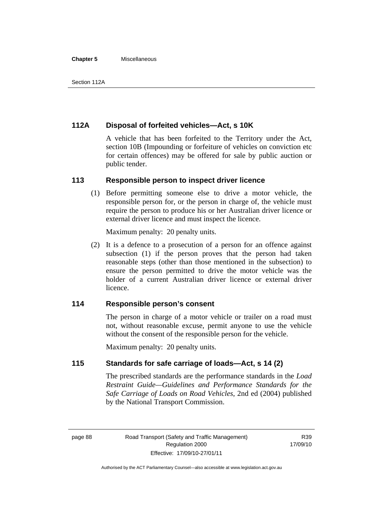#### **Chapter 5** Miscellaneous

# **112A Disposal of forfeited vehicles—Act, s 10K**

A vehicle that has been forfeited to the Territory under the Act, section 10B (Impounding or forfeiture of vehicles on conviction etc for certain offences) may be offered for sale by public auction or public tender.

#### **113 Responsible person to inspect driver licence**

 (1) Before permitting someone else to drive a motor vehicle, the responsible person for, or the person in charge of, the vehicle must require the person to produce his or her Australian driver licence or external driver licence and must inspect the licence.

Maximum penalty: 20 penalty units.

 (2) It is a defence to a prosecution of a person for an offence against subsection (1) if the person proves that the person had taken reasonable steps (other than those mentioned in the subsection) to ensure the person permitted to drive the motor vehicle was the holder of a current Australian driver licence or external driver licence.

# **114 Responsible person's consent**

The person in charge of a motor vehicle or trailer on a road must not, without reasonable excuse, permit anyone to use the vehicle without the consent of the responsible person for the vehicle.

Maximum penalty: 20 penalty units.

## **115 Standards for safe carriage of loads—Act, s 14 (2)**

The prescribed standards are the performance standards in the *Load Restraint Guide—Guidelines and Performance Standards for the Safe Carriage of Loads on Road Vehicles*, 2nd ed (2004) published by the National Transport Commission.

R39 17/09/10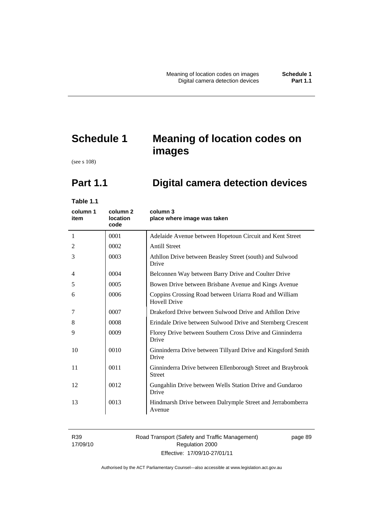# **Schedule 1 Meaning of location codes on images**

(see s 108)

# **Part 1.1 Digital camera detection devices**

**Table 1.1** 

| column 1<br>item | column <sub>2</sub><br><b>location</b><br>code | column 3<br>place where image was taken                                       |
|------------------|------------------------------------------------|-------------------------------------------------------------------------------|
| 1                | 0001                                           | Adelaide Avenue between Hopetoun Circuit and Kent Street                      |
| 2                | 0002                                           | <b>Antill Street</b>                                                          |
| 3                | 0003                                           | Athllon Drive between Beasley Street (south) and Sulwood<br>Drive             |
| 4                | 0004                                           | Belconnen Way between Barry Drive and Coulter Drive                           |
| 5                | 0005                                           | Bowen Drive between Brisbane Avenue and Kings Avenue                          |
| 6                | 0006                                           | Coppins Crossing Road between Uriarra Road and William<br><b>Hovell Drive</b> |
| 7                | 0007                                           | Drakeford Drive between Sulwood Drive and Athllon Drive                       |
| 8                | 0008                                           | Erindale Drive between Sulwood Drive and Sternberg Crescent                   |
| 9                | 0009                                           | Florey Drive between Southern Cross Drive and Ginninderra<br>Drive            |
| 10               | 0010                                           | Ginninderra Drive between Tillyard Drive and Kingsford Smith<br>Drive         |
| 11               | 0011                                           | Ginninderra Drive between Ellenborough Street and Braybrook<br><b>Street</b>  |
| 12               | 0012                                           | Gungahlin Drive between Wells Station Drive and Gundaroo<br>Drive             |
| 13               | 0013                                           | Hindmarsh Drive between Dalrymple Street and Jerrabomberra<br>Avenue          |

R39 17/09/10

# Road Transport (Safety and Traffic Management) Regulation 2000 Effective: 17/09/10-27/01/11

page 89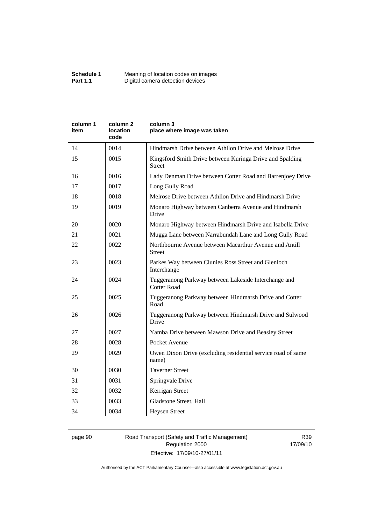| column 2<br>location<br>code | column 3<br>place where image was taken                                    |
|------------------------------|----------------------------------------------------------------------------|
| 0014                         | Hindmarsh Drive between Athllon Drive and Melrose Drive                    |
| 0015                         | Kingsford Smith Drive between Kuringa Drive and Spalding<br>Street         |
| 0016                         | Lady Denman Drive between Cotter Road and Barrenjoey Drive                 |
| 0017                         | Long Gully Road                                                            |
| 0018                         | Melrose Drive between Athllon Drive and Hindmarsh Drive                    |
| 0019                         | Monaro Highway between Canberra Avenue and Hindmarsh<br>Drive              |
| 0020                         | Monaro Highway between Hindmarsh Drive and Isabella Drive                  |
| 0021                         | Mugga Lane between Narrabundah Lane and Long Gully Road                    |
| 0022                         | Northbourne Avenue between Macarthur Avenue and Antill<br>Street           |
| 0023                         | Parkes Way between Clunies Ross Street and Glenloch<br>Interchange         |
| 0024                         | Tuggeranong Parkway between Lakeside Interchange and<br><b>Cotter Road</b> |
| 0025                         | Tuggeranong Parkway between Hindmarsh Drive and Cotter<br>Road             |
| 0026                         | Tuggeranong Parkway between Hindmarsh Drive and Sulwood<br>Drive           |
| 0027                         | Yamba Drive between Mawson Drive and Beasley Street                        |
| 0028                         | Pocket Avenue                                                              |
| 0029                         | Owen Dixon Drive (excluding residential service road of same<br>name)      |
| 0030                         | <b>Taverner Street</b>                                                     |
| 0031                         | Springvale Drive                                                           |
| 0032                         | Kerrigan Street                                                            |
| 0033                         | Gladstone Street, Hall                                                     |
| 0034                         | <b>Heysen Street</b>                                                       |
|                              |                                                                            |

# page 90 Road Transport (Safety and Traffic Management) Regulation 2000 Effective: 17/09/10-27/01/11

R39 17/09/10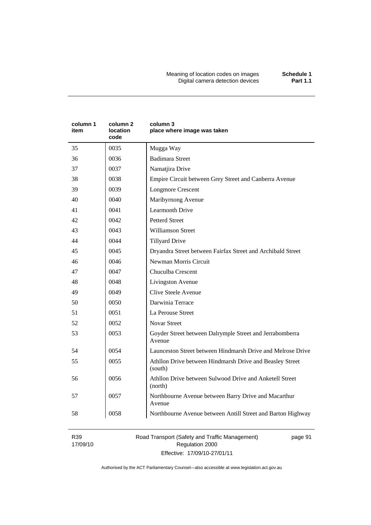Meaning of location codes on images **Schedule 1**  Digital camera detection devices **Part 1.1** 

| column 1<br>item | column 2<br>location<br>code | column 3<br>place where image was taken                             |
|------------------|------------------------------|---------------------------------------------------------------------|
| 35               | 0035                         | Mugga Way                                                           |
| 36               | 0036                         | <b>Badimara Street</b>                                              |
| 37               | 0037                         | Namatjira Drive                                                     |
| 38               | 0038                         | Empire Circuit between Grey Street and Canberra Avenue              |
| 39               | 0039                         | <b>Longmore Crescent</b>                                            |
| 40               | 0040                         | Maribyrnong Avenue                                                  |
| 41               | 0041                         | <b>Learmonth Drive</b>                                              |
| 42               | 0042                         | <b>Petterd Street</b>                                               |
| 43               | 0043                         | <b>Williamson Street</b>                                            |
| 44               | 0044                         | <b>Tillyard Drive</b>                                               |
| 45               | 0045                         | Dryandra Street between Fairfax Street and Archibald Street         |
| 46               | 0046                         | Newman Morris Circuit                                               |
| 47               | 0047                         | Chuculba Crescent                                                   |
| 48               | 0048                         | Livingston Avenue                                                   |
| 49               | 0049                         | Clive Steele Avenue                                                 |
| 50               | 0050                         | Darwinia Terrace                                                    |
| 51               | 0051                         | La Perouse Street                                                   |
| 52               | 0052                         | <b>Novar Street</b>                                                 |
| 53               | 0053                         | Goyder Street between Dalrymple Street and Jerrabomberra<br>Avenue  |
| 54               | 0054                         | Launceston Street between Hindmarsh Drive and Melrose Drive         |
| 55               | 0055                         | Athllon Drive between Hindmarsh Drive and Beasley Street<br>(south) |
| 56               | 0056                         | Athllon Drive between Sulwood Drive and Anketell Street<br>(north)  |
| 57               | 0057                         | Northbourne Avenue between Barry Drive and Macarthur<br>Avenue      |
| 58               | 0058                         | Northbourne Avenue between Antill Street and Barton Highway         |

R39 17/09/10 Road Transport (Safety and Traffic Management) Regulation 2000 Effective: 17/09/10-27/01/11

page 91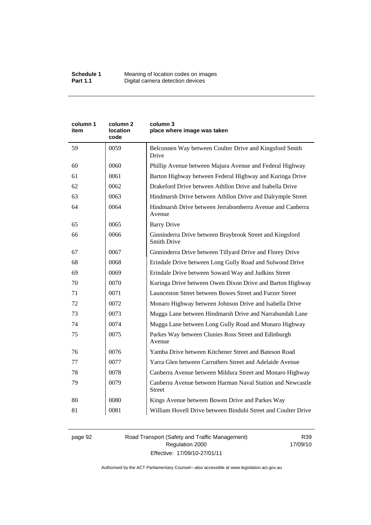| column 1<br>item | column <sub>2</sub><br>location<br>code | column 3<br>place where image was taken                                        |  |
|------------------|-----------------------------------------|--------------------------------------------------------------------------------|--|
| 59               | 0059                                    | Belconnen Way between Coulter Drive and Kingsford Smith<br>Drive               |  |
| 60               | 0060                                    | Phillip Avenue between Majura Avenue and Federal Highway                       |  |
| 61               | 0061                                    | Barton Highway between Federal Highway and Kuringa Drive                       |  |
| 62               | 0062                                    | Drakeford Drive between Athllon Drive and Isabella Drive                       |  |
| 63               | 0063                                    | Hindmarsh Drive between Athllon Drive and Dalrymple Street                     |  |
| 64               | 0064                                    | Hindmarsh Drive between Jerrabomberra Avenue and Canberra<br>Avenue            |  |
| 65               | 0065                                    | <b>Barry Drive</b>                                                             |  |
| 66               | 0066                                    | Ginninderra Drive between Braybrook Street and Kingsford<br><b>Smith Drive</b> |  |
| 67               | 0067                                    | Ginninderra Drive between Tillyard Drive and Florey Drive                      |  |
| 68               | 0068                                    | Erindale Drive between Long Gully Road and Sulwood Drive                       |  |
| 69               | 0069                                    | Erindale Drive between Soward Way and Judkins Street                           |  |
| 70               | 0070                                    | Kuringa Drive between Owen Dixon Drive and Barton Highway                      |  |
| 71               | 0071                                    | Launceston Street between Bowes Street and Furzer Street                       |  |
| 72               | 0072                                    | Monaro Highway between Johnson Drive and Isabella Drive                        |  |
| 73               | 0073                                    | Mugga Lane between Hindmarsh Drive and Narrabundah Lane                        |  |
| 74               | 0074                                    | Mugga Lane between Long Gully Road and Monaro Highway                          |  |
| 75               | 0075                                    | Parkes Way between Clunies Ross Street and Edinburgh<br>Avenue                 |  |
| 76               | 0076                                    | Yamba Drive between Kitchener Street and Bateson Road                          |  |
| 77               | 0077                                    | Yarra Glen between Carruthers Street and Adelaide Avenue                       |  |
| 78               | 0078                                    | Canberra Avenue between Mildura Street and Monaro Highway                      |  |
| 79               | 0079                                    | Canberra Avenue between Harman Naval Station and Newcastle<br><b>Street</b>    |  |
| 80               | 0080                                    | Kings Avenue between Bowen Drive and Parkes Way                                |  |
| 81               | 0081                                    | William Hovell Drive between Bindubi Street and Coulter Drive                  |  |

page 92 Road Transport (Safety and Traffic Management) Regulation 2000 Effective: 17/09/10-27/01/11

R39 17/09/10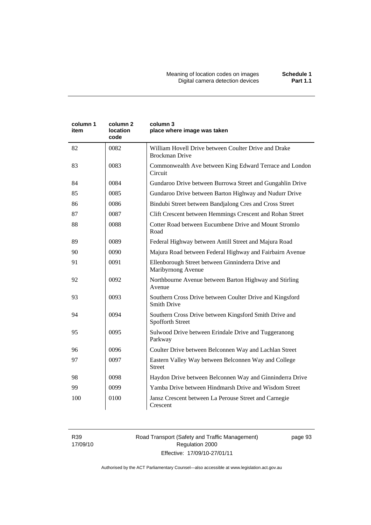| column 1<br>item | column 2<br>location<br>code | column 3<br>place where image was taken                                       |
|------------------|------------------------------|-------------------------------------------------------------------------------|
| 82               | 0082                         | William Hovell Drive between Coulter Drive and Drake<br><b>Brockman Drive</b> |
| 83               | 0083                         | Commonwealth Ave between King Edward Terrace and London<br>Circuit            |
| 84               | 0084                         | Gundaroo Drive between Burrowa Street and Gungahlin Drive                     |
| 85               | 0085                         | Gundaroo Drive between Barton Highway and Nudurr Drive                        |
| 86               | 0086                         | Bindubi Street between Bandjalong Cres and Cross Street                       |
| 87               | 0087                         | Clift Crescent between Hemmings Crescent and Rohan Street                     |
| 88               | 0088                         | Cotter Road between Eucumbene Drive and Mount Stromlo<br>Road                 |
| 89               | 0089                         | Federal Highway between Antill Street and Majura Road                         |
| 90               | 0090                         | Majura Road between Federal Highway and Fairbairn Avenue                      |
| 91               | 0091                         | Ellenborough Street between Ginninderra Drive and<br>Maribyrnong Avenue       |
| 92               | 0092                         | Northbourne Avenue between Barton Highway and Stirling<br>Avenue              |
| 93               | 0093                         | Southern Cross Drive between Coulter Drive and Kingsford<br>Smith Drive       |
| 94               | 0094                         | Southern Cross Drive between Kingsford Smith Drive and<br>Spofforth Street    |
| 95               | 0095                         | Sulwood Drive between Erindale Drive and Tuggeranong<br>Parkway               |
| 96               | 0096                         | Coulter Drive between Belconnen Way and Lachlan Street                        |
| 97               | 0097                         | Eastern Valley Way between Belconnen Way and College<br><b>Street</b>         |
| 98               | 0098                         | Haydon Drive between Belconnen Way and Ginninderra Drive                      |
| 99               | 0099                         | Yamba Drive between Hindmarsh Drive and Wisdom Street                         |
| 100              | 0100                         | Jansz Crescent between La Perouse Street and Carnegie<br>Crescent             |

R39 17/09/10 Road Transport (Safety and Traffic Management) Regulation 2000 Effective: 17/09/10-27/01/11

page 93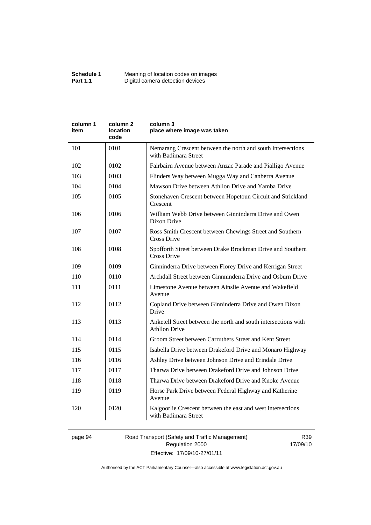| column 1<br>item | column <sub>2</sub><br>location<br>code | column 3<br>place where image was taken                                                |  |
|------------------|-----------------------------------------|----------------------------------------------------------------------------------------|--|
| 101              | 0101                                    | Nemarang Crescent between the north and south intersections<br>with Badimara Street    |  |
| 102              | 0102                                    | Fairbairn Avenue between Anzac Parade and Pialligo Avenue                              |  |
| 103              | 0103                                    | Flinders Way between Mugga Way and Canberra Avenue                                     |  |
| 104              | 0104                                    | Mawson Drive between Athllon Drive and Yamba Drive                                     |  |
| 105              | 0105                                    | Stonehaven Crescent between Hopetoun Circuit and Strickland<br>Crescent                |  |
| 106              | 0106                                    | William Webb Drive between Ginninderra Drive and Owen<br>Dixon Drive                   |  |
| 107              | 0107                                    | Ross Smith Crescent between Chewings Street and Southern<br>Cross Drive                |  |
| 108              | 0108                                    | Spofforth Street between Drake Brockman Drive and Southern<br>Cross Drive              |  |
| 109              | 0109                                    | Ginninderra Drive between Florey Drive and Kerrigan Street                             |  |
| 110              | 0110                                    | Archdall Street between Ginnninderra Drive and Osburn Drive                            |  |
| 111              | 0111                                    | Limestone Avenue between Ainslie Avenue and Wakefield<br>Avenue                        |  |
| 112              | 0112                                    | Copland Drive between Ginninderra Drive and Owen Dixon<br>Drive                        |  |
| 113              | 0113                                    | Anketell Street between the north and south intersections with<br><b>Athllon Drive</b> |  |
| 114              | 0114                                    | Groom Street between Carruthers Street and Kent Street                                 |  |
| 115              | 0115                                    | Isabella Drive between Drakeford Drive and Monaro Highway                              |  |
| 116              | 0116                                    | Ashley Drive between Johnson Drive and Erindale Drive                                  |  |
| 117              | 0117                                    | Tharwa Drive between Drakeford Drive and Johnson Drive                                 |  |
| 118              | 0118                                    | Tharwa Drive between Drakeford Drive and Knoke Avenue                                  |  |
| 119              | 0119                                    | Horse Park Drive between Federal Highway and Katherine<br>Avenue                       |  |
| 120              | 0120                                    | Kalgoorlie Crescent between the east and west intersections<br>with Badimara Street    |  |

# page 94 Road Transport (Safety and Traffic Management) Regulation 2000 Effective: 17/09/10-27/01/11

R39 17/09/10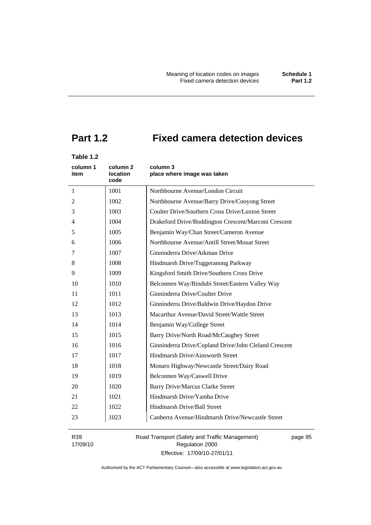# **Part 1.2 Fixed camera detection devices**

# **Table 1.2**

| column 1<br>item | column <sub>2</sub><br>location<br>code | column 3<br>place where image was taken               |  |
|------------------|-----------------------------------------|-------------------------------------------------------|--|
| $\mathbf{1}$     | 1001                                    | Northbourne Avenue/London Circuit                     |  |
| 2                | 1002                                    | Northbourne Avenue/Barry Drive/Cooyong Street         |  |
| 3                | 1003                                    | Coulter Drive/Southern Cross Drive/Luxton Street      |  |
| 4                | 1004                                    | Drakeford Drive/Boddington Crescent/Marconi Crescent  |  |
| 5                | 1005                                    | Benjamin Way/Chan Street/Cameron Avenue               |  |
| 6                | 1006                                    | Northbourne Avenue/Antill Street/Mouat Street         |  |
| 7                | 1007                                    | Ginninderra Drive/Aikman Drive                        |  |
| 8                | 1008                                    | Hindmarsh Drive/Tuggeranong Parkway                   |  |
| 9                | 1009                                    | Kingsford Smith Drive/Southern Cross Drive            |  |
| 10               | 1010                                    | Belconnen Way/Bindubi Street/Eastern Valley Way       |  |
| 11               | 1011                                    | Ginninderra Drive/Coulter Drive                       |  |
| 12               | 1012                                    | Ginninderra Drive/Baldwin Drive/Haydon Drive          |  |
| 13               | 1013                                    | Macarthur Avenue/David Street/Wattle Street           |  |
| 14               | 1014                                    | Benjamin Way/College Street                           |  |
| 15               | 1015                                    | Barry Drive/North Road/McCaughey Street               |  |
| 16               | 1016                                    | Ginninderra Drive/Copland Drive/John Cleland Crescent |  |
| 17               | 1017                                    | Hindmarsh Drive/Ainsworth Street                      |  |
| 18               | 1018                                    | Monaro Highway/Newcastle Street/Dairy Road            |  |
| 19               | 1019                                    | Belconnen Way/Caswell Drive                           |  |
| 20               | 1020                                    | <b>Barry Drive/Marcus Clarke Street</b>               |  |
| 21               | 1021                                    | Hindmarsh Drive/Yamba Drive                           |  |
| 22               | 1022                                    | Hindmarsh Drive/Ball Street                           |  |
| 23               | 1023                                    | Canberra Avenue/Hindmarsh Drive/Newcastle Street      |  |

R39 17/09/10 Road Transport (Safety and Traffic Management) Regulation 2000 Effective: 17/09/10-27/01/11

page 95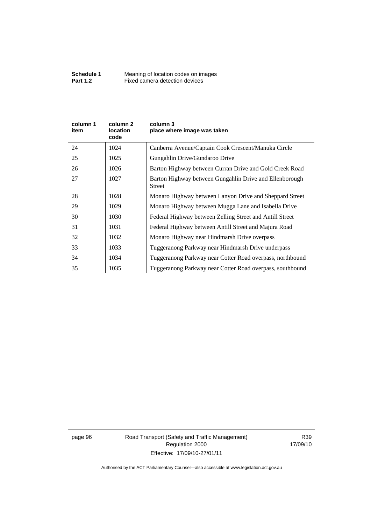| column 1<br>item | column 2<br><b>location</b><br>code | column 3<br>place where image was taken                                  |
|------------------|-------------------------------------|--------------------------------------------------------------------------|
| 24               | 1024                                | Canberra Avenue/Captain Cook Crescent/Manuka Circle                      |
| 25               | 1025                                | Gungahlin Drive/Gundaroo Drive                                           |
| 26               | 1026                                | Barton Highway between Curran Drive and Gold Creek Road                  |
| 27               | 1027                                | Barton Highway between Gungahlin Drive and Ellenborough<br><b>Street</b> |
| 28               | 1028                                | Monaro Highway between Lanyon Drive and Sheppard Street                  |
| 29               | 1029                                | Monaro Highway between Mugga Lane and Isabella Drive                     |
| 30               | 1030                                | Federal Highway between Zelling Street and Antill Street                 |
| 31               | 1031                                | Federal Highway between Antill Street and Majura Road                    |
| 32               | 1032                                | Monaro Highway near Hindmarsh Drive overpass                             |
| 33               | 1033                                | Tuggeranong Parkway near Hindmarsh Drive underpass                       |
| 34               | 1034                                | Tuggeranong Parkway near Cotter Road overpass, northbound                |
| 35               | 1035                                | Tuggeranong Parkway near Cotter Road overpass, southbound                |

page 96 Road Transport (Safety and Traffic Management) Regulation 2000 Effective: 17/09/10-27/01/11

R39 17/09/10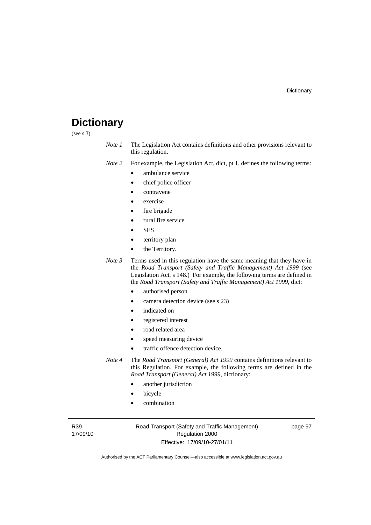# **Dictionary**

(see s 3)

*Note 1* The Legislation Act contains definitions and other provisions relevant to this regulation.

*Note 2* For example, the Legislation Act, dict, pt 1, defines the following terms:

- ambulance service
	- chief police officer
- contravene
- exercise
- fire brigade
- rural fire service
- SES
- territory plan
- the Territory.
- *Note 3* Terms used in this regulation have the same meaning that they have in the *Road Transport (Safety and Traffic Management) Act 1999* (see Legislation Act, s 148.) For example, the following terms are defined in the *Road Transport (Safety and Traffic Management) Act 1999*, dict:
	- authorised person
	- camera detection device (see s 23)
	- indicated on
	- registered interest
	- road related area
	- speed measuring device
	- traffic offence detection device.

*Note 4* The *Road Transport (General) Act 1999* contains definitions relevant to this Regulation. For example, the following terms are defined in the *Road Transport (General) Act 1999*, dictionary:

- another jurisdiction
- **bicycle**
- combination

R39 17/09/10 Road Transport (Safety and Traffic Management) Regulation 2000 Effective: 17/09/10-27/01/11

page 97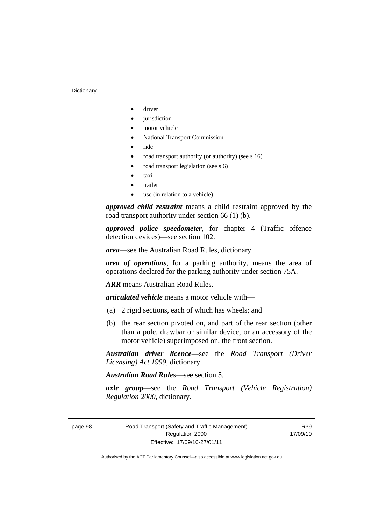- driver
- *jurisdiction*
- motor vehicle
- National Transport Commission
- ride
- road transport authority (or authority) (see s 16)
- road transport legislation (see s 6)
- taxi
- trailer
- use (in relation to a vehicle).

*approved child restraint* means a child restraint approved by the road transport authority under section 66 (1) (b).

*approved police speedometer*, for chapter 4 (Traffic offence detection devices)—see section 102.

*area*—see the Australian Road Rules, dictionary.

*area of operations*, for a parking authority, means the area of operations declared for the parking authority under section 75A.

*ARR* means Australian Road Rules.

*articulated vehicle* means a motor vehicle with—

- (a) 2 rigid sections, each of which has wheels; and
- (b) the rear section pivoted on, and part of the rear section (other than a pole, drawbar or similar device, or an accessory of the motor vehicle) superimposed on, the front section.

*Australian driver licence*—see the *Road Transport (Driver Licensing) Act 1999*, dictionary.

*Australian Road Rules*—see section 5.

*axle group*—see the *Road Transport (Vehicle Registration) Regulation 2000*, dictionary.

R39 17/09/10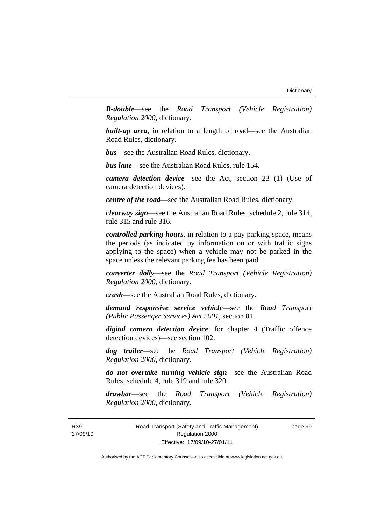*B-double*—see the *Road Transport (Vehicle Registration) Regulation 2000*, dictionary.

**built-up area**, in relation to a length of road—see the Australian Road Rules, dictionary.

*bus*—see the Australian Road Rules, dictionary.

*bus lane*—see the Australian Road Rules, rule 154.

*camera detection device*—see the Act, section 23 (1) (Use of camera detection devices).

*centre of the road*—see the Australian Road Rules, dictionary.

*clearway sign*—see the Australian Road Rules, schedule 2, rule 314, rule 315 and rule 316.

*controlled parking hours*, in relation to a pay parking space, means the periods (as indicated by information on or with traffic signs applying to the space) when a vehicle may not be parked in the space unless the relevant parking fee has been paid.

*converter dolly*—see the *Road Transport (Vehicle Registration) Regulation 2000*, dictionary.

*crash*—see the Australian Road Rules, dictionary.

*demand responsive service vehicle*—see the *Road Transport (Public Passenger Services) Act 2001*, section 81.

*digital camera detection device*, for chapter 4 (Traffic offence detection devices)—see section 102.

*dog trailer*—see the *Road Transport (Vehicle Registration) Regulation 2000*, dictionary.

*do not overtake turning vehicle sign*—see the Australian Road Rules, schedule 4, rule 319 and rule 320.

*drawbar*—see the *Road Transport (Vehicle Registration) Regulation 2000*, dictionary.

R39 17/09/10 Road Transport (Safety and Traffic Management) Regulation 2000 Effective: 17/09/10-27/01/11

page 99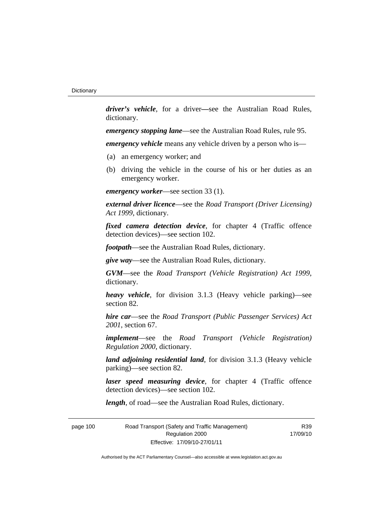*driver's vehicle*, for a driver*—*see the Australian Road Rules, dictionary.

*emergency stopping lane*—see the Australian Road Rules, rule 95.

*emergency vehicle* means any vehicle driven by a person who is—

- (a) an emergency worker; and
- (b) driving the vehicle in the course of his or her duties as an emergency worker.

*emergency worker*—see section 33 (1).

*external driver licence*—see the *Road Transport (Driver Licensing) Act 1999*, dictionary.

*fixed camera detection device*, for chapter 4 (Traffic offence detection devices)—see section 102.

*footpath*—see the Australian Road Rules, dictionary.

*give way*—see the Australian Road Rules, dictionary.

*GVM*—see the *Road Transport (Vehicle Registration) Act 1999*, dictionary.

*heavy vehicle*, for division 3.1.3 (Heavy vehicle parking)—see section 82.

*hire car*—see the *Road Transport (Public Passenger Services) Act 2001*, section 67.

*implement*—see the *Road Transport (Vehicle Registration) Regulation 2000*, dictionary.

*land adjoining residential land*, for division 3.1.3 (Heavy vehicle parking)—see section 82.

*laser speed measuring device*, for chapter 4 (Traffic offence detection devices)—see section 102.

*length*, of road—see the Australian Road Rules, dictionary.

page 100 Road Transport (Safety and Traffic Management) Regulation 2000 Effective: 17/09/10-27/01/11

R39 17/09/10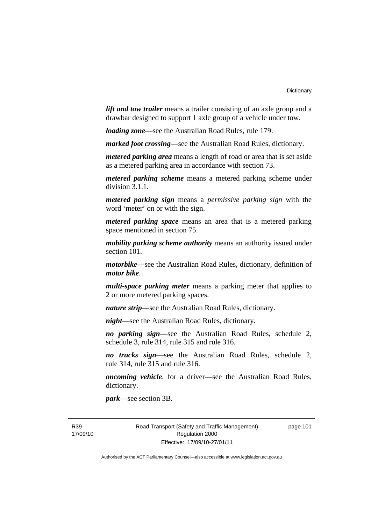*lift and tow trailer* means a trailer consisting of an axle group and a drawbar designed to support 1 axle group of a vehicle under tow.

*loading zone*—see the Australian Road Rules, rule 179.

*marked foot crossing*—see the Australian Road Rules, dictionary.

*metered parking area* means a length of road or area that is set aside as a metered parking area in accordance with section 73.

*metered parking scheme* means a metered parking scheme under division 3.1.1.

*metered parking sign* means a *permissive parking sign* with the word 'meter' on or with the sign.

*metered parking space* means an area that is a metered parking space mentioned in section 75.

*mobility parking scheme authority* means an authority issued under section 101.

*motorbike*—see the Australian Road Rules, dictionary, definition of *motor bike*.

*multi-space parking meter* means a parking meter that applies to 2 or more metered parking spaces.

*nature strip*—see the Australian Road Rules, dictionary.

*night*—see the Australian Road Rules, dictionary.

*no parking sign*—see the Australian Road Rules, schedule 2, schedule 3, rule 314, rule 315 and rule 316.

*no trucks sign*—see the Australian Road Rules, schedule 2, rule 314, rule 315 and rule 316.

*oncoming vehicle*, for a driver—see the Australian Road Rules, dictionary.

*park*—see section 3B.

R39 17/09/10 Road Transport (Safety and Traffic Management) Regulation 2000 Effective: 17/09/10-27/01/11

page 101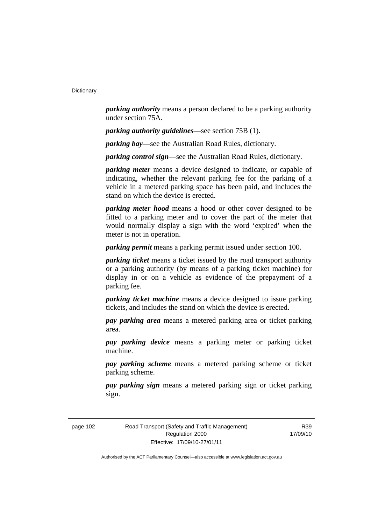*parking authority* means a person declared to be a parking authority under section 75A.

*parking authority guidelines*—see section 75B (1).

*parking bay*—see the Australian Road Rules, dictionary.

*parking control sign*—see the Australian Road Rules, dictionary.

*parking meter* means a device designed to indicate, or capable of indicating, whether the relevant parking fee for the parking of a vehicle in a metered parking space has been paid, and includes the stand on which the device is erected.

*parking meter hood* means a hood or other cover designed to be fitted to a parking meter and to cover the part of the meter that would normally display a sign with the word 'expired' when the meter is not in operation.

*parking permit* means a parking permit issued under section 100.

*parking ticket* means a ticket issued by the road transport authority or a parking authority (by means of a parking ticket machine) for display in or on a vehicle as evidence of the prepayment of a parking fee.

*parking ticket machine* means a device designed to issue parking tickets, and includes the stand on which the device is erected.

*pay parking area* means a metered parking area or ticket parking area.

*pay parking device* means a parking meter or parking ticket machine.

*pay parking scheme* means a metered parking scheme or ticket parking scheme.

*pay parking sign* means a metered parking sign or ticket parking sign.

page 102 Road Transport (Safety and Traffic Management) Regulation 2000 Effective: 17/09/10-27/01/11

R39 17/09/10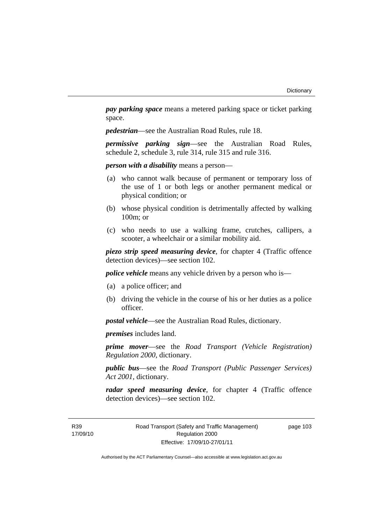*pay parking space* means a metered parking space or ticket parking space.

*pedestrian*—see the Australian Road Rules, rule 18.

*permissive parking sign*—see the Australian Road Rules, schedule 2, schedule 3, rule 314, rule 315 and rule 316.

*person with a disability* means a person—

- (a) who cannot walk because of permanent or temporary loss of the use of 1 or both legs or another permanent medical or physical condition; or
- (b) whose physical condition is detrimentally affected by walking 100m; or
- (c) who needs to use a walking frame, crutches, callipers, a scooter, a wheelchair or a similar mobility aid.

*piezo strip speed measuring device*, for chapter 4 (Traffic offence detection devices)—see section 102.

*police vehicle* means any vehicle driven by a person who is—

- (a) a police officer; and
- (b) driving the vehicle in the course of his or her duties as a police officer.

*postal vehicle*—see the Australian Road Rules, dictionary.

*premises* includes land.

*prime mover*—see the *Road Transport (Vehicle Registration) Regulation 2000*, dictionary.

*public bus*—see the *Road Transport (Public Passenger Services) Act 2001*, dictionary.

*radar speed measuring device*, for chapter 4 (Traffic offence detection devices)—see section 102.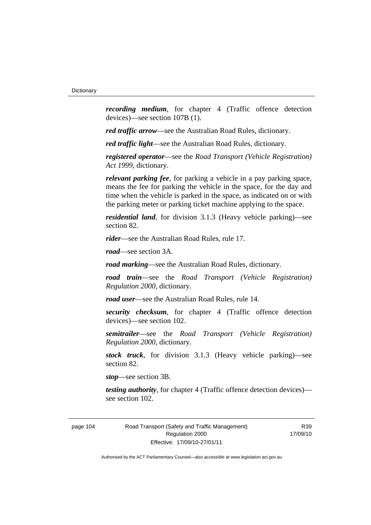*recording medium*, for chapter 4 (Traffic offence detection devices)—see section 107B (1).

*red traffic arrow*—see the Australian Road Rules, dictionary.

*red traffic light*—see the Australian Road Rules, dictionary.

*registered operator*—see the *Road Transport (Vehicle Registration) Act 1999*, dictionary.

*relevant parking fee*, for parking a vehicle in a pay parking space, means the fee for parking the vehicle in the space, for the day and time when the vehicle is parked in the space, as indicated on or with the parking meter or parking ticket machine applying to the space.

*residential land*, for division 3.1.3 (Heavy vehicle parking)—see section 82.

*rider*—see the Australian Road Rules, rule 17.

*road*—see section 3A.

*road marking*—see the Australian Road Rules, dictionary.

*road train*—see the *Road Transport (Vehicle Registration) Regulation 2000*, dictionary.

*road user*—see the Australian Road Rules, rule 14.

*security checksum*, for chapter 4 (Traffic offence detection devices)—see section 102.

*semitrailer*—see the *Road Transport (Vehicle Registration) Regulation 2000*, dictionary.

*stock truck*, for division 3.1.3 (Heavy vehicle parking)—see section 82.

*stop*—see section 3B.

*testing authority*, for chapter 4 (Traffic offence detection devices) see section 102.

page 104 Road Transport (Safety and Traffic Management) Regulation 2000 Effective: 17/09/10-27/01/11

R39 17/09/10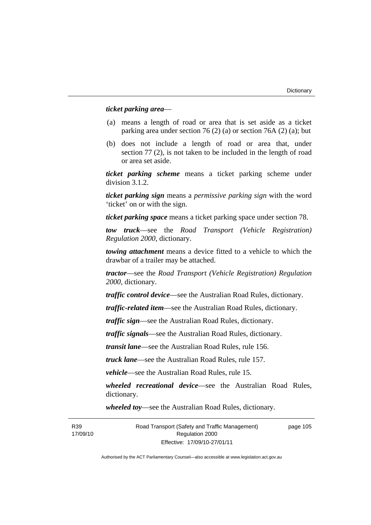# *ticket parking area*—

- (a) means a length of road or area that is set aside as a ticket parking area under section 76 (2) (a) or section 76A (2) (a); but
- (b) does not include a length of road or area that, under section 77 (2), is not taken to be included in the length of road or area set aside.

*ticket parking scheme* means a ticket parking scheme under division 3.1.2.

*ticket parking sign* means a *permissive parking sign* with the word 'ticket' on or with the sign.

*ticket parking space* means a ticket parking space under section 78.

*tow truck*—see the *Road Transport (Vehicle Registration) Regulation 2000*, dictionary.

*towing attachment* means a device fitted to a vehicle to which the drawbar of a trailer may be attached.

*tractor*—see the *Road Transport (Vehicle Registration) Regulation 2000*, dictionary.

*traffic control device*—see the Australian Road Rules, dictionary.

*traffic-related item*—see the Australian Road Rules, dictionary.

*traffic sign*—see the Australian Road Rules, dictionary.

*traffic signals*—see the Australian Road Rules, dictionary.

*transit lane*—see the Australian Road Rules, rule 156.

*truck lane*—see the Australian Road Rules, rule 157.

*vehicle*—see the Australian Road Rules, rule 15.

*wheeled recreational device*—see the Australian Road Rules, dictionary.

*wheeled toy*—see the Australian Road Rules, dictionary.

page 105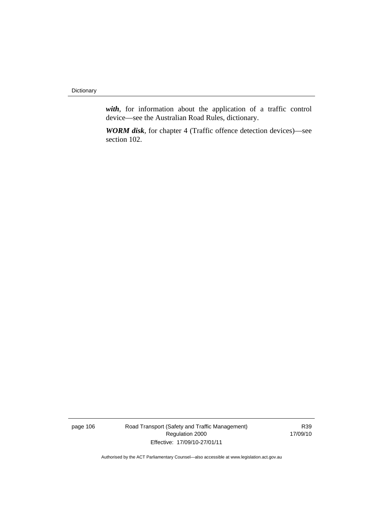**Dictionary** 

*with*, for information about the application of a traffic control device—see the Australian Road Rules, dictionary.

*WORM disk*, for chapter 4 (Traffic offence detection devices)—see section 102.

page 106 Road Transport (Safety and Traffic Management) Regulation 2000 Effective: 17/09/10-27/01/11

R39 17/09/10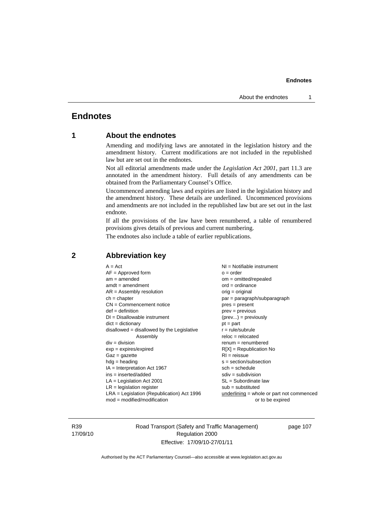# **Endnotes**

# **1 About the endnotes**

Amending and modifying laws are annotated in the legislation history and the amendment history. Current modifications are not included in the republished law but are set out in the endnotes.

Not all editorial amendments made under the *Legislation Act 2001*, part 11.3 are annotated in the amendment history. Full details of any amendments can be obtained from the Parliamentary Counsel's Office.

Uncommenced amending laws and expiries are listed in the legislation history and the amendment history. These details are underlined. Uncommenced provisions and amendments are not included in the republished law but are set out in the last endnote.

If all the provisions of the law have been renumbered, a table of renumbered provisions gives details of previous and current numbering.

The endnotes also include a table of earlier republications.

| $LR =$ legislation register<br>$sub =$ substituted<br>$LRA =$ Legislation (Republication) Act 1996<br>$underlining = whole or part not commenced$<br>$mod = modified/modification$<br>or to be expired | $CN =$ Commencement notice<br>$pres = present$<br>$def = definition$<br>$DI = Disallowable instrument$<br>$dict = dictionary$<br>$pt = part$<br>$disallowed = disallowed by the Legislative$<br>$r = rule/subrule$<br>Assembly<br>$div = division$<br>$exp = expires/expired$<br>$RI = reissue$<br>$Gaz = gazette$<br>$hdg =$ heading<br>$IA = Interpretation Act 1967$<br>$sch = schedule$<br>$ins = inserted/added$<br>$LA =$ Legislation Act 2001 | $ord = ordinance$<br>orig = original<br>par = paragraph/subparagraph<br>$prev = previous$<br>$(\text{prev}) = \text{previously}$<br>$reloc = relocated$<br>$remum = renumbered$<br>$R[X]$ = Republication No<br>$s = section/subsection$<br>$sdiv = subdivision$<br>$SL = Subordinate$ law |
|--------------------------------------------------------------------------------------------------------------------------------------------------------------------------------------------------------|------------------------------------------------------------------------------------------------------------------------------------------------------------------------------------------------------------------------------------------------------------------------------------------------------------------------------------------------------------------------------------------------------------------------------------------------------|--------------------------------------------------------------------------------------------------------------------------------------------------------------------------------------------------------------------------------------------------------------------------------------------|
|--------------------------------------------------------------------------------------------------------------------------------------------------------------------------------------------------------|------------------------------------------------------------------------------------------------------------------------------------------------------------------------------------------------------------------------------------------------------------------------------------------------------------------------------------------------------------------------------------------------------------------------------------------------------|--------------------------------------------------------------------------------------------------------------------------------------------------------------------------------------------------------------------------------------------------------------------------------------------|

# **2 Abbreviation key**

R39 17/09/10 Road Transport (Safety and Traffic Management) Regulation 2000 Effective: 17/09/10-27/01/11

page 107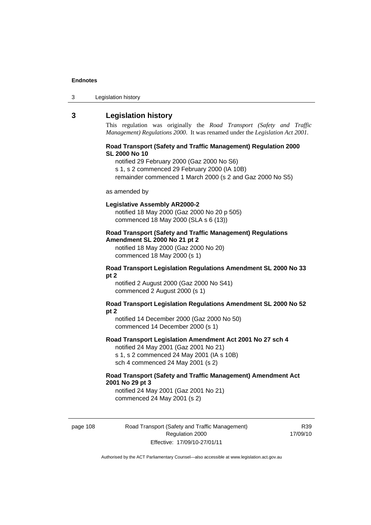| 3 | Legislation history |  |
|---|---------------------|--|
|---|---------------------|--|

# **3 Legislation history**

This regulation was originally the *Road Transport (Safety and Traffic Management) Regulations 2000*. It was renamed under the *Legislation Act 2001*.

#### **Road Transport (Safety and Traffic Management) Regulation 2000 SL 2000 No 10**

notified 29 February 2000 (Gaz 2000 No S6)

s 1, s 2 commenced 29 February 2000 (IA 10B)

remainder commenced 1 March 2000 (s 2 and Gaz 2000 No S5)

#### as amended by

#### **Legislative Assembly AR2000-2**

notified 18 May 2000 (Gaz 2000 No 20 p 505) commenced 18 May 2000 (SLA s 6 (13))

# **Road Transport (Safety and Traffic Management) Regulations Amendment SL 2000 No 21 pt 2**

notified 18 May 2000 (Gaz 2000 No 20) commenced 18 May 2000 (s 1)

#### **Road Transport Legislation Regulations Amendment SL 2000 No 33 pt 2**

notified 2 August 2000 (Gaz 2000 No S41) commenced 2 August 2000 (s 1)

#### **Road Transport Legislation Regulations Amendment SL 2000 No 52 pt 2**

notified 14 December 2000 (Gaz 2000 No 50) commenced 14 December 2000 (s 1)

# **Road Transport Legislation Amendment Act 2001 No 27 sch 4**

notified 24 May 2001 (Gaz 2001 No 21) s 1, s 2 commenced 24 May 2001 (IA s 10B) sch 4 commenced 24 May 2001 (s 2)

### **Road Transport (Safety and Traffic Management) Amendment Act 2001 No 29 pt 3**

notified 24 May 2001 (Gaz 2001 No 21) commenced 24 May 2001 (s 2)

page 108 Road Transport (Safety and Traffic Management) Regulation 2000 Effective: 17/09/10-27/01/11

R39 17/09/10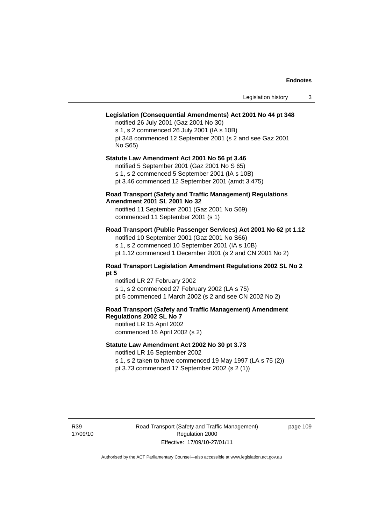# **Legislation (Consequential Amendments) Act 2001 No 44 pt 348**

notified 26 July 2001 (Gaz 2001 No 30) s 1, s 2 commenced 26 July 2001 (IA s 10B) pt 348 commenced 12 September 2001 (s 2 and see Gaz 2001 No S65)

#### **Statute Law Amendment Act 2001 No 56 pt 3.46**  notified 5 September 2001 (Gaz 2001 No S 65)

s 1, s 2 commenced 5 September 2001 (IA s 10B)

pt 3.46 commenced 12 September 2001 (amdt 3.475)

### **Road Transport (Safety and Traffic Management) Regulations Amendment 2001 SL 2001 No 32**

notified 11 September 2001 (Gaz 2001 No S69) commenced 11 September 2001 (s 1)

# **Road Transport (Public Passenger Services) Act 2001 No 62 pt 1.12**

notified 10 September 2001 (Gaz 2001 No S66) s 1, s 2 commenced 10 September 2001 (IA s 10B)

pt 1.12 commenced 1 December 2001 (s 2 and CN 2001 No 2)

# **Road Transport Legislation Amendment Regulations 2002 SL No 2 pt 5**

notified LR 27 February 2002 s 1, s 2 commenced 27 February 2002 (LA s 75) pt 5 commenced 1 March 2002 (s 2 and see CN 2002 No 2)

# **Road Transport (Safety and Traffic Management) Amendment Regulations 2002 SL No 7**

notified LR 15 April 2002 commenced 16 April 2002 (s 2)

# **Statute Law Amendment Act 2002 No 30 pt 3.73**

notified LR 16 September 2002

s 1, s 2 taken to have commenced 19 May 1997 (LA s 75 (2)) pt 3.73 commenced 17 September 2002 (s 2 (1))

R39 17/09/10 page 109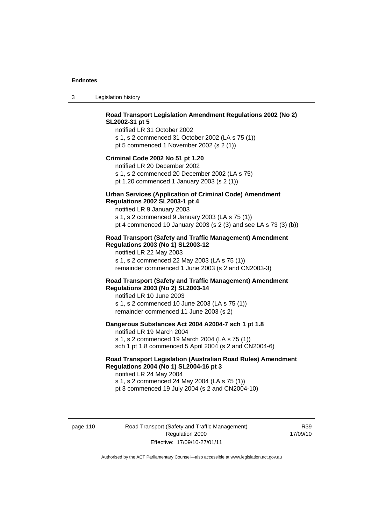3 Legislation history

# **Road Transport Legislation Amendment Regulations 2002 (No 2) SL2002-31 pt 5**

notified LR 31 October 2002 s 1, s 2 commenced 31 October 2002 (LA s 75 (1)) pt 5 commenced 1 November 2002 (s 2 (1))

#### **Criminal Code 2002 No 51 pt 1.20**

notified LR 20 December 2002 s 1, s 2 commenced 20 December 2002 (LA s 75) pt 1.20 commenced 1 January 2003 (s 2 (1))

# **Urban Services (Application of Criminal Code) Amendment**

#### **Regulations 2002 SL2003-1 pt 4**

notified LR 9 January 2003 s 1, s 2 commenced 9 January 2003 (LA s 75 (1)) pt 4 commenced 10 January 2003 (s 2 (3) and see LA s 73 (3) (b))

# **Road Transport (Safety and Traffic Management) Amendment Regulations 2003 (No 1) SL2003-12**

notified LR 22 May 2003 s 1, s 2 commenced 22 May 2003 (LA s 75 (1)) remainder commenced 1 June 2003 (s 2 and CN2003-3)

# **Road Transport (Safety and Traffic Management) Amendment Regulations 2003 (No 2) SL2003-14**

notified LR 10 June 2003 s 1, s 2 commenced 10 June 2003 (LA s 75 (1)) remainder commenced 11 June 2003 (s 2)

### **Dangerous Substances Act 2004 A2004-7 sch 1 pt 1.8**

notified LR 19 March 2004 s 1, s 2 commenced 19 March 2004 (LA s 75 (1)) sch 1 pt 1.8 commenced 5 April 2004 (s 2 and CN2004-6)

# **Road Transport Legislation (Australian Road Rules) Amendment Regulations 2004 (No 1) SL2004-16 pt 3**

notified LR 24 May 2004 s 1, s 2 commenced 24 May 2004 (LA s 75 (1)) pt 3 commenced 19 July 2004 (s 2 and CN2004-10)

page 110 Road Transport (Safety and Traffic Management) Regulation 2000 Effective: 17/09/10-27/01/11

R39 17/09/10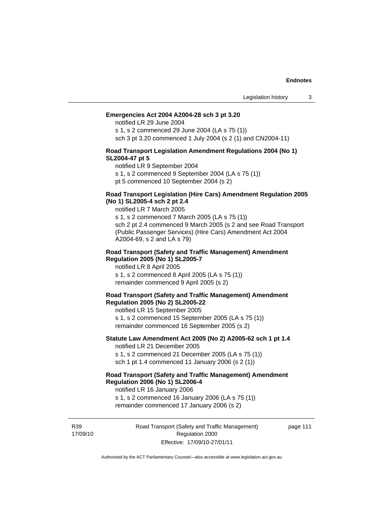#### **Emergencies Act 2004 A2004-28 sch 3 pt 3.20**

notified LR 29 June 2004

s 1, s 2 commenced 29 June 2004 (LA s 75 (1)) sch 3 pt 3.20 commenced 1 July 2004 (s 2 (1) and CN2004-11)

#### **Road Transport Legislation Amendment Regulations 2004 (No 1) SL2004-47 pt 5**

notified LR 9 September 2004

s 1, s 2 commenced 9 September 2004 (LA s 75 (1))

pt 5 commenced 10 September 2004 (s 2)

### **Road Transport Legislation (Hire Cars) Amendment Regulation 2005 (No 1) SL2005-4 sch 2 pt 2.4**

notified LR 7 March 2005

s 1, s 2 commenced 7 March 2005 (LA s 75 (1)) sch 2 pt 2.4 commenced 9 March 2005 (s 2 and see Road Transport (Public Passenger Services) (Hire Cars) Amendment Act 2004 A2004-69, s 2 and LA s 79)

#### **Road Transport (Safety and Traffic Management) Amendment Regulation 2005 (No 1) SL2005-7**

notified LR 8 April 2005 s 1, s 2 commenced 8 April 2005 (LA s 75 (1)) remainder commenced 9 April 2005 (s 2)

#### **Road Transport (Safety and Traffic Management) Amendment Regulation 2005 (No 2) SL2005-22**

notified LR 15 September 2005 s 1, s 2 commenced 15 September 2005 (LA s 75 (1)) remainder commenced 16 September 2005 (s 2)

#### **Statute Law Amendment Act 2005 (No 2) A2005-62 sch 1 pt 1.4**  notified LR 21 December 2005

s 1, s 2 commenced 21 December 2005 (LA s 75 (1)) sch 1 pt 1.4 commenced 11 January 2006 (s 2 (1))

# **Road Transport (Safety and Traffic Management) Amendment Regulation 2006 (No 1) SL2006-4**

notified LR 16 January 2006 s 1, s 2 commenced 16 January 2006 (LA s 75 (1))

remainder commenced 17 January 2006 (s 2)

R39 17/09/10 Road Transport (Safety and Traffic Management) Regulation 2000 Effective: 17/09/10-27/01/11

page 111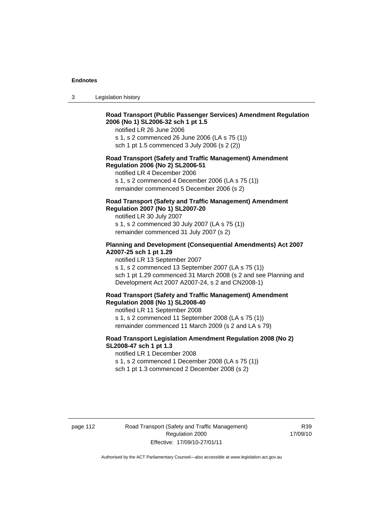3 Legislation history

# **Road Transport (Public Passenger Services) Amendment Regulation 2006 (No 1) SL2006-32 sch 1 pt 1.5**

notified LR 26 June 2006

s 1, s 2 commenced 26 June 2006 (LA s 75 (1)) sch 1 pt 1.5 commenced 3 July 2006 (s 2 (2))

#### **Road Transport (Safety and Traffic Management) Amendment Regulation 2006 (No 2) SL2006-51**

notified LR 4 December 2006

s 1, s 2 commenced 4 December 2006 (LA s 75 (1)) remainder commenced 5 December 2006 (s 2)

# **Road Transport (Safety and Traffic Management) Amendment Regulation 2007 (No 1) SL2007-20**

notified LR 30 July 2007 s 1, s 2 commenced 30 July 2007 (LA s 75 (1)) remainder commenced 31 July 2007 (s 2)

# **Planning and Development (Consequential Amendments) Act 2007 A2007-25 sch 1 pt 1.29**

notified LR 13 September 2007

s 1, s 2 commenced 13 September 2007 (LA s 75 (1)) sch 1 pt 1.29 commenced 31 March 2008 (s 2 and see Planning and Development Act 2007 A2007-24, s 2 and CN2008-1)

#### **Road Transport (Safety and Traffic Management) Amendment Regulation 2008 (No 1) SL2008-40**

notified LR 11 September 2008 s 1, s 2 commenced 11 September 2008 (LA s 75 (1)) remainder commenced 11 March 2009 (s 2 and LA s 79)

### **Road Transport Legislation Amendment Regulation 2008 (No 2) SL2008-47 sch 1 pt 1.3**

notified LR 1 December 2008 s 1, s 2 commenced 1 December 2008 (LA s 75 (1)) sch 1 pt 1.3 commenced 2 December 2008 (s 2)

page 112 Road Transport (Safety and Traffic Management) Regulation 2000 Effective: 17/09/10-27/01/11

R39 17/09/10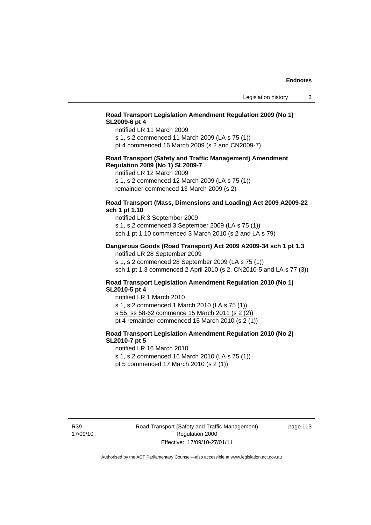# **Road Transport Legislation Amendment Regulation 2009 (No 1) SL2009-6 pt 4**

notified LR 11 March 2009

s 1, s 2 commenced 11 March 2009 (LA s 75 (1)) pt 4 commenced 16 March 2009 (s 2 and CN2009-7)

### **Road Transport (Safety and Traffic Management) Amendment Regulation 2009 (No 1) SL2009-7**

notified LR 12 March 2009

s 1, s 2 commenced 12 March 2009 (LA s 75 (1)) remainder commenced 13 March 2009 (s 2)

# **Road Transport (Mass, Dimensions and Loading) Act 2009 A2009-22 sch 1 pt 1.10**

notified LR 3 September 2009 s 1, s 2 commenced 3 September 2009 (LA s 75 (1)) sch 1 pt 1.10 commenced 3 March 2010 (s 2 and LA s 79)

### **Dangerous Goods (Road Transport) Act 2009 A2009-34 sch 1 pt 1.3**

notified LR 28 September 2009 s 1, s 2 commenced 28 September 2009 (LA s 75 (1)) sch 1 pt 1.3 commenced 2 April 2010 (s 2, CN2010-5 and LA s 77 (3))

# **Road Transport Legislation Amendment Regulation 2010 (No 1) SL2010-5 pt 4**

notified LR 1 March 2010 s 1, s 2 commenced 1 March 2010 (LA s 75 (1)) s 55, ss 58-62 commence 15 March 2011 (s 2 (2)) pt 4 remainder commenced 15 March 2010 (s 2 (1))

# **Road Transport Legislation Amendment Regulation 2010 (No 2) SL2010-7 pt 5**

notified LR 16 March 2010

s 1, s 2 commenced 16 March 2010 (LA s 75 (1))

pt 5 commenced 17 March 2010 (s 2 (1))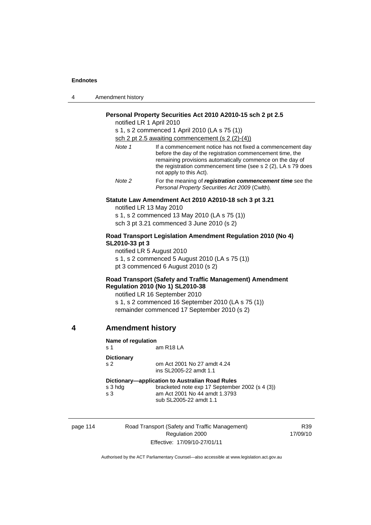| 4 | Amendment history |
|---|-------------------|
|---|-------------------|

# **Personal Property Securities Act 2010 A2010-15 sch 2 pt 2.5**

notified LR 1 April 2010

s 1, s 2 commenced 1 April 2010 (LA s 75 (1))

sch 2 pt 2.5 awaiting commencement (s 2 (2)-(4))

| Note 1 | If a commencement notice has not fixed a commencement day<br>before the day of the registration commencement time, the<br>remaining provisions automatically commence on the day of<br>the registration commencement time (see s 2 (2), LA s 79 does<br>not apply to this Act). |
|--------|---------------------------------------------------------------------------------------------------------------------------------------------------------------------------------------------------------------------------------------------------------------------------------|
| Note 2 | For the meaning of <i>registration</i> commencement time see the                                                                                                                                                                                                                |

*Personal Property Securities Act 2009* (Cwlth).

#### **Statute Law Amendment Act 2010 A2010-18 sch 3 pt 3.21**

notified LR 13 May 2010 s 1, s 2 commenced 13 May 2010 (LA s 75 (1)) sch 3 pt 3.21 commenced 3 June 2010 (s 2)

#### **Road Transport Legislation Amendment Regulation 2010 (No 4) SL2010-33 pt 3**

notified LR 5 August 2010 s 1, s 2 commenced 5 August 2010 (LA s 75 (1)) pt 3 commenced 6 August 2010 (s 2)

# **Road Transport (Safety and Traffic Management) Amendment Regulation 2010 (No 1) SL2010-38**

notified LR 16 September 2010

s 1, s 2 commenced 16 September 2010 (LA s 75 (1)) remainder commenced 17 September 2010 (s 2)

# **4 Amendment history**

| Name of regulation          |                                                 |  |
|-----------------------------|-------------------------------------------------|--|
| $\boldsymbol{\mathsf{s}}$ 1 | am R18 LA                                       |  |
| <b>Dictionary</b>           |                                                 |  |
| s <sub>2</sub>              | om Act 2001 No 27 amdt 4.24                     |  |
|                             | ins SL2005-22 amdt 1.1                          |  |
|                             | Dictionary-application to Australian Road Rules |  |
| s 3 hdg                     | bracketed note exp 17 September 2002 (s 4 (3))  |  |
| s <sub>3</sub>              | am Act 2001 No 44 amdt 1.3793                   |  |
|                             | sub SL2005-22 amdt 1.1                          |  |
|                             |                                                 |  |

page 114 Road Transport (Safety and Traffic Management) Regulation 2000 Effective: 17/09/10-27/01/11

R39 17/09/10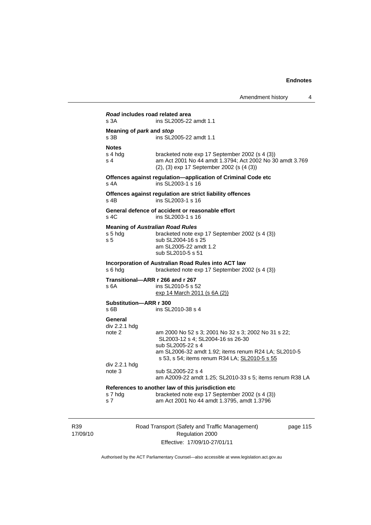| s 3A                                        | Road includes road related area<br>ins SL2005-22 amdt 1.1                                                                                               |
|---------------------------------------------|---------------------------------------------------------------------------------------------------------------------------------------------------------|
| Meaning of park and stop<br>s <sub>3B</sub> | ins SL2005-22 amdt 1.1                                                                                                                                  |
| <b>Notes</b>                                |                                                                                                                                                         |
| s 4 hdg<br>s <sub>4</sub>                   | bracketed note exp 17 September 2002 (s 4 (3))<br>am Act 2001 No 44 amdt 1.3794; Act 2002 No 30 amdt 3.769<br>(2), (3) exp 17 September 2002 (s (4 (3)) |
| $s$ 4A                                      | Offences against regulation-application of Criminal Code etc<br>ins SL2003-1 s 16                                                                       |
| $s$ 4B                                      | Offences against regulation are strict liability offences<br>ins SL2003-1 s 16                                                                          |
| s, 4C                                       | General defence of accident or reasonable effort<br>ins SL2003-1 s 16                                                                                   |
|                                             | <b>Meaning of Australian Road Rules</b>                                                                                                                 |
| s 5 hdg                                     | bracketed note exp 17 September 2002 (s 4 (3))                                                                                                          |
| s <sub>5</sub>                              | sub SL2004-16 s 25<br>am SL2005-22 amdt 1.2                                                                                                             |
|                                             | sub SL2010-5 s 51                                                                                                                                       |
|                                             | Incorporation of Australian Road Rules into ACT law                                                                                                     |
| s 6 hda                                     | bracketed note exp 17 September 2002 (s 4 (3))                                                                                                          |
|                                             | Transitional-ARR r 266 and r 267                                                                                                                        |
| s 6A                                        | ins SL2010-5 s 52                                                                                                                                       |
|                                             | exp 14 March 2011 (s 6A (2))                                                                                                                            |
| Substitution-ARR r 300<br>$s$ 6B            | ins SL2010-38 s 4                                                                                                                                       |
|                                             |                                                                                                                                                         |
| General<br>div 2.2.1 hdg                    |                                                                                                                                                         |
| note 2                                      | am 2000 No 52 s 3; 2001 No 32 s 3; 2002 No 31 s 22;                                                                                                     |
|                                             | SL2003-12 s 4; SL2004-16 ss 26-30                                                                                                                       |
|                                             | sub SL2005-22 s 4<br>am SL2006-32 amdt 1.92; items renum R24 LA; SL2010-5                                                                               |
|                                             | s 53, s 54; items renum R34 LA; SL2010-5 s 55                                                                                                           |
| div 2.2.1 hdg                               |                                                                                                                                                         |
| note 3                                      | sub SL2005-22 s 4<br>am A2009-22 amdt 1.25; SL2010-33 s 5; items renum R38 LA                                                                           |
|                                             |                                                                                                                                                         |
|                                             |                                                                                                                                                         |
| s 7 hdg                                     | References to another law of this jurisdiction etc<br>bracketed note exp 17 September 2002 (s 4 (3))                                                    |

R39 17/09/10 Road Transport (Safety and Traffic Management) Regulation 2000 Effective: 17/09/10-27/01/11

page 115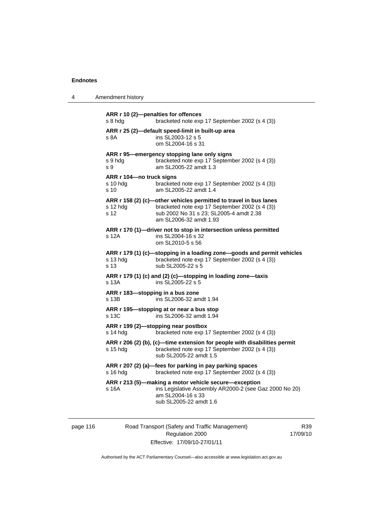4 Amendment history

| s 8 hda                                                 | ARR r 10 (2)-penalties for offences<br>bracketed note exp 17 September 2002 (s 4 (3))                                                                                                    |
|---------------------------------------------------------|------------------------------------------------------------------------------------------------------------------------------------------------------------------------------------------|
| s 8A                                                    | ARR r 25 (2)-default speed-limit in built-up area<br>ins SL2003-12 s 5<br>om SL2004-16 s 31                                                                                              |
| s 9 hdg<br>s 9                                          | ARR r 95-emergency stopping lane only signs<br>bracketed note exp 17 September 2002 (s 4 (3))<br>am SL2005-22 amdt 1.3                                                                   |
| ARR r 104-no truck signs<br>s 10 hdg<br>s <sub>10</sub> | bracketed note exp 17 September 2002 (s 4 (3))<br>am SL2005-22 amdt 1.4                                                                                                                  |
| $s$ 12 hdg<br>s <sub>12</sub>                           | ARR r 158 (2) (c)-other vehicles permitted to travel in bus lanes<br>bracketed note exp 17 September 2002 (s 4 (3))<br>sub 2002 No 31 s 23; SL2005-4 amdt 2.38<br>am SL2006-32 amdt 1.93 |
| s 12A                                                   | ARR r 170 (1)-driver not to stop in intersection unless permitted<br>ins SL2004-16 s 32<br>om SL2010-5 s 56                                                                              |
| s 13 hdg<br>s 13                                        | ARR r 179 (1) (c)-stopping in a loading zone-goods and permit vehicles<br>bracketed note exp 17 September 2002 (s 4 (3))<br>sub SL2005-22 s 5                                            |
| s 13A                                                   | ARR r 179 (1) (c) and (2) (c)-stopping in loading zone-taxis<br>ins SL2005-22 s 5                                                                                                        |
| ARR r 183-stopping in a bus zone<br>s 13B               | ins SL2006-32 amdt 1.94                                                                                                                                                                  |
| s 13C                                                   | ARR r 195-stopping at or near a bus stop<br>ins SL2006-32 amdt 1.94                                                                                                                      |
| s 14 hdg                                                | ARR r 199 (2)-stopping near postbox<br>bracketed note exp 17 September 2002 (s 4 (3))                                                                                                    |
| s 15 hda                                                | ARR r 206 (2) (b), (c)-time extension for people with disabilities permit<br>bracketed note exp 17 September 2002 (s 4 (3))<br>sub SL2005-22 amdt 1.5                                    |
| $s$ 16 hdg                                              | ARR r 207 (2) (a)-fees for parking in pay parking spaces<br>bracketed note exp 17 September 2002 (s 4 (3))                                                                               |
| s 16A                                                   | ARR r 213 (5)-making a motor vehicle secure-exception<br>ins Legislative Assembly AR2000-2 (see Gaz 2000 No 20)<br>am SL2004-16 s 33<br>sub SL2005-22 amdt 1.6                           |
|                                                         |                                                                                                                                                                                          |

page 116 Road Transport (Safety and Traffic Management) Regulation 2000 Effective: 17/09/10-27/01/11

R39 17/09/10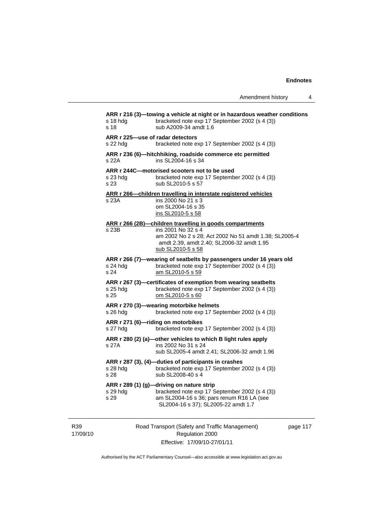Amendment history 4

| s 18 hda<br>s 18                             | ARR r 216 (3)—towing a vehicle at night or in hazardous weather conditions<br>bracketed note exp 17 September 2002 (s 4 (3))<br>sub A2009-34 amdt 1.6                           |
|----------------------------------------------|---------------------------------------------------------------------------------------------------------------------------------------------------------------------------------|
| ARR r 225-use of radar detectors<br>s 22 hdg | bracketed note exp 17 September 2002 (s 4 (3))                                                                                                                                  |
| s 22A                                        | ARR r 236 (6)-hitchhiking, roadside commerce etc permitted<br>ins SL2004-16 s 34                                                                                                |
| s 23 hdg<br>s 23                             | ARR r 244C-motorised scooters not to be used<br>bracketed note exp 17 September 2002 (s 4 (3))<br>sub SL2010-5 s 57                                                             |
| s 23A                                        | ARR r 266-children travelling in interstate registered vehicles<br>ins 2000 No 21 s 3<br>om SL2004-16 s 35<br>ins SL2010-5 s 58                                                 |
| ARR r 266 (2B)-                              | -children travelling in goods compartments                                                                                                                                      |
| s 23B                                        | ins 2001 No 32 s 4<br>am 2002 No 2 s 28; Act 2002 No 51 amdt 1.38; SL2005-4<br>amdt 2.39, amdt 2.40; SL2006-32 amdt 1.95<br>sub SL2010-5 s 58                                   |
| s 24 hdg<br>s 24                             | ARR r 266 (7)-wearing of seatbelts by passengers under 16 years old<br>bracketed note exp 17 September 2002 (s 4 (3))<br>am SL2010-5 s 59                                       |
| s 25 hdg<br>s 25                             | ARR r 267 (3)-certificates of exemption from wearing seatbelts<br>bracketed note exp 17 September 2002 (s 4 (3))<br>om SL2010-5 s 60                                            |
| s 26 hdg                                     | ARR r 270 (3)-wearing motorbike helmets<br>bracketed note exp 17 September 2002 (s 4 (3))                                                                                       |
| s 27 hda                                     | ARR r 271 (6)-riding on motorbikes<br>bracketed note exp 17 September 2002 (s 4 (3))                                                                                            |
| s 27A                                        | ARR r 280 (2) (a)-other vehicles to which B light rules apply<br>ins 2002 No 31 s 24<br>sub SL2005-4 amdt 2.41; SL2006-32 amdt 1.96                                             |
| s 28 hdg<br>s 28                             | ARR r 287 (3), (4)-duties of participants in crashes<br>bracketed note exp 17 September 2002 (s 4 (3))<br>sub SL2008-40 s 4                                                     |
| s 29 hdg<br>s 29                             | ARR r 289 (1) (g)-driving on nature strip<br>bracketed note exp 17 September 2002 (s 4 (3))<br>am SL2004-16 s 36; pars renum R16 LA (see<br>SL2004-16 s 37); SL2005-22 amdt 1.7 |
|                                              |                                                                                                                                                                                 |

R39 17/09/10 Road Transport (Safety and Traffic Management) Regulation 2000 Effective: 17/09/10-27/01/11

page 117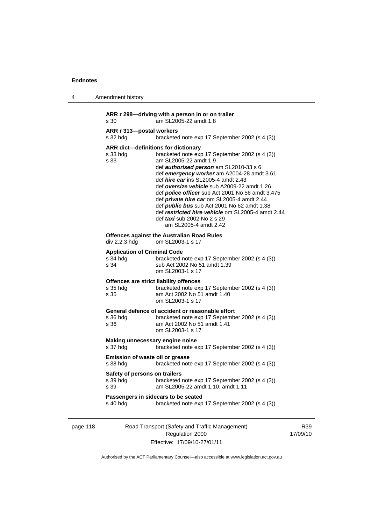| 4 | Amendment history                                                                                                                                                                                                                                                                                                                                                                                                                                                                                                                                                                                                 |  |  |
|---|-------------------------------------------------------------------------------------------------------------------------------------------------------------------------------------------------------------------------------------------------------------------------------------------------------------------------------------------------------------------------------------------------------------------------------------------------------------------------------------------------------------------------------------------------------------------------------------------------------------------|--|--|
|   | ARR r 298-driving with a person in or on trailer<br>am SL2005-22 amdt 1.8<br>s 30                                                                                                                                                                                                                                                                                                                                                                                                                                                                                                                                 |  |  |
|   | ARR r 313-postal workers<br>s 32 hdg<br>bracketed note exp 17 September 2002 (s 4 (3))                                                                                                                                                                                                                                                                                                                                                                                                                                                                                                                            |  |  |
|   | ARR dict-definitions for dictionary<br>bracketed note exp 17 September 2002 (s 4 (3))<br>s 33 hdg<br>am SL2005-22 amdt 1.9<br>s 33<br>def <i>authorised person</i> am SL2010-33 s 6<br>def emergency worker am A2004-28 amdt 3.61<br>def hire car ins SL2005-4 amdt 2.43<br>def oversize vehicle sub A2009-22 amdt 1.26<br>def <i>police officer</i> sub Act 2001 No 56 amdt 3.475<br>def <i>private hire car</i> om SL2005-4 amdt 2.44<br>def <i>public bus</i> sub Act 2001 No 62 amdt 1.38<br>def restricted hire vehicle om SL2005-4 amdt 2.44<br>def <i>taxi</i> sub 2002 No 2 s 29<br>am SL2005-4 amdt 2.42 |  |  |
|   | <b>Offences against the Australian Road Rules</b><br>div 2.2.3 hdg<br>om SL2003-1 s 17                                                                                                                                                                                                                                                                                                                                                                                                                                                                                                                            |  |  |
|   | <b>Application of Criminal Code</b><br>$s34$ hdg<br>bracketed note exp 17 September 2002 (s 4 (3))<br>s 34<br>sub Act 2002 No 51 amdt 1.39<br>om SL2003-1 s 17                                                                                                                                                                                                                                                                                                                                                                                                                                                    |  |  |
|   | Offences are strict liability offences<br>s 35 hdg<br>bracketed note exp 17 September 2002 (s 4 (3))<br>s 35<br>am Act 2002 No 51 amdt 1.40<br>om SL2003-1 s 17                                                                                                                                                                                                                                                                                                                                                                                                                                                   |  |  |
|   | General defence of accident or reasonable effort<br>s 36 hdg<br>bracketed note exp 17 September 2002 (s 4 (3))<br>s 36<br>am Act 2002 No 51 amdt 1.41<br>om SL2003-1 s 17                                                                                                                                                                                                                                                                                                                                                                                                                                         |  |  |
|   | Making unnecessary engine noise<br>s 37 hdg<br>bracketed note exp 17 September 2002 (s 4 (3))                                                                                                                                                                                                                                                                                                                                                                                                                                                                                                                     |  |  |
|   | Emission of waste oil or grease<br>s 38 hdg<br>bracketed note exp 17 September 2002 (s 4 (3))                                                                                                                                                                                                                                                                                                                                                                                                                                                                                                                     |  |  |
|   | Safety of persons on trailers<br>bracketed note exp 17 September 2002 (s 4 (3))<br>s 39 hdg<br>s 39<br>am SL2005-22 amdt 1.10, amdt 1.11                                                                                                                                                                                                                                                                                                                                                                                                                                                                          |  |  |
|   | Passengers in sidecars to be seated<br>s 40 hdg<br>bracketed note exp 17 September 2002 (s 4 (3))                                                                                                                                                                                                                                                                                                                                                                                                                                                                                                                 |  |  |
|   |                                                                                                                                                                                                                                                                                                                                                                                                                                                                                                                                                                                                                   |  |  |

page 118 Road Transport (Safety and Traffic Management) Regulation 2000 Effective: 17/09/10-27/01/11

R39 17/09/10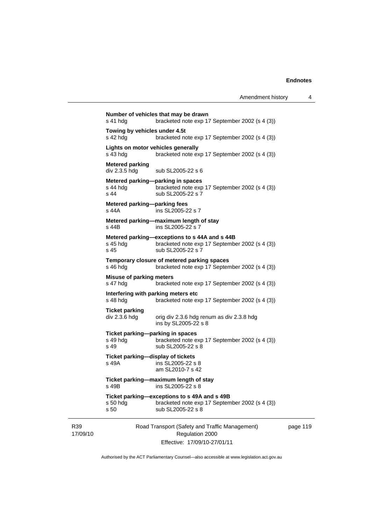17/09/10 Road Transport (Safety and Traffic Management) Regulation 2000 Effective: 17/09/10-27/01/11 page 119 **Number of vehicles that may be drawn**  s 41 hdg bracketed note exp 17 September 2002 (s 4 (3)) **Towing by vehicles under 4.5t**  s 42 hdg bracketed note exp 17 September 2002 (s 4 (3)) **Lights on motor vehicles generally**  s 43 hdg bracketed note exp 17 September 2002 (s 4 (3)) **Metered parking**  div 2.3.5 hdg sub SL2005-22 s 6 **Metered parking—parking in spaces**<br>s 44 hdg bracketed note exp bracketed note exp 17 September 2002 (s 4 (3)) s 44 sub SL2005-22 s 7 **Metered parking—parking fees**  s 44A ins SL2005-22 s 7 **Metered parking—maximum length of stay**  s 44B ins SL2005-22 s 7 **Metered parking—exceptions to s 44A and s 44B**  s 45 hdg bracketed note exp 17 September 2002 (s 4 (3))<br>s 45 sub SL2005-22 s 7 sub SL2005-22 s 7 **Temporary closure of metered parking spaces**  s 46 hdg bracketed note exp 17 September 2002 (s 4 (3)) **Misuse of parking meters**<br>s 47 hdg bracket bracketed note exp 17 September 2002 (s 4 (3)) **Interfering with parking meters etc**  s 48 hdg bracketed note exp 17 September 2002 (s 4 (3)) **Ticket parking**  orig div 2.3.6 hdg renum as div 2.3.8 hdg ins by SL2005-22 s 8 **Ticket parking—parking in spaces**  s 49 hdg bracketed note exp 17 September 2002 (s 4 (3)) s 49 sub SL2005-22 s 8 **Ticket parking—display of tickets**  s 49A ins SL2005-22 s 8 am SL2010-7 s 42 **Ticket parking—maximum length of stay**  s 49B ins SL2005-22 s 8 **Ticket parking—exceptions to s 49A and s 49B**  s 50 hdg bracketed note exp 17 September 2002 (s 4 (3)) s 50 sub SL2005-22 s 8

Authorised by the ACT Parliamentary Counsel—also accessible at www.legislation.act.gov.au

R39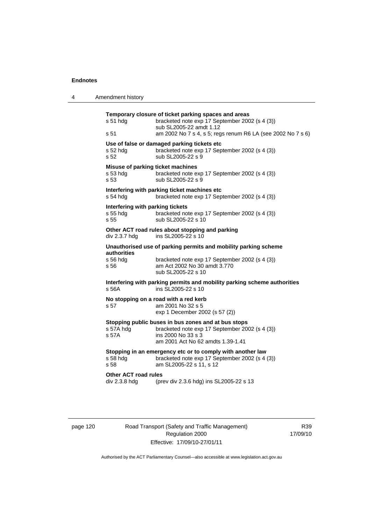| 4 | Amendment history                                                                                                                                                                                                     |
|---|-----------------------------------------------------------------------------------------------------------------------------------------------------------------------------------------------------------------------|
|   | Temporary closure of ticket parking spaces and areas<br>$s51$ hdg<br>bracketed note exp 17 September 2002 (s 4 (3))<br>sub SL2005-22 amdt 1.12<br>s 51<br>am 2002 No 7 s 4, s 5; regs renum R6 LA (see 2002 No 7 s 6) |
|   | Use of false or damaged parking tickets etc<br>bracketed note exp 17 September 2002 (s 4 (3))<br>s 52 hdg<br>s 52<br>sub SL2005-22 s 9                                                                                |
|   | Misuse of parking ticket machines<br>$s53$ hdg<br>bracketed note exp 17 September 2002 (s 4 (3))<br>sub SL2005-22 s 9<br>s 53                                                                                         |
|   | Interfering with parking ticket machines etc<br>s 54 hdg<br>bracketed note exp 17 September 2002 (s 4 (3))                                                                                                            |
|   | Interfering with parking tickets<br>s 55 hdg<br>bracketed note exp 17 September 2002 (s 4 (3))<br>sub SL2005-22 s 10<br>s <sub>55</sub>                                                                               |
|   | Other ACT road rules about stopping and parking<br>ins SL2005-22 s 10<br>div 2.3.7 hdg                                                                                                                                |
|   | Unauthorised use of parking permits and mobility parking scheme<br>authorities<br>s 56 hdg<br>bracketed note exp 17 September 2002 (s 4 (3))<br>s 56<br>am Act 2002 No 30 amdt 3.770<br>sub SL2005-22 s 10            |
|   | Interfering with parking permits and mobility parking scheme authorities<br>s 56A<br>ins SL2005-22 s 10                                                                                                               |
|   | No stopping on a road with a red kerb<br>s 57<br>am 2001 No 32 s 5<br>exp 1 December 2002 (s 57 (2))                                                                                                                  |
|   | Stopping public buses in bus zones and at bus stops<br>s 57A hdg<br>bracketed note exp 17 September 2002 (s 4 (3))<br>s 57A<br>ins 2000 No 33 s 3<br>am 2001 Act No 62 amdts 1.39-1.41                                |
|   | Stopping in an emergency etc or to comply with another law<br>s 58 hdg<br>bracketed note exp 17 September 2002 (s 4 (3))<br>am SL2005-22 s 11, s 12<br>s 58                                                           |
|   | <b>Other ACT road rules</b><br>div 2.3.8 hdg<br>(prev div 2.3.6 hdg) ins SL2005-22 s 13                                                                                                                               |
|   |                                                                                                                                                                                                                       |

page 120 Road Transport (Safety and Traffic Management) Regulation 2000 Effective: 17/09/10-27/01/11

R39 17/09/10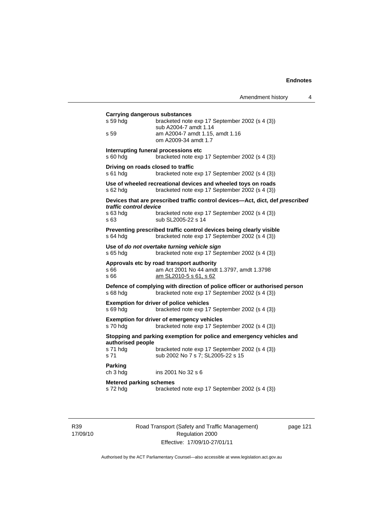| <b>Carrying dangerous substances</b><br>s 59 hdg | bracketed note exp 17 September 2002 (s 4 (3))<br>sub A2004-7 amdt 1.14                                                      |
|--------------------------------------------------|------------------------------------------------------------------------------------------------------------------------------|
| s 59                                             | am A2004-7 amdt 1.15, amdt 1.16<br>om A2009-34 amdt 1.7                                                                      |
| s 60 hdg                                         | Interrupting funeral processions etc<br>bracketed note exp 17 September 2002 (s 4 (3))                                       |
| s 61 hda                                         | Driving on roads closed to traffic<br>bracketed note exp 17 September 2002 (s 4 (3))                                         |
| s 62 hdg                                         | Use of wheeled recreational devices and wheeled toys on roads<br>bracketed note exp 17 September 2002 (s 4 (3))              |
|                                                  | Devices that are prescribed traffic control devices-Act, dict, def prescribed                                                |
| traffic control device<br>s 63 hdg<br>s 63       | bracketed note exp 17 September 2002 (s 4 (3))<br>sub SL2005-22 s 14                                                         |
| s 64 hdg                                         | Preventing prescribed traffic control devices being clearly visible<br>bracketed note exp 17 September 2002 (s 4 (3))        |
| s 65 hdg                                         | Use of do not overtake turning vehicle sign<br>bracketed note exp 17 September 2002 (s 4 (3))                                |
| s 66<br>s 66                                     | Approvals etc by road transport authority<br>am Act 2001 No 44 amdt 1.3797, amdt 1.3798<br>am SL2010-5 s 61, s 62            |
| s 68 hdg                                         | Defence of complying with direction of police officer or authorised person<br>bracketed note exp 17 September 2002 (s 4 (3)) |
| s 69 hdg                                         | <b>Exemption for driver of police vehicles</b><br>bracketed note exp 17 September 2002 (s 4 (3))                             |
| s 70 hdg                                         | <b>Exemption for driver of emergency vehicles</b><br>bracketed note exp 17 September 2002 (s 4 (3))                          |
|                                                  | Stopping and parking exemption for police and emergency vehicles and                                                         |
| authorised people<br>s 71 hdg<br>s 71            | bracketed note exp 17 September 2002 (s 4 (3))<br>sub 2002 No 7 s 7; SL2005-22 s 15                                          |
| <b>Parking</b><br>ch 3 hdg                       | ins 2001 No 32 s 6                                                                                                           |
| <b>Metered parking schemes</b><br>s 72 hdg       | bracketed note exp 17 September 2002 (s 4 (3))                                                                               |

R39 17/09/10 Road Transport (Safety and Traffic Management) Regulation 2000 Effective: 17/09/10-27/01/11

page 121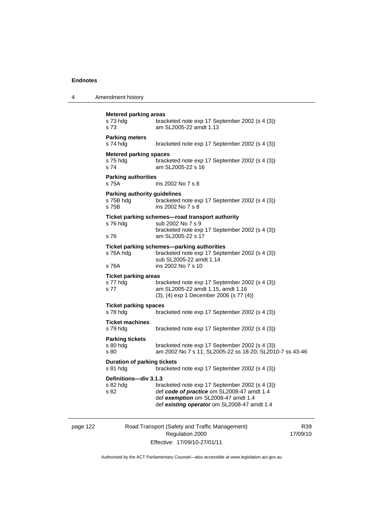| 4 | Amendment history |
|---|-------------------|
|---|-------------------|

| <b>Metered parking areas</b><br>s 73 hdg<br>s 73          | bracketed note exp 17 September 2002 (s 4 (3))<br>am SL2005-22 amdt 1.13                                                                                                           |
|-----------------------------------------------------------|------------------------------------------------------------------------------------------------------------------------------------------------------------------------------------|
| <b>Parking meters</b><br>s 74 hdg                         | bracketed note exp 17 September 2002 (s 4 (3))                                                                                                                                     |
| Metered parking spaces<br>s 75 hdg<br>s 74                | bracketed note exp 17 September 2002 (s 4 (3))<br>am SL2005-22 s 16                                                                                                                |
| <b>Parking authorities</b><br>s 75A                       | ins 2002 No 7 s 8                                                                                                                                                                  |
| <b>Parking authority guidelines</b><br>s 75B hdg<br>s 75B | bracketed note exp 17 September 2002 (s 4 (3))<br>ins 2002 No 7 s 8                                                                                                                |
| s 76 hdg<br>s 76                                          | Ticket parking schemes-road transport authority<br>sub 2002 No 7 s 9<br>bracketed note exp 17 September 2002 (s 4 (3))<br>am SL2005-22 s 17                                        |
| s 76A hdg                                                 | Ticket parking schemes-parking authorities<br>bracketed note exp 17 September 2002 (s 4 (3))<br>sub SL2005-22 amdt 1.14                                                            |
| s 76A                                                     | ins 2002 No 7 s 10                                                                                                                                                                 |
| <b>Ticket parking areas</b><br>s 77 hdg<br>s 77           | bracketed note exp 17 September 2002 (s 4 (3))<br>am SL2005-22 amdt 1.15, amdt 1.16<br>(3), (4) exp 1 December 2006 (s 77 (4))                                                     |
| <b>Ticket parking spaces</b><br>s 78 hdg                  | bracketed note exp 17 September 2002 (s 4 (3))                                                                                                                                     |
| <b>Ticket machines</b><br>s 79 hdg                        | bracketed note exp 17 September 2002 (s 4 (3))                                                                                                                                     |
| <b>Parking tickets</b><br>s 80 hdg<br>s 80                | bracketed note exp 17 September 2002 (s 4 (3))<br>am 2002 No 7 s 11; SL2005-22 ss 18-20; SL2010-7 ss 43-46                                                                         |
| <b>Duration of parking tickets</b><br>s 81 hdg            | bracketed note exp 17 September 2002 (s 4 (3))                                                                                                                                     |
| Definitions-div 3.1.3<br>s 82 hdg<br>s 82                 | bracketed note exp 17 September 2002 (s 4 (3))<br>def code of practice om SL2008-47 amdt 1.4<br>def exemption om SL2008-47 amdt 1.4<br>def existing operator om SL2008-47 amdt 1.4 |

page 122 Road Transport (Safety and Traffic Management) Regulation 2000 Effective: 17/09/10-27/01/11

R39 17/09/10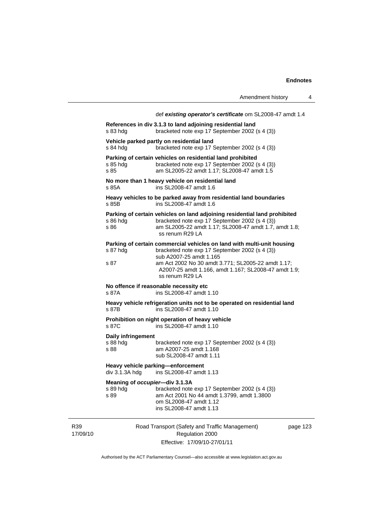|                                                    | Amendment history                                                                                                                                                                                                                                                                    |          | 4 |
|----------------------------------------------------|--------------------------------------------------------------------------------------------------------------------------------------------------------------------------------------------------------------------------------------------------------------------------------------|----------|---|
|                                                    | def existing operator's certificate om SL2008-47 amdt 1.4<br>References in div 3.1.3 to land adjoining residential land                                                                                                                                                              |          |   |
| s 83 hda                                           | bracketed note exp 17 September 2002 (s 4 (3))                                                                                                                                                                                                                                       |          |   |
| s 84 hdg                                           | Vehicle parked partly on residential land<br>bracketed note exp 17 September 2002 (s 4 (3))                                                                                                                                                                                          |          |   |
| s 85 hdg<br>s 85                                   | Parking of certain vehicles on residential land prohibited<br>bracketed note exp 17 September 2002 (s 4 (3))<br>am SL2005-22 amdt 1.17; SL2008-47 amdt 1.5                                                                                                                           |          |   |
| s 85A                                              | No more than 1 heavy vehicle on residential land<br>ins SL2008-47 amdt 1.6                                                                                                                                                                                                           |          |   |
| s 85B                                              | Heavy vehicles to be parked away from residential land boundaries<br>ins SL2008-47 amdt 1.6                                                                                                                                                                                          |          |   |
| s 86 hdg<br>s 86                                   | Parking of certain vehicles on land adjoining residential land prohibited<br>bracketed note exp 17 September 2002 (s 4 (3))<br>am SL2005-22 amdt 1.17; SL2008-47 amdt 1.7, amdt 1.8;<br>ss renum R29 LA                                                                              |          |   |
| s 87 hdg<br>s 87                                   | Parking of certain commercial vehicles on land with multi-unit housing<br>bracketed note exp 17 September 2002 (s 4 (3))<br>sub A2007-25 amdt 1.165<br>am Act 2002 No 30 amdt 3.771; SL2005-22 amdt 1.17;<br>A2007-25 amdt 1.166, amdt 1.167; SL2008-47 amdt 1.9;<br>ss renum R29 LA |          |   |
| s 87A                                              | No offence if reasonable necessity etc<br>ins SL2008-47 amdt 1.10                                                                                                                                                                                                                    |          |   |
| s 87B                                              | Heavy vehicle refrigeration units not to be operated on residential land<br>ins SL2008-47 amdt 1.10                                                                                                                                                                                  |          |   |
| s 87C                                              | Prohibition on night operation of heavy vehicle<br>ins SL2008-47 amdt 1.10                                                                                                                                                                                                           |          |   |
| Daily infringement<br>s 88 hdg<br>s 88             | bracketed note exp 17 September 2002 (s 4 (3))<br>am A2007-25 amdt 1.168<br>sub SL2008-47 amdt 1.11                                                                                                                                                                                  |          |   |
|                                                    | Heavy vehicle parking-enforcement<br>div 3.1.3A hdg ins SL2008-47 amdt 1.13                                                                                                                                                                                                          |          |   |
| Meaning of occupier-div 3.1.3A<br>s 89 hdg<br>s 89 | bracketed note exp 17 September 2002 (s 4 (3))<br>am Act 2001 No 44 amdt 1.3799, amdt 1.3800<br>om SL2008-47 amdt 1.12<br>ins SL2008-47 amdt 1.13                                                                                                                                    |          |   |
|                                                    | Road Transport (Safety and Traffic Management)<br>Regulation 2000                                                                                                                                                                                                                    | page 123 |   |
|                                                    | Effective: 17/09/10-27/01/11                                                                                                                                                                                                                                                         |          |   |

Authorised by the ACT Parliamentary Counsel—also accessible at www.legislation.act.gov.au

R39 17/09/10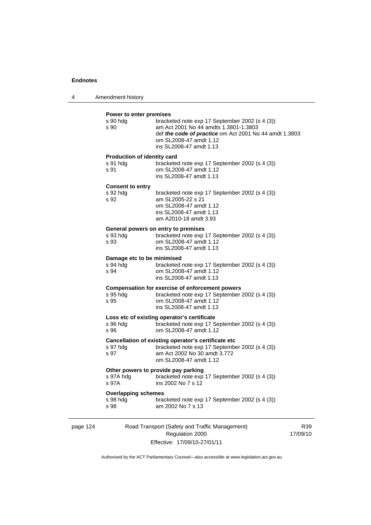| $\boldsymbol{\Lambda}$ | Amendment history |  |
|------------------------|-------------------|--|
|------------------------|-------------------|--|

#### **Power to enter premises**

|          | s 90 hdg<br>s 90                                       | bracketed note exp 17 September 2002 (s 4 (3))<br>am Act 2001 No 44 amdts 1.3801-1.3803<br>def the code of practice om Act 2001 No 44 amdt 1.3803<br>om SL2008-47 amdt 1.12<br>ins SL2008-47 amdt 1.13 |  |
|----------|--------------------------------------------------------|--------------------------------------------------------------------------------------------------------------------------------------------------------------------------------------------------------|--|
|          | <b>Production of identity card</b><br>s 91 hdg<br>s 91 | bracketed note exp 17 September 2002 (s 4 (3))<br>om SL2008-47 amdt 1.12<br>ins SL2008-47 amdt 1.13                                                                                                    |  |
|          | <b>Consent to entry</b><br>s 92 hdg<br>s 92            | bracketed note exp 17 September 2002 (s 4 (3))<br>am SL2005-22 s 21<br>om SL2008-47 amdt 1.12<br>ins SL2008-47 amdt 1.13<br>am A2010-18 amdt 3.93                                                      |  |
|          | s 93 hdg<br>s 93                                       | General powers on entry to premises<br>bracketed note exp 17 September 2002 (s 4 (3))<br>om SL2008-47 amdt 1.12<br>ins SL2008-47 amdt 1.13                                                             |  |
|          | Damage etc to be minimised<br>s 94 hda<br>s 94         | bracketed note exp 17 September 2002 (s 4 (3))<br>om SL2008-47 amdt 1.12<br>ins SL2008-47 amdt 1.13                                                                                                    |  |
|          | s 95 hdg<br>s 95                                       | Compensation for exercise of enforcement powers<br>bracketed note exp 17 September 2002 (s 4 (3))<br>om SL2008-47 amdt 1.12<br>ins SL2008-47 amdt 1.13                                                 |  |
|          | s 96 hdg<br>s 96                                       | Loss etc of existing operator's certificate<br>bracketed note exp 17 September 2002 (s 4 (3))<br>om SL2008-47 amdt 1.12                                                                                |  |
|          | s 97 hdg<br>s 97                                       | Cancellation of existing operator's certificate etc<br>bracketed note exp 17 September 2002 (s 4 (3))<br>am Act 2002 No 30 amdt 3.772<br>om SL2008-47 amdt 1.12                                        |  |
|          | s 97A hdg<br>s 97A                                     | Other powers to provide pay parking<br>bracketed note exp 17 September 2002 (s 4 (3))<br>ins 2002 No 7 s 12                                                                                            |  |
|          | <b>Overlapping schemes</b><br>s 98 hdg<br>s 98         | bracketed note exp 17 September 2002 (s 4 (3))<br>am 2002 No 7 s 13                                                                                                                                    |  |
| page 124 |                                                        | Road Transport (Safety and Traffic Management)                                                                                                                                                         |  |

Regulation 2000 Effective: 17/09/10-27/01/11

R39 17/09/10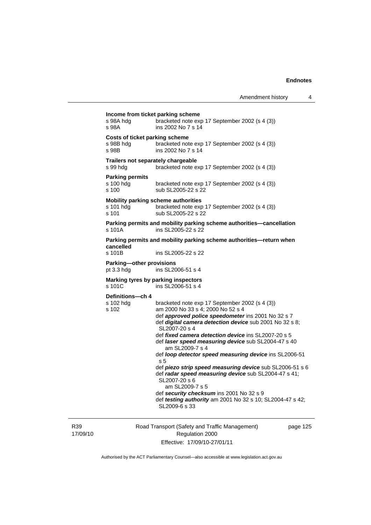| s 98A                                        | ins 2002 No 7 s 14                                                                                                                                                                                                                                                                                                                                                                                                                                                                                                                                                                                                                                                                                        |
|----------------------------------------------|-----------------------------------------------------------------------------------------------------------------------------------------------------------------------------------------------------------------------------------------------------------------------------------------------------------------------------------------------------------------------------------------------------------------------------------------------------------------------------------------------------------------------------------------------------------------------------------------------------------------------------------------------------------------------------------------------------------|
| s 98B hdg<br>s 98B                           | <b>Costs of ticket parking scheme</b><br>bracketed note exp 17 September 2002 (s 4 (3))<br>ins 2002 No 7 s 14                                                                                                                                                                                                                                                                                                                                                                                                                                                                                                                                                                                             |
| s 99 hdg                                     | Trailers not separately chargeable<br>bracketed note exp 17 September 2002 (s 4 (3))                                                                                                                                                                                                                                                                                                                                                                                                                                                                                                                                                                                                                      |
| <b>Parking permits</b><br>s 100 hdg<br>s 100 | bracketed note exp 17 September 2002 (s 4 (3))<br>sub SL2005-22 s 22                                                                                                                                                                                                                                                                                                                                                                                                                                                                                                                                                                                                                                      |
| s 101 hdg<br>s 101                           | <b>Mobility parking scheme authorities</b><br>bracketed note exp 17 September 2002 (s 4 (3))<br>sub SL2005-22 s 22                                                                                                                                                                                                                                                                                                                                                                                                                                                                                                                                                                                        |
| s 101A                                       | Parking permits and mobility parking scheme authorities-cancellation<br>ins SL2005-22 s 22                                                                                                                                                                                                                                                                                                                                                                                                                                                                                                                                                                                                                |
|                                              | Parking permits and mobility parking scheme authorities-return when                                                                                                                                                                                                                                                                                                                                                                                                                                                                                                                                                                                                                                       |
| cancelled<br>$s$ 101 $B$                     | ins SL2005-22 s 22                                                                                                                                                                                                                                                                                                                                                                                                                                                                                                                                                                                                                                                                                        |
| Parking-other provisions<br>pt $3.3$ hdg     | ins SL2006-51 s 4                                                                                                                                                                                                                                                                                                                                                                                                                                                                                                                                                                                                                                                                                         |
| s 101C                                       | Marking tyres by parking inspectors<br>ins SL2006-51 s 4                                                                                                                                                                                                                                                                                                                                                                                                                                                                                                                                                                                                                                                  |
| Definitions-ch 4<br>s 102 hdg<br>s 102       | bracketed note exp 17 September 2002 (s 4 (3))<br>am 2000 No 33 s 4; 2000 No 52 s 4<br>def approved police speedometer ins 2001 No 32 s 7<br>def digital camera detection device sub 2001 No 32 s 8;<br>SL2007-20 s 4<br>def fixed camera detection device ins SL2007-20 s 5<br>def laser speed measuring device sub SL2004-47 s 40<br>am SL2009-7 s 4<br>def loop detector speed measuring device ins SL2006-51<br>s 5<br>def piezo strip speed measuring device sub SL2006-51 s 6<br>def radar speed measuring device sub SL2004-47 s 41;<br>SL2007-20 s 6<br>am SL2009-7 s 5<br>def security checksum ins 2001 No 32 s 9<br>def testing authority am 2001 No 32 s 10; SL2004-47 s 42;<br>SL2009-6 s 33 |

R39 17/09/10 Road Transport (Safety and Traffic Management) Regulation 2000 Effective: 17/09/10-27/01/11

page 125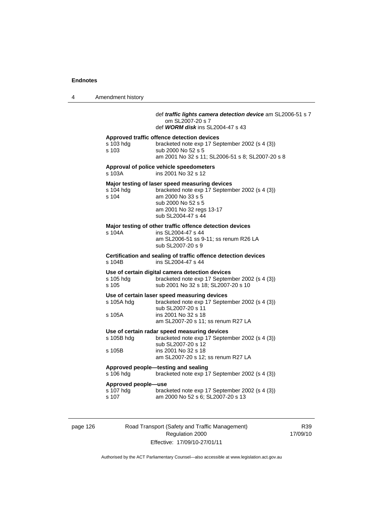4 Amendment history

### def *traffic lights camera detection device* am SL2006-51 s 7 om SL2007-20 s 7

def *WORM disk* ins SL2004-47 s 43

#### **Approved traffic offence detection devices**

| s 103 hda | bracketed note exp 17 September 2002 (s 4 (3))   |
|-----------|--------------------------------------------------|
| s 103     | sub 2000 No 52 s 5                               |
|           | am 2001 No 32 s 11; SL2006-51 s 8; SL2007-20 s 8 |

#### **Approval of police vehicle speedometers**  ins 2001 No 32 s 12

#### **Major testing of laser speed measuring devices**

| s 104 hda | bracketed note exp 17 September 2002 (s 4 (3)) |
|-----------|------------------------------------------------|
| s 104     | am 2000 No 33 s 5                              |
|           | sub 2000 No 52 s 5                             |
|           | am 2001 No 32 regs 13-17                       |
|           | sub SL2004-47 s 44                             |
|           |                                                |

#### **Major testing of other traffic offence detection devices**

| s 104A | ins SL2004-47 s 44                    |
|--------|---------------------------------------|
|        | am SL2006-51 ss 9-11; ss renum R26 LA |
|        | sub SL2007-20 s 9                     |

**Certification and sealing of traffic offence detection devices**  s 104B ins SL2004-47 s 44

# **Use of certain digital camera detection devices**

bracketed note exp 17 September 2002 (s 4 (3)) s 105 sub 2001 No 32 s 18; SL2007-20 s 10

#### **Use of certain laser speed measuring devices**

| s 105A hdg | bracketed note exp 17 September 2002 (s 4 (3)) |
|------------|------------------------------------------------|
|            | sub SL2007-20 s 11                             |
| s 105A     | ins 2001 No 32 s 18                            |
|            | am SL2007-20 s 11; ss renum R27 LA             |

#### **Use of certain radar speed measuring devices**

| s 105B hdg | bracketed note exp 17 September 2002 (s 4 (3)) |
|------------|------------------------------------------------|
|            | sub SL2007-20 s 12                             |
| s 105B     | ins 2001 No 32 s 18                            |
|            | am SL2007-20 s 12; ss renum R27 LA             |
|            |                                                |

#### **Approved people—testing and sealing**

s 106 hdg bracketed note exp 17 September 2002 (s 4 (3))

#### **Approved people—use**

| s 107 hdg | bracketed note exp 17 September 2002 (s 4 (3)) |
|-----------|------------------------------------------------|
| s 107     | am 2000 No 52 s 6; SL2007-20 s 13              |

page 126 Road Transport (Safety and Traffic Management) Regulation 2000 Effective: 17/09/10-27/01/11

R39 17/09/10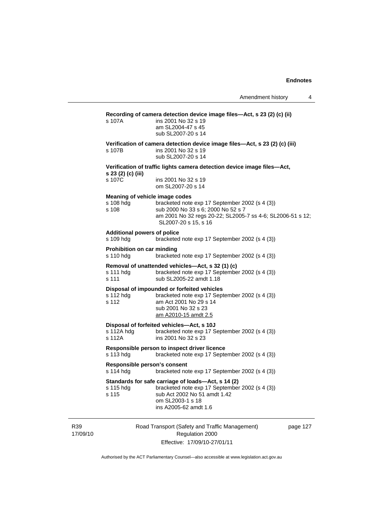| am SL2004-47 s 45<br>sub SL2007-20 s 14                                                                                                                                                                      |  |
|--------------------------------------------------------------------------------------------------------------------------------------------------------------------------------------------------------------|--|
| Verification of camera detection device image files-Act, s 23 (2) (c) (iii)<br>ins 2001 No 32 s 19<br>sub SL2007-20 s 14                                                                                     |  |
| Verification of traffic lights camera detection device image files-Act,                                                                                                                                      |  |
| ins 2001 No 32 s 19<br>om SL2007-20 s 14                                                                                                                                                                     |  |
| Meaning of vehicle image codes<br>bracketed note exp 17 September 2002 (s 4 (3))<br>sub 2000 No 33 s 6; 2000 No 52 s 7<br>am 2001 No 32 regs 20-22; SL2005-7 ss 4-6; SL2006-51 s 12;<br>SL2007-20 s 15, s 16 |  |
| <b>Additional powers of police</b><br>bracketed note exp 17 September 2002 (s 4 (3))                                                                                                                         |  |
| Prohibition on car minding<br>bracketed note exp 17 September 2002 (s 4 (3))                                                                                                                                 |  |
| Removal of unattended vehicles-Act, s 32 (1) (c)<br>bracketed note exp 17 September 2002 (s 4 (3))<br>sub SL2005-22 amdt 1.18                                                                                |  |
| Disposal of impounded or forfeited vehicles<br>bracketed note exp 17 September 2002 (s 4 (3))<br>am Act 2001 No 29 s 14<br>sub 2001 No 32 s 23<br><u>am A2010-15 amdt 2.5</u>                                |  |
| Disposal of forfeited vehicles-Act, s 10J<br>bracketed note exp 17 September 2002 (s 4 (3))<br>ins 2001 No 32 s 23                                                                                           |  |
| Responsible person to inspect driver licence<br>bracketed note exp 17 September 2002 (s 4 (3))                                                                                                               |  |
| Responsible person's consent<br>bracketed note exp 17 September 2002 (s 4 (3))                                                                                                                               |  |
| Standards for safe carriage of loads-Act, s 14 (2)<br>bracketed note exp 17 September 2002 (s 4 (3))<br>sub Act 2002 No 51 amdt 1.42<br>om SL2003-1 s 18<br>ins A2005-62 amdt 1.6                            |  |
|                                                                                                                                                                                                              |  |

R39 17/09/10

Regulation 2000 Effective: 17/09/10-27/01/11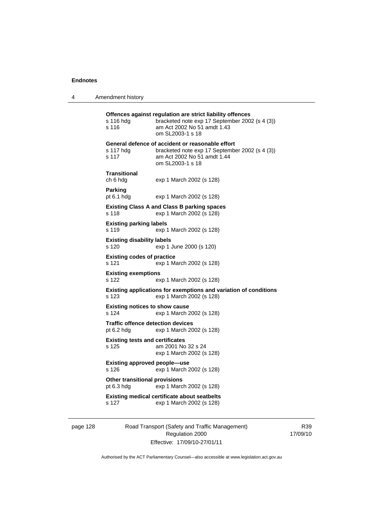4 Amendment history

**Offences against regulation are strict liability offences**  s 116 hdg bracketed note exp 17 September 2002 (s 4 (3)) s 116 am Act 2002 No 51 amdt 1.43 om SL2003-1 s 18 **General defence of accident or reasonable effort**  s 117 hdg bracketed note exp 17 September 2002 (s 4 (3)) s 117 am Act 2002 No 51 amdt 1.44 om SL2003-1 s 18 **Transitional**  ch 6 hdg exp 1 March 2002 (s 128) **Parking**  pt 6.1 hdg exp 1 March 2002 (s 128) **Existing Class A and Class B parking spaces**  s 118 exp 1 March 2002 (s 128) **Existing parking labels**  s 119 exp 1 March 2002 (s 128) **Existing disability labels**  s 120 exp 1 June 2000 (s 120) **Existing codes of practice**  s 121 exp 1 March 2002 (s 128) **Existing exemptions**  s 122 exp 1 March 2002 (s 128) **Existing applications for exemptions and variation of conditions**  s 123 exp 1 March 2002 (s 128) **Existing notices to show cause**  s 124 exp 1 March 2002 (s 128) **Traffic offence detection devices**  pt 6.2 hdg exp 1 March 2002 (s 128) **Existing tests and certificates**  s 125 am 2001 No 32 s 24 exp 1 March 2002 (s 128) **Existing approved people—use**  s 126 exp 1 March 2002 (s 128) **Other transitional provisions**  pt 6.3 hdg exp 1 March 2002 (s 128) **Existing medical certificate about seatbelts**  s 127 exp 1 March 2002 (s 128)

page 128 Road Transport (Safety and Traffic Management) Regulation 2000 Effective: 17/09/10-27/01/11

R39 17/09/10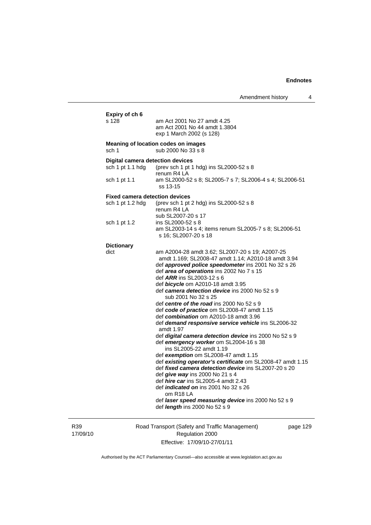| s 128                                   | am Act 2001 No 27 amdt 4.25<br>am Act 2001 No 44 amdt 1.3804<br>exp 1 March 2002 (s 128)                                                                                                                                                                                                                                                                                                                                                                                                                                                                 |
|-----------------------------------------|----------------------------------------------------------------------------------------------------------------------------------------------------------------------------------------------------------------------------------------------------------------------------------------------------------------------------------------------------------------------------------------------------------------------------------------------------------------------------------------------------------------------------------------------------------|
| sch 1                                   | Meaning of location codes on images<br>sub 2000 No 33 s 8                                                                                                                                                                                                                                                                                                                                                                                                                                                                                                |
| <b>Digital camera detection devices</b> |                                                                                                                                                                                                                                                                                                                                                                                                                                                                                                                                                          |
| sch 1 pt 1.1 hdg                        | (prev sch 1 pt 1 hdg) ins SL2000-52 s 8                                                                                                                                                                                                                                                                                                                                                                                                                                                                                                                  |
| sch 1 pt 1.1                            | renum R4 LA<br>am SL2000-52 s 8; SL2005-7 s 7; SL2006-4 s 4; SL2006-51<br>ss 13-15                                                                                                                                                                                                                                                                                                                                                                                                                                                                       |
| <b>Fixed camera detection devices</b>   |                                                                                                                                                                                                                                                                                                                                                                                                                                                                                                                                                          |
| sch 1 pt 1.2 hdg                        | (prev sch 1 pt 2 hdg) ins SL2000-52 s 8<br>renum R4 LA<br>sub SL2007-20 s 17                                                                                                                                                                                                                                                                                                                                                                                                                                                                             |
| sch 1 pt 1.2                            | ins SL2000-52 s 8                                                                                                                                                                                                                                                                                                                                                                                                                                                                                                                                        |
|                                         | am SL2003-14 s 4; items renum SL2005-7 s 8; SL2006-51<br>s 16; SL2007-20 s 18                                                                                                                                                                                                                                                                                                                                                                                                                                                                            |
| <b>Dictionary</b>                       |                                                                                                                                                                                                                                                                                                                                                                                                                                                                                                                                                          |
| dict                                    | am A2004-28 amdt 3.62; SL2007-20 s 19; A2007-25<br>amdt 1.169; SL2008-47 amdt 1.14; A2010-18 amdt 3.94<br>def approved police speedometer ins 2001 No 32 s 26<br>def area of operations ins 2002 No 7 s 15<br>def ARR ins SL2003-12 s 6<br>def <b>bicycle</b> om A2010-18 amdt 3.95<br>def camera detection device ins 2000 No 52 s 9<br>sub 2001 No 32 s 25<br>def centre of the road ins 2000 No 52 s 9<br>def code of practice om SL2008-47 amdt 1.15<br>def combination om A2010-18 amdt 3.96<br>def demand responsive service vehicle ins SL2006-32 |
|                                         | amdt 1.97                                                                                                                                                                                                                                                                                                                                                                                                                                                                                                                                                |
|                                         | def digital camera detection device ins 2000 No 52 s 9<br>def emergency worker om SL2004-16 s 38<br>ins SL2005-22 amdt 1.19                                                                                                                                                                                                                                                                                                                                                                                                                              |
|                                         | def exemption om SL2008-47 amdt 1.15                                                                                                                                                                                                                                                                                                                                                                                                                                                                                                                     |
|                                         | def existing operator's certificate om SL2008-47 amdt 1.15                                                                                                                                                                                                                                                                                                                                                                                                                                                                                               |
|                                         | def fixed camera detection device ins SL2007-20 s 20                                                                                                                                                                                                                                                                                                                                                                                                                                                                                                     |
|                                         | def give way ins 2000 No 21 s 4<br>def hire car ins SL2005-4 amdt 2.43                                                                                                                                                                                                                                                                                                                                                                                                                                                                                   |
|                                         | def <i>indicated</i> on ins 2001 No 32 s 26<br>om R <sub>18</sub> LA                                                                                                                                                                                                                                                                                                                                                                                                                                                                                     |
|                                         | def laser speed measuring device ins 2000 No 52 s 9<br>def <i>length</i> ins 2000 No 52 s 9                                                                                                                                                                                                                                                                                                                                                                                                                                                              |

R39 17/09/10

Road Transport (Safety and Traffic Management) Regulation 2000 Effective: 17/09/10-27/01/11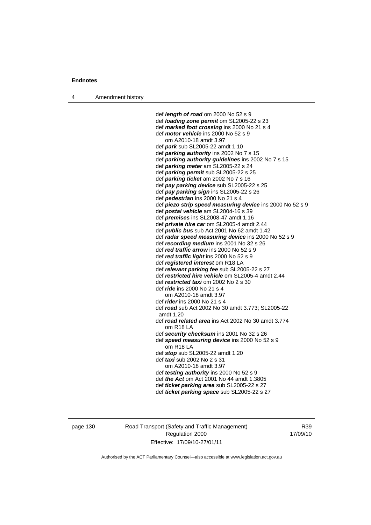4 Amendment history

 def *length of road* om 2000 No 52 s 9 def *loading zone permit* om SL2005-22 s 23 def *marked foot crossing* ins 2000 No 21 s 4 def *motor vehicle* ins 2000 No 52 s 9 om A2010-18 amdt 3.97 def *park* sub SL2005-22 amdt 1.10 def *parking authority* ins 2002 No 7 s 15 def *parking authority guidelines* ins 2002 No 7 s 15 def *parking meter* am SL2005-22 s 24 def *parking permit* sub SL2005-22 s 25 def *parking ticket* am 2002 No 7 s 16 def *pay parking device* sub SL2005-22 s 25 def *pay parking sign* ins SL2005-22 s 26 def *pedestrian* ins 2000 No 21 s 4 def *piezo strip speed measuring device* ins 2000 No 52 s 9 def *postal vehicle* am SL2004-16 s 39 def *premises* ins SL2008-47 amdt 1.16 def *private hire car* om SL2005-4 amdt 2.44 def *public bus* sub Act 2001 No 62 amdt 1.42 def *radar speed measuring device* ins 2000 No 52 s 9 def *recording medium* ins 2001 No 32 s 26 def *red traffic arrow* ins 2000 No 52 s 9 def *red traffic light* ins 2000 No 52 s 9 def *registered interest* om R18 LA def *relevant parking fee* sub SL2005-22 s 27 def *restricted hire vehicle* om SL2005-4 amdt 2.44 def *restricted taxi* om 2002 No 2 s 30 def *ride* ins 2000 No 21 s 4 om A2010-18 amdt 3.97 def *rider* ins 2000 No 21 s 4 def *road* sub Act 2002 No 30 amdt 3.773; SL2005-22 amdt 1.20 def *road related area* ins Act 2002 No 30 amdt 3.774 om R18 LA def *security checksum* ins 2001 No 32 s 26 def *speed measuring device* ins 2000 No 52 s 9 om R18 LA def *stop* sub SL2005-22 amdt 1.20 def *taxi* sub 2002 No 2 s 31 om A2010-18 amdt 3.97 def *testing authority* ins 2000 No 52 s 9 def *the Act* om Act 2001 No 44 amdt 1.3805 def *ticket parking area* sub SL2005-22 s 27

def *ticket parking space* sub SL2005-22 s 27

page 130 Road Transport (Safety and Traffic Management) Regulation 2000 Effective: 17/09/10-27/01/11

R39 17/09/10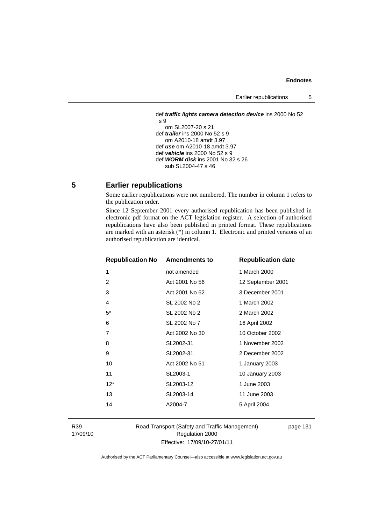Earlier republications 5

```
 def traffic lights camera detection device ins 2000 No 52 
s 9 
    om SL2007-20 s 21 
 def trailer ins 2000 No 52 s 9 
    om A2010-18 amdt 3.97 
 def use om A2010-18 amdt 3.97 
 def vehicle ins 2000 No 52 s 9 
 def WORM disk ins 2001 No 32 s 26 
    sub SL2004-47 s 46
```
### **5 Earlier republications**

Some earlier republications were not numbered. The number in column 1 refers to the publication order.

Since 12 September 2001 every authorised republication has been published in electronic pdf format on the ACT legislation register. A selection of authorised republications have also been published in printed format. These republications are marked with an asterisk (\*) in column 1. Electronic and printed versions of an authorised republication are identical.

| <b>Republication No Amendments to</b> |                | <b>Republication date</b> |
|---------------------------------------|----------------|---------------------------|
| 1                                     | not amended    | 1 March 2000              |
| 2                                     | Act 2001 No 56 | 12 September 2001         |
| 3                                     | Act 2001 No 62 | 3 December 2001           |
| 4                                     | SL 2002 No 2   | 1 March 2002              |
| $5^*$                                 | SL 2002 No 2   | 2 March 2002              |
| 6                                     | SL 2002 No 7   | 16 April 2002             |
| $\overline{7}$                        | Act 2002 No 30 | 10 October 2002           |
| 8                                     | SL2002-31      | 1 November 2002           |
| 9                                     | SL2002-31      | 2 December 2002           |
| 10                                    | Act 2002 No 51 | 1 January 2003            |
| 11                                    | SL2003-1       | 10 January 2003           |
| $12^*$                                | SL2003-12      | 1 June 2003               |
| 13                                    | SL2003-14      | 11 June 2003              |
| 14                                    | A2004-7        | 5 April 2004              |
|                                       |                |                           |

R39 17/09/10 Road Transport (Safety and Traffic Management) Regulation 2000 Effective: 17/09/10-27/01/11

page 131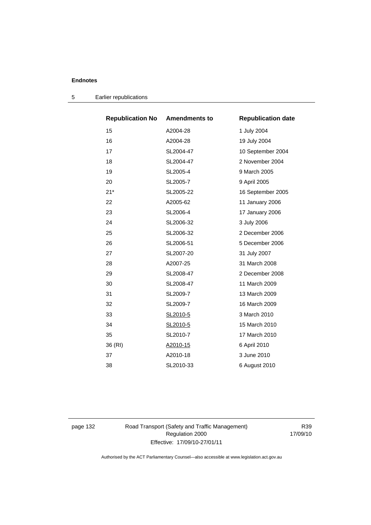| <b>Republication No</b> | <b>Amendments to</b> | <b>Republication date</b> |
|-------------------------|----------------------|---------------------------|
| 15                      | A2004-28             | 1 July 2004               |
| 16                      | A2004-28             | 19 July 2004              |
| 17                      | SL2004-47            | 10 September 2004         |
| 18                      | SL2004-47            | 2 November 2004           |
| 19                      | SL2005-4             | 9 March 2005              |
| 20                      | SL2005-7             | 9 April 2005              |
| $21*$                   | SL2005-22            | 16 September 2005         |
| 22                      | A2005-62             | 11 January 2006           |
| 23                      | SL2006-4             | 17 January 2006           |
| 24                      | SL2006-32            | 3 July 2006               |
| 25                      | SL2006-32            | 2 December 2006           |
| 26                      | SL2006-51            | 5 December 2006           |
| 27                      | SL2007-20            | 31 July 2007              |
| 28                      | A2007-25             | 31 March 2008             |
| 29                      | SL2008-47            | 2 December 2008           |
| 30                      | SL2008-47            | 11 March 2009             |
| 31                      | SL2009-7             | 13 March 2009             |
| 32                      | SL2009-7             | 16 March 2009             |
| 33                      | SL2010-5             | 3 March 2010              |
| 34                      | SL2010-5             | 15 March 2010             |
| 35                      | SL2010-7             | 17 March 2010             |
| 36 (RI)                 | A2010-15             | 6 April 2010              |
| 37                      | A2010-18             | 3 June 2010               |
| 38                      | SL2010-33            | 6 August 2010             |

5 Earlier republications

page 132 Road Transport (Safety and Traffic Management) Regulation 2000 Effective: 17/09/10-27/01/11

R39 17/09/10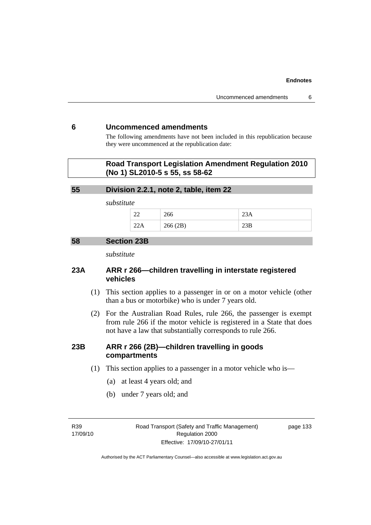### **6 Uncommenced amendments**

The following amendments have not been included in this republication because they were uncommenced at the republication date:

### **Road Transport Legislation Amendment Regulation 2010 (No 1) SL2010-5 s 55, ss 58-62**

### **55 Division 2.2.1, note 2, table, item 22**

*substitute* 

| $\sim$<br>-- | ∠∪∪                |       |
|--------------|--------------------|-------|
|              | 266(2R)<br>200(2D) | ∠لار∠ |

### **58 Section 23B**

*substitute* 

### **23A ARR r 266—children travelling in interstate registered vehicles**

- (1) This section applies to a passenger in or on a motor vehicle (other than a bus or motorbike) who is under 7 years old.
- (2) For the Australian Road Rules, rule 266, the passenger is exempt from rule 266 if the motor vehicle is registered in a State that does not have a law that substantially corresponds to rule 266.

### **23B ARR r 266 (2B)—children travelling in goods compartments**

- (1) This section applies to a passenger in a motor vehicle who is—
	- (a) at least 4 years old; and
	- (b) under 7 years old; and

R39 17/09/10 Road Transport (Safety and Traffic Management) Regulation 2000 Effective: 17/09/10-27/01/11

page 133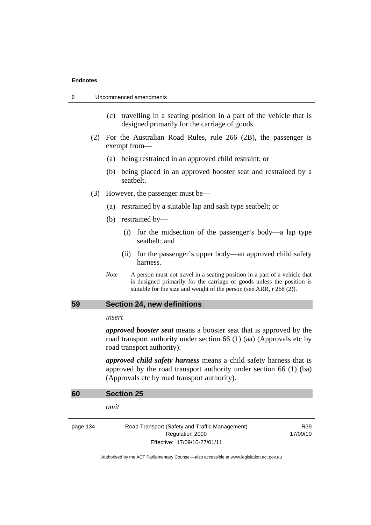- (c) travelling in a seating position in a part of the vehicle that is designed primarily for the carriage of goods.
- (2) For the Australian Road Rules, rule 266 (2B), the passenger is exempt from—
	- (a) being restrained in an approved child restraint; or
	- (b) being placed in an approved booster seat and restrained by a seatbelt.
- (3) However, the passenger must be—
	- (a) restrained by a suitable lap and sash type seatbelt; or
	- (b) restrained by—
		- (i) for the midsection of the passenger's body—a lap type seatbelt; and
		- (ii) for the passenger's upper body—an approved child safety harness.
	- *Note* A person must not travel in a seating position in a part of a vehicle that is designed primarily for the carriage of goods unless the position is suitable for the size and weight of the person (see ARR, r 268 (2)).

### **59 Section 24, new definitions**

#### *insert*

*approved booster seat* means a booster seat that is approved by the road transport authority under section 66 (1) (aa) (Approvals etc by road transport authority).

*approved child safety harness* means a child safety harness that is approved by the road transport authority under section 66 (1) (ba) (Approvals etc by road transport authority).

| 60       | <b>Section 25</b>                                                                                 |                             |
|----------|---------------------------------------------------------------------------------------------------|-----------------------------|
|          | omit                                                                                              |                             |
| page 134 | Road Transport (Safety and Traffic Management)<br>Regulation 2000<br>Effective: 17/09/10-27/01/11 | R <sub>39</sub><br>17/09/10 |
|          |                                                                                                   |                             |